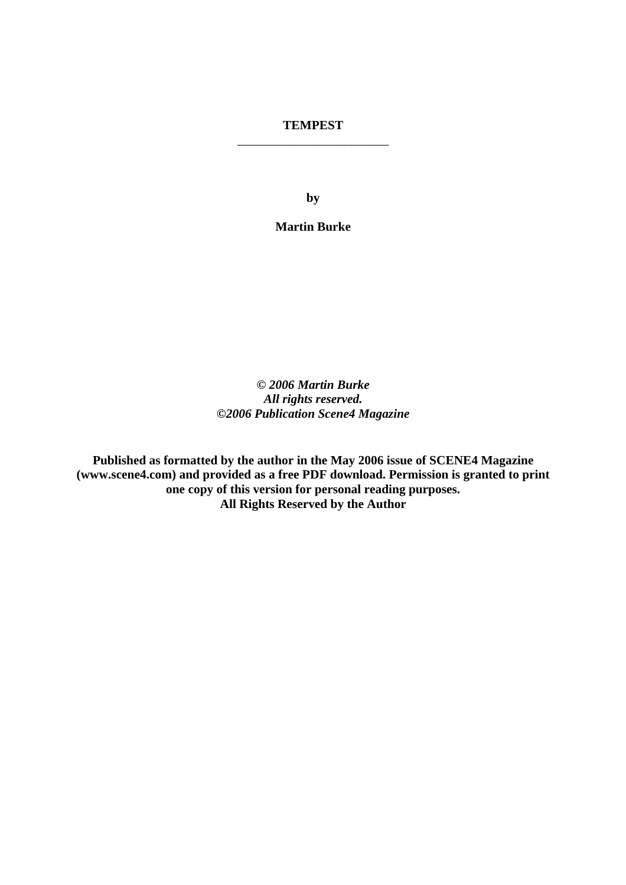# **TEMPEST**  \_\_\_\_\_\_\_\_\_\_\_\_\_\_\_\_\_\_\_\_\_\_\_\_

**by** 

**Martin Burke** 

*© 2006 Martin Burke All rights reserved. ©2006 Publication Scene4 Magazine* 

**Published as formatted by the author in the May 2006 issue of SCENE4 Magazine (www.scene4.com) and provided as a free PDF download. Permission is granted to print one copy of this version for personal reading purposes. All Rights Reserved by the Author**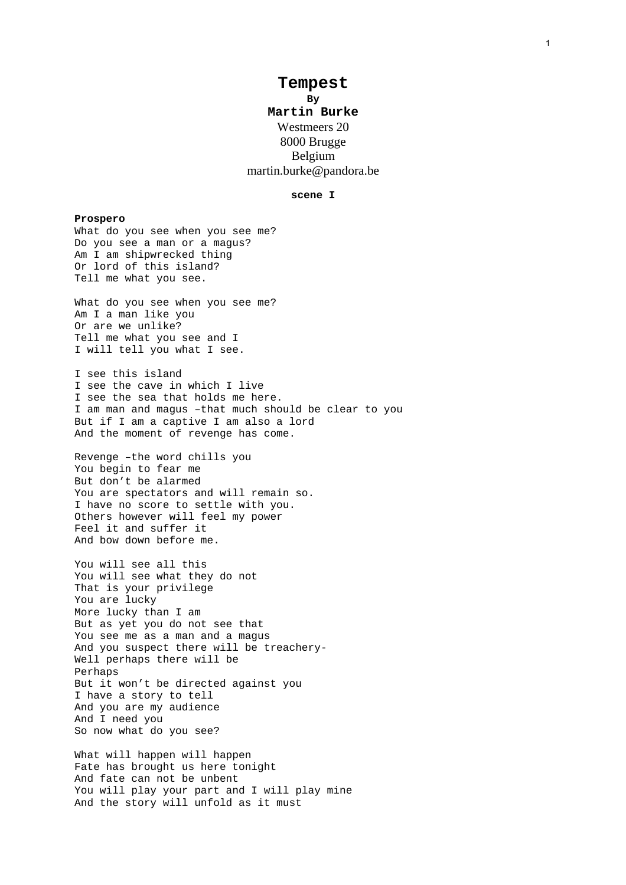# **Tempest**

**By Martin Burke**  Westmeers 20 8000 Brugge Belgium martin.burke@pandora.be

### **scene I**

**Prospero**  What do you see when you see me? Do you see a man or a magus? Am I am shipwrecked thing Or lord of this island? Tell me what you see. What do you see when you see me? Am I a man like you Or are we unlike? Tell me what you see and I I will tell you what I see. I see this island I see the cave in which I live I see the sea that holds me here. I am man and magus –that much should be clear to you But if I am a captive I am also a lord And the moment of revenge has come. Revenge –the word chills you You begin to fear me But don't be alarmed You are spectators and will remain so. I have no score to settle with you. Others however will feel my power Feel it and suffer it And bow down before me. You will see all this You will see what they do not That is your privilege You are lucky More lucky than I am But as yet you do not see that You see me as a man and a magus And you suspect there will be treachery-Well perhaps there will be Perhaps But it won't be directed against you I have a story to tell And you are my audience And I need you So now what do you see?

What will happen will happen Fate has brought us here tonight And fate can not be unbent You will play your part and I will play mine And the story will unfold as it must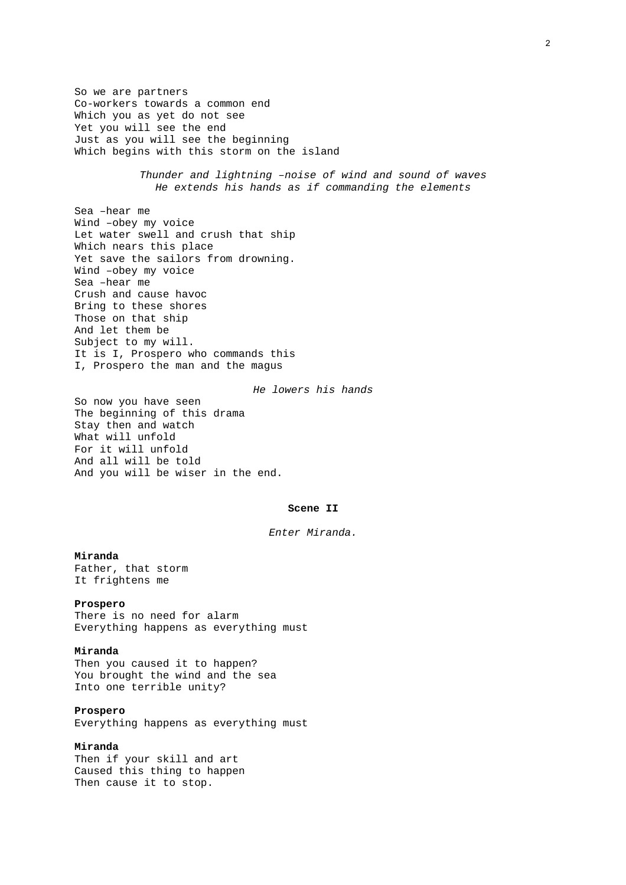So we are partners Co-workers towards a common end Which you as yet do not see Yet you will see the end Just as you will see the beginning Which begins with this storm on the island

> *Thunder and lightning –noise of wind and sound of waves He extends his hands as if commanding the elements*

Sea –hear me Wind –obey my voice Let water swell and crush that ship Which nears this place Yet save the sailors from drowning. Wind –obey my voice Sea –hear me Crush and cause havoc Bring to these shores Those on that ship And let them be Subject to my will. It is I, Prospero who commands this I, Prospero the man and the magus

*He lowers his hands* 

So now you have seen The beginning of this drama Stay then and watch What will unfold For it will unfold And all will be told And you will be wiser in the end.

#### **Scene II**

*Enter Miranda.* 

### **Miranda**

Father, that storm It frightens me

### **Prospero**

There is no need for alarm Everything happens as everything must

### **Miranda**

Then you caused it to happen? You brought the wind and the sea Into one terrible unity?

### **Prospero**

Everything happens as everything must

# **Miranda**

Then if your skill and art Caused this thing to happen Then cause it to stop.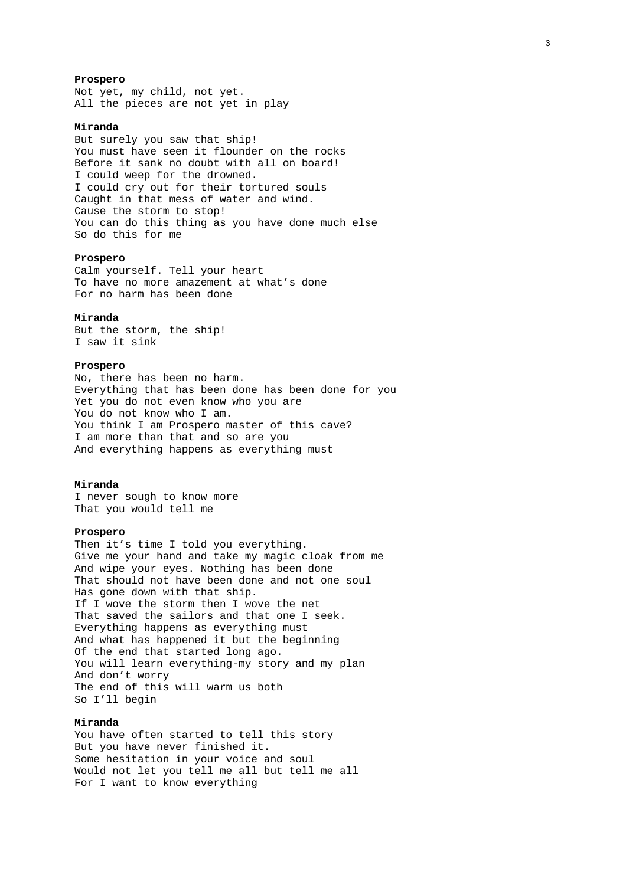### **Prospero**

Not yet, my child, not yet. All the pieces are not yet in play

# **Miranda**

But surely you saw that ship! You must have seen it flounder on the rocks Before it sank no doubt with all on board! I could weep for the drowned. I could cry out for their tortured souls Caught in that mess of water and wind. Cause the storm to stop! You can do this thing as you have done much else So do this for me

### **Prospero**

Calm yourself. Tell your heart To have no more amazement at what's done For no harm has been done

### **Miranda**

But the storm, the ship! I saw it sink

# **Prospero**

No, there has been no harm. Everything that has been done has been done for you Yet you do not even know who you are You do not know who I am. You think I am Prospero master of this cave? I am more than that and so are you And everything happens as everything must

### **Miranda**

I never sough to know more That you would tell me

### **Prospero**

Then it's time I told you everything. Give me your hand and take my magic cloak from me And wipe your eyes. Nothing has been done That should not have been done and not one soul Has gone down with that ship. If I wove the storm then I wove the net That saved the sailors and that one I seek. Everything happens as everything must And what has happened it but the beginning Of the end that started long ago. You will learn everything-my story and my plan And don't worry The end of this will warm us both So I'll begin

# **Miranda**

You have often started to tell this story But you have never finished it. Some hesitation in your voice and soul Would not let you tell me all but tell me all For I want to know everything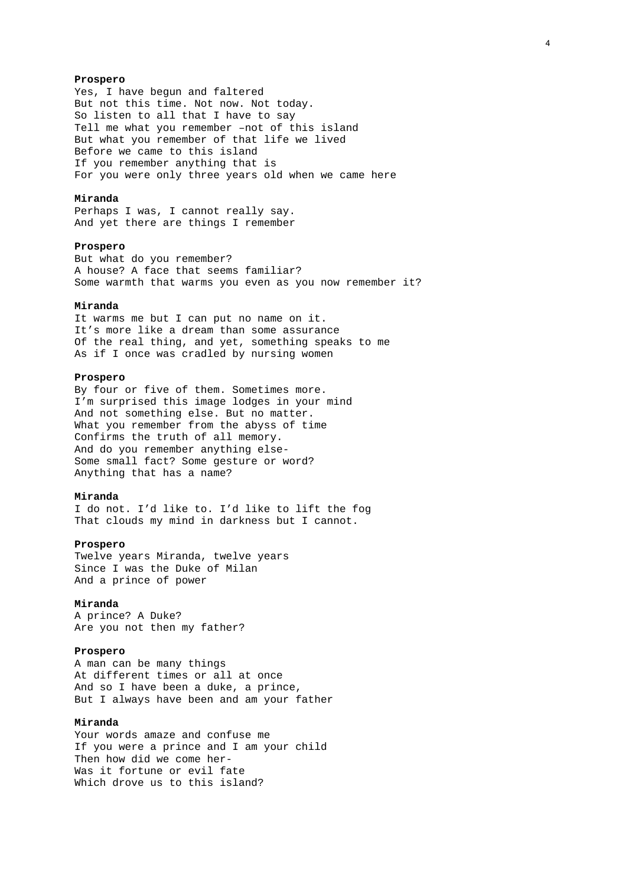### **Prospero**

Yes, I have begun and faltered But not this time. Not now. Not today. So listen to all that I have to say Tell me what you remember –not of this island But what you remember of that life we lived Before we came to this island If you remember anything that is For you were only three years old when we came here

# **Miranda**

Perhaps I was, I cannot really say. And yet there are things I remember

### **Prospero**

But what do you remember? A house? A face that seems familiar? Some warmth that warms you even as you now remember it?

# **Miranda**

It warms me but I can put no name on it. It's more like a dream than some assurance Of the real thing, and yet, something speaks to me As if I once was cradled by nursing women

### **Prospero**

By four or five of them. Sometimes more. I'm surprised this image lodges in your mind And not something else. But no matter. What you remember from the abyss of time Confirms the truth of all memory. And do you remember anything else-Some small fact? Some gesture or word? Anything that has a name?

### **Miranda**

I do not. I'd like to. I'd like to lift the fog That clouds my mind in darkness but I cannot.

### **Prospero**

Twelve years Miranda, twelve years Since I was the Duke of Milan And a prince of power

### **Miranda**

A prince? A Duke? Are you not then my father?

### **Prospero**

A man can be many things At different times or all at once And so I have been a duke, a prince, But I always have been and am your father

# **Miranda**

Your words amaze and confuse me If you were a prince and I am your child Then how did we come her-Was it fortune or evil fate Which drove us to this island?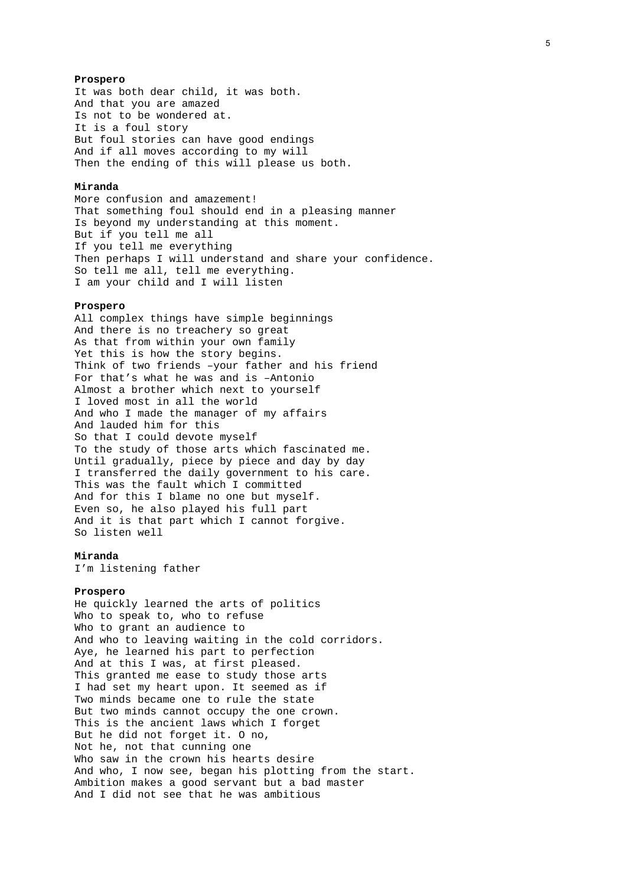### **Prospero**

It was both dear child, it was both. And that you are amazed Is not to be wondered at. It is a foul story But foul stories can have good endings And if all moves according to my will Then the ending of this will please us both.

### **Miranda**

More confusion and amazement! That something foul should end in a pleasing manner Is beyond my understanding at this moment. But if you tell me all If you tell me everything Then perhaps I will understand and share your confidence. So tell me all, tell me everything. I am your child and I will listen

### **Prospero**

All complex things have simple beginnings And there is no treachery so great As that from within your own family Yet this is how the story begins. Think of two friends –your father and his friend For that's what he was and is –Antonio Almost a brother which next to yourself I loved most in all the world And who I made the manager of my affairs And lauded him for this So that I could devote myself To the study of those arts which fascinated me. Until gradually, piece by piece and day by day I transferred the daily government to his care. This was the fault which I committed And for this I blame no one but myself. Even so, he also played his full part And it is that part which I cannot forgive. So listen well

### **Miranda**

I'm listening father

### **Prospero**

He quickly learned the arts of politics Who to speak to, who to refuse Who to grant an audience to And who to leaving waiting in the cold corridors. Aye, he learned his part to perfection And at this I was, at first pleased. This granted me ease to study those arts I had set my heart upon. It seemed as if Two minds became one to rule the state But two minds cannot occupy the one crown. This is the ancient laws which I forget But he did not forget it. O no, Not he, not that cunning one Who saw in the crown his hearts desire And who, I now see, began his plotting from the start. Ambition makes a good servant but a bad master And I did not see that he was ambitious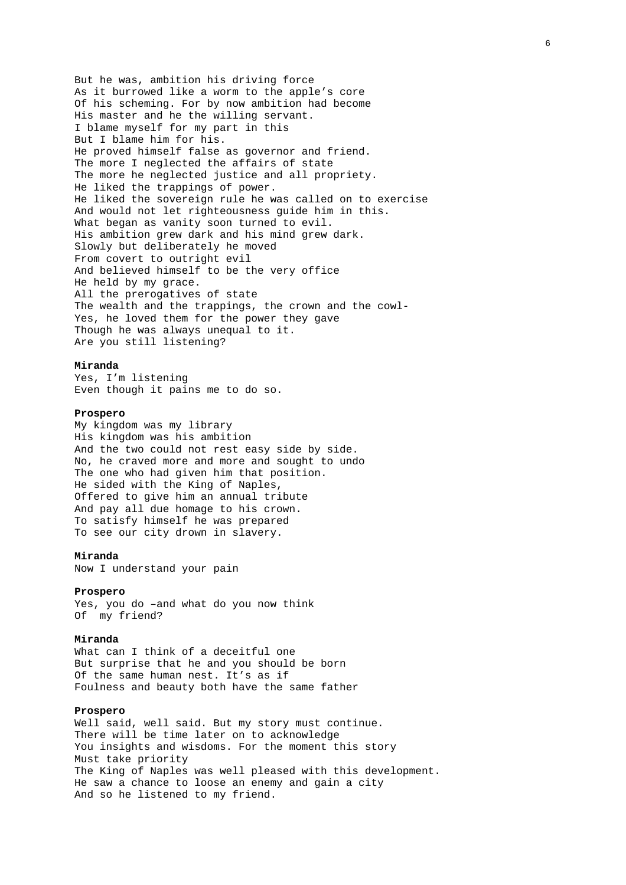But he was, ambition his driving force As it burrowed like a worm to the apple's core Of his scheming. For by now ambition had become His master and he the willing servant. I blame myself for my part in this But I blame him for his. He proved himself false as governor and friend. The more I neglected the affairs of state The more he neglected justice and all propriety. He liked the trappings of power. He liked the sovereign rule he was called on to exercise And would not let righteousness guide him in this. What began as vanity soon turned to evil. His ambition grew dark and his mind grew dark. Slowly but deliberately he moved From covert to outright evil And believed himself to be the very office He held by my grace. All the prerogatives of state The wealth and the trappings, the crown and the cowl-Yes, he loved them for the power they gave Though he was always unequal to it. Are you still listening?

### **Miranda**

Yes, I'm listening Even though it pains me to do so.

# **Prospero**

My kingdom was my library His kingdom was his ambition And the two could not rest easy side by side. No, he craved more and more and sought to undo The one who had given him that position. He sided with the King of Naples, Offered to give him an annual tribute And pay all due homage to his crown. To satisfy himself he was prepared To see our city drown in slavery.

### **Miranda**

Now I understand your pain

### **Prospero**

Yes, you do –and what do you now think Of my friend?

### **Miranda**

What can I think of a deceitful one But surprise that he and you should be born Of the same human nest. It's as if Foulness and beauty both have the same father

### **Prospero**

Well said, well said. But my story must continue. There will be time later on to acknowledge You insights and wisdoms. For the moment this story Must take priority The King of Naples was well pleased with this development. He saw a chance to loose an enemy and gain a city And so he listened to my friend.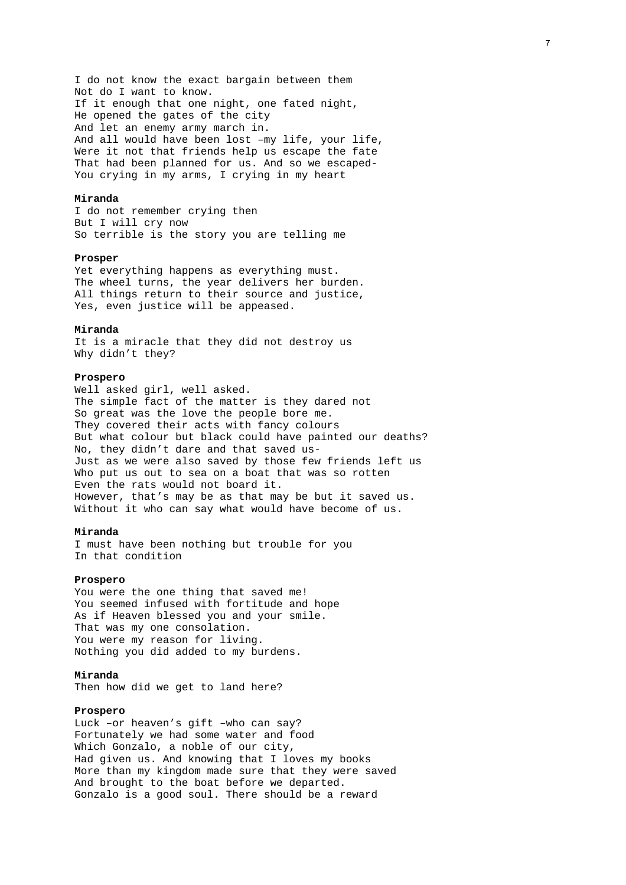I do not know the exact bargain between them Not do I want to know. If it enough that one night, one fated night, He opened the gates of the city And let an enemy army march in. And all would have been lost –my life, your life, Were it not that friends help us escape the fate That had been planned for us. And so we escaped-You crying in my arms, I crying in my heart

# **Miranda**

I do not remember crying then But I will cry now So terrible is the story you are telling me

### **Prosper**

Yet everything happens as everything must. The wheel turns, the year delivers her burden. All things return to their source and justice, Yes, even justice will be appeased.

#### **Miranda**

It is a miracle that they did not destroy us Why didn't they?

### **Prospero**

Well asked girl, well asked. The simple fact of the matter is they dared not So great was the love the people bore me. They covered their acts with fancy colours But what colour but black could have painted our deaths? No, they didn't dare and that saved us-Just as we were also saved by those few friends left us Who put us out to sea on a boat that was so rotten Even the rats would not board it. However, that's may be as that may be but it saved us. Without it who can say what would have become of us.

### **Miranda**

I must have been nothing but trouble for you In that condition

### **Prospero**

You were the one thing that saved me! You seemed infused with fortitude and hope As if Heaven blessed you and your smile. That was my one consolation. You were my reason for living. Nothing you did added to my burdens.

### **Miranda**

Then how did we get to land here?

### **Prospero**

Luck –or heaven's gift –who can say? Fortunately we had some water and food Which Gonzalo, a noble of our city, Had given us. And knowing that I loves my books More than my kingdom made sure that they were saved And brought to the boat before we departed. Gonzalo is a good soul. There should be a reward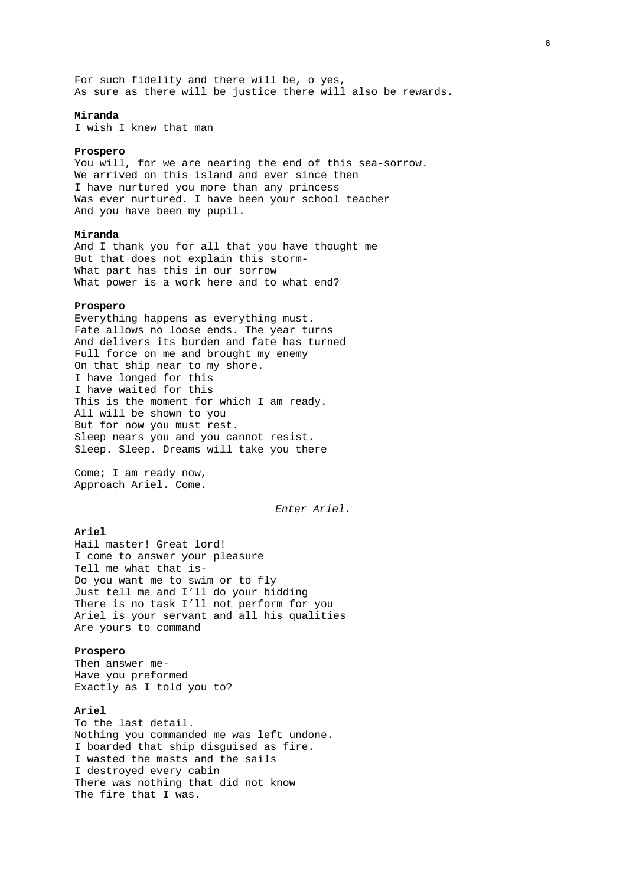For such fidelity and there will be, o yes, As sure as there will be justice there will also be rewards.

### **Miranda**

I wish I knew that man

### **Prospero**

You will, for we are nearing the end of this sea-sorrow. We arrived on this island and ever since then I have nurtured you more than any princess Was ever nurtured. I have been your school teacher And you have been my pupil.

### **Miranda**

And I thank you for all that you have thought me But that does not explain this storm-What part has this in our sorrow What power is a work here and to what end?

### **Prospero**

Everything happens as everything must. Fate allows no loose ends. The year turns And delivers its burden and fate has turned Full force on me and brought my enemy On that ship near to my shore. I have longed for this I have waited for this This is the moment for which I am ready. All will be shown to you But for now you must rest. Sleep nears you and you cannot resist. Sleep. Sleep. Dreams will take you there

Come; I am ready now, Approach Ariel. Come.

*Enter Ariel*.

# **Ariel**

Hail master! Great lord! I come to answer your pleasure Tell me what that is-Do you want me to swim or to fly Just tell me and I'll do your bidding There is no task I'll not perform for you Ariel is your servant and all his qualities Are yours to command

### **Prospero**

Then answer me-Have you preformed Exactly as I told you to?

# **Ariel**

To the last detail. Nothing you commanded me was left undone. I boarded that ship disguised as fire. I wasted the masts and the sails I destroyed every cabin There was nothing that did not know The fire that I was.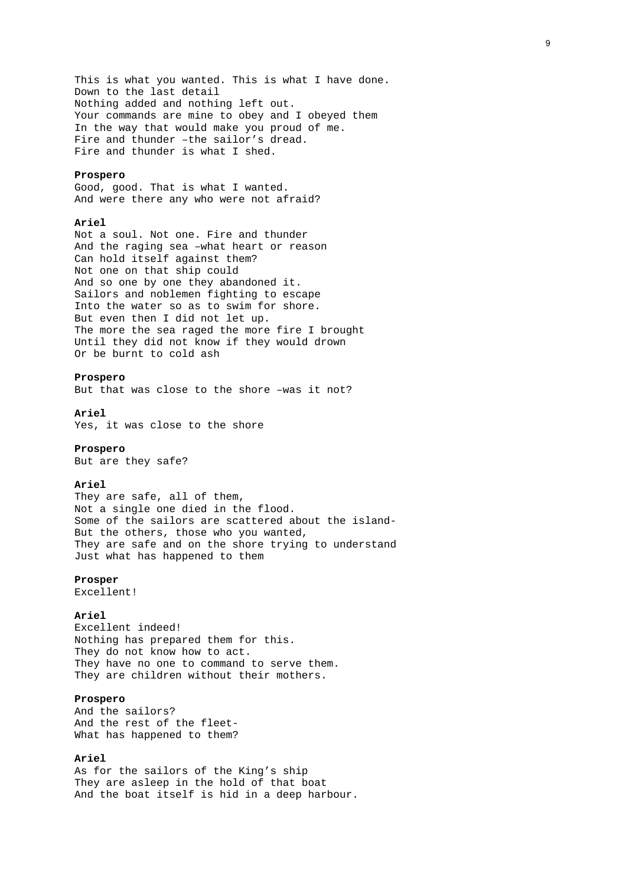This is what you wanted. This is what I have done. Down to the last detail Nothing added and nothing left out. Your commands are mine to obey and I obeyed them In the way that would make you proud of me. Fire and thunder –the sailor's dread. Fire and thunder is what I shed.

### **Prospero**

Good, good. That is what I wanted. And were there any who were not afraid?

### **Ariel**

Not a soul. Not one. Fire and thunder And the raging sea –what heart or reason Can hold itself against them? Not one on that ship could And so one by one they abandoned it. Sailors and noblemen fighting to escape Into the water so as to swim for shore. But even then I did not let up. The more the sea raged the more fire I brought Until they did not know if they would drown Or be burnt to cold ash

### **Prospero**

But that was close to the shore –was it not?

**Ariel**  Yes, it was close to the shore

### **Prospero**

But are they safe?

### **Ariel**

They are safe, all of them, Not a single one died in the flood. Some of the sailors are scattered about the island-But the others, those who you wanted, They are safe and on the shore trying to understand Just what has happened to them

### **Prosper**

Excellent!

### **Ariel**

Excellent indeed! Nothing has prepared them for this. They do not know how to act. They have no one to command to serve them. They are children without their mothers.

### **Prospero**

And the sailors? And the rest of the fleet-What has happened to them?

# **Ariel**

As for the sailors of the King's ship They are asleep in the hold of that boat And the boat itself is hid in a deep harbour.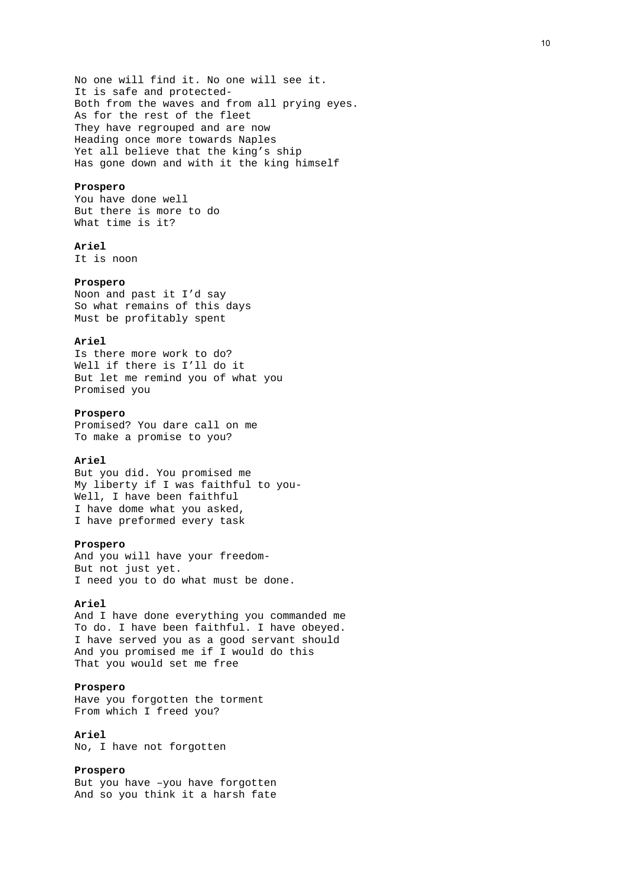No one will find it. No one will see it. It is safe and protected-Both from the waves and from all prying eyes. As for the rest of the fleet They have regrouped and are now Heading once more towards Naples Yet all believe that the king's ship Has gone down and with it the king himself

### **Prospero**

You have done well But there is more to do What time is it?

# **Ariel**

It is noon

### **Prospero**

Noon and past it I'd say So what remains of this days Must be profitably spent

# **Ariel**

Is there more work to do? Well if there is I'll do it But let me remind you of what you Promised you

# **Prospero**

Promised? You dare call on me To make a promise to you?

# **Ariel**

But you did. You promised me My liberty if I was faithful to you-Well, I have been faithful I have dome what you asked, I have preformed every task

### **Prospero**

And you will have your freedom-But not just yet. I need you to do what must be done.

### **Ariel**

And I have done everything you commanded me To do. I have been faithful. I have obeyed. I have served you as a good servant should And you promised me if I would do this That you would set me free

### **Prospero**

Have you forgotten the torment From which I freed you?

# **Ariel**

No, I have not forgotten

# **Prospero**

But you have –you have forgotten And so you think it a harsh fate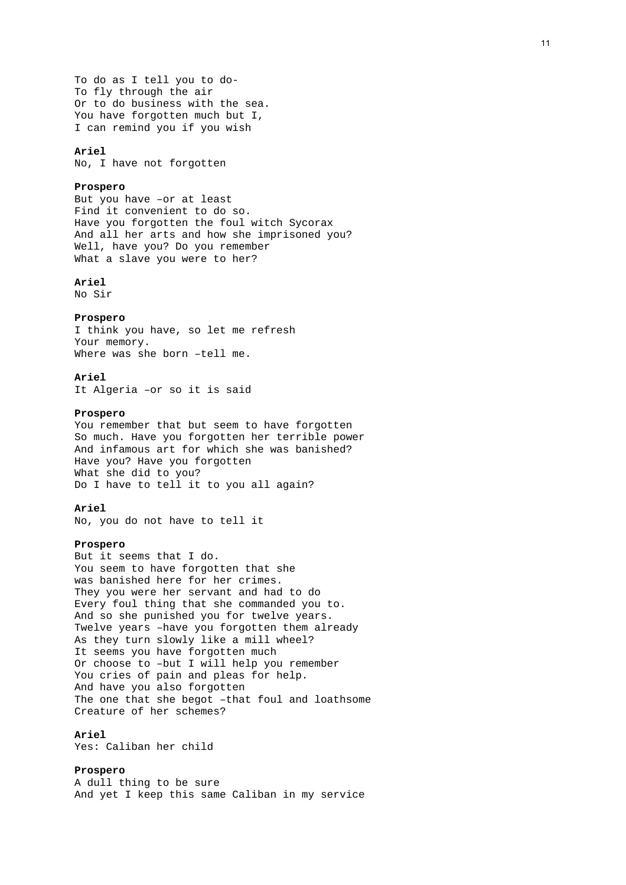To do as I tell you to do-To fly through the air Or to do business with the sea. You have forgotten much but I, I can remind you if you wish

### **Ariel**

No, I have not forgotten

### **Prospero**

But you have –or at least Find it convenient to do so. Have you forgotten the foul witch Sycorax And all her arts and how she imprisoned you? Well, have you? Do you remember What a slave you were to her?

# **Ariel**

No Sir

### **Prospero**

I think you have, so let me refresh Your memory. Where was she born –tell me.

### **Ariel**

It Algeria –or so it is said

# **Prospero**

You remember that but seem to have forgotten So much. Have you forgotten her terrible power And infamous art for which she was banished? Have you? Have you forgotten What she did to you? Do I have to tell it to you all again?

### **Ariel**

No, you do not have to tell it

### **Prospero**

But it seems that I do. You seem to have forgotten that she was banished here for her crimes. They you were her servant and had to do Every foul thing that she commanded you to. And so she punished you for twelve years. Twelve years –have you forgotten them already As they turn slowly like a mill wheel? It seems you have forgotten much Or choose to –but I will help you remember You cries of pain and pleas for help. And have you also forgotten The one that she begot –that foul and loathsome Creature of her schemes?

# **Ariel**

Yes: Caliban her child

### **Prospero**

A dull thing to be sure And yet I keep this same Caliban in my service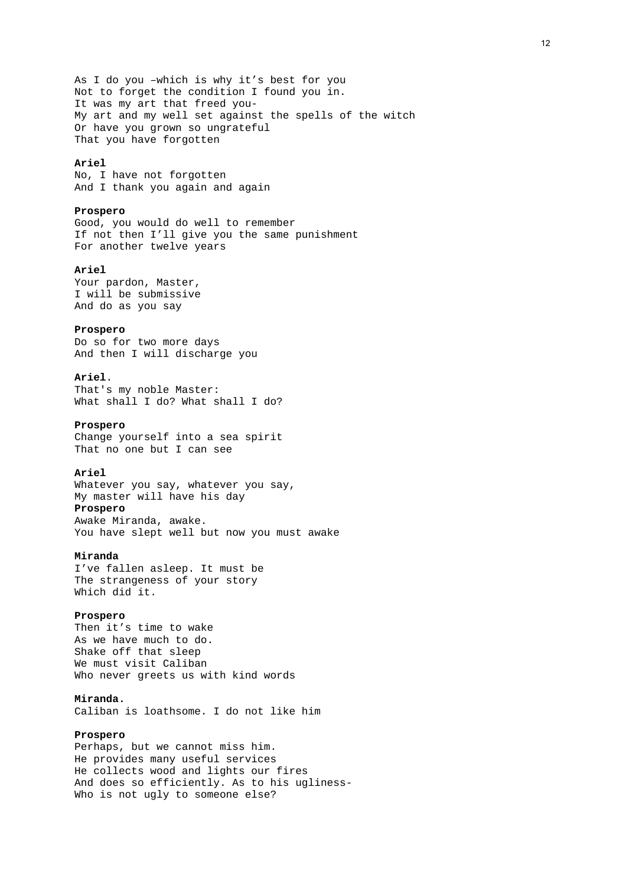As I do you –which is why it's best for you Not to forget the condition I found you in. It was my art that freed you-My art and my well set against the spells of the witch Or have you grown so ungrateful That you have forgotten

### **Ariel**

No, I have not forgotten And I thank you again and again

### **Prospero**

Good, you would do well to remember If not then I'll give you the same punishment For another twelve years

# **Ariel**

Your pardon, Master, I will be submissive And do as you say

### **Prospero**

Do so for two more days And then I will discharge you

# **Ariel**.

That's my noble Master: What shall I do? What shall I do?

# **Prospero**

Change yourself into a sea spirit That no one but I can see

### **Ariel**

Whatever you say, whatever you say, My master will have his day **Prospero**  Awake Miranda, awake. You have slept well but now you must awake

### **Miranda**

I've fallen asleep. It must be The strangeness of your story Which did it.

### **Prospero**

Then it's time to wake As we have much to do. Shake off that sleep We must visit Caliban Who never greets us with kind words

### **Miranda.**

Caliban is loathsome. I do not like him

# **Prospero**

Perhaps, but we cannot miss him. He provides many useful services He collects wood and lights our fires And does so efficiently. As to his ugliness-Who is not ugly to someone else?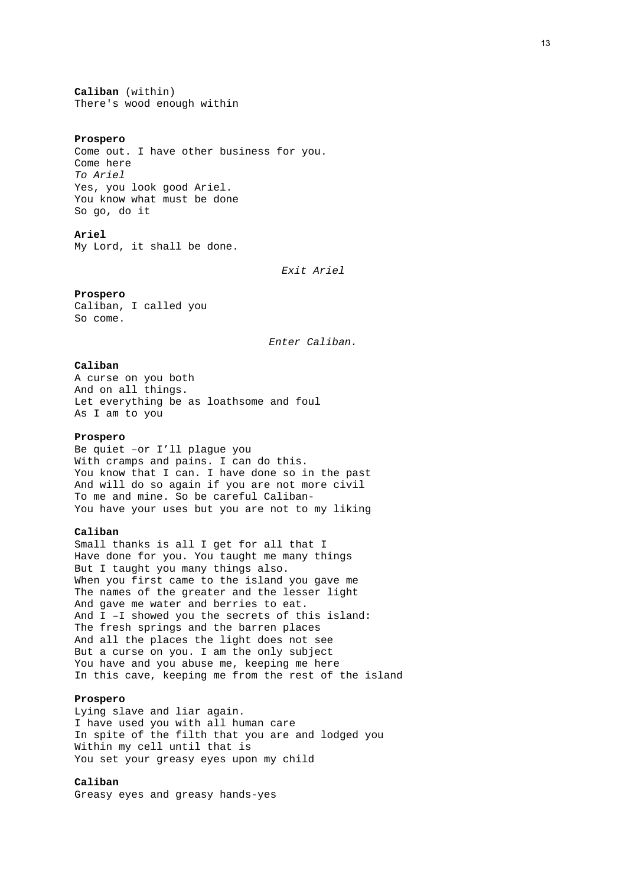**Caliban** (within) There's wood enough within

#### **Prospero**

Come out. I have other business for you. Come here *To Ariel* Yes, you look good Ariel. You know what must be done So go, do it

# **Ariel**

My Lord, it shall be done.

*Exit Ariel* 

### **Prospero**

Caliban, I called you So come.

*Enter Caliban.*

### **Caliban**

A curse on you both And on all things. Let everything be as loathsome and foul As I am to you

# **Prospero**

Be quiet –or I'll plague you With cramps and pains. I can do this. You know that I can. I have done so in the past And will do so again if you are not more civil To me and mine. So be careful Caliban-You have your uses but you are not to my liking

### **Caliban**

Small thanks is all I get for all that I Have done for you. You taught me many things But I taught you many things also. When you first came to the island you gave me The names of the greater and the lesser light And gave me water and berries to eat. And I –I showed you the secrets of this island: The fresh springs and the barren places And all the places the light does not see But a curse on you. I am the only subject You have and you abuse me, keeping me here In this cave, keeping me from the rest of the island

### **Prospero**

Lying slave and liar again. I have used you with all human care In spite of the filth that you are and lodged you Within my cell until that is You set your greasy eyes upon my child

# **Caliban**

Greasy eyes and greasy hands-yes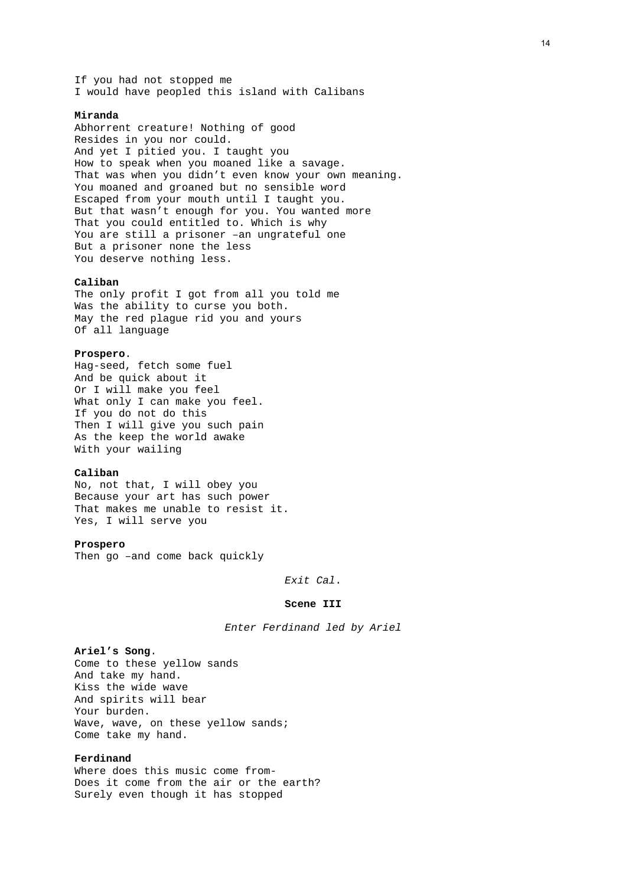If you had not stopped me I would have peopled this island with Calibans

### **Miranda**

Abhorrent creature! Nothing of good Resides in you nor could. And yet I pitied you. I taught you How to speak when you moaned like a savage. That was when you didn't even know your own meaning. You moaned and groaned but no sensible word Escaped from your mouth until I taught you. But that wasn't enough for you. You wanted more That you could entitled to. Which is why You are still a prisoner –an ungrateful one But a prisoner none the less You deserve nothing less.

# **Caliban**

The only profit I got from all you told me Was the ability to curse you both. May the red plague rid you and yours Of all language

# **Prospero**.

Hag-seed, fetch some fuel And be quick about it Or I will make you feel What only I can make you feel. If you do not do this Then I will give you such pain As the keep the world awake With your wailing

### **Caliban**

No, not that, I will obey you Because your art has such power That makes me unable to resist it. Yes, I will serve you

### **Prospero**

Then go -and come back quickly

*Exit Cal*.

### **Scene III**

*Enter Ferdinand led by Ariel* 

# **Ariel's Song**.

Come to these yellow sands And take my hand. Kiss the wide wave And spirits will bear Your burden. Wave, wave, on these yellow sands; Come take my hand.

# **Ferdinand**

Where does this music come from-Does it come from the air or the earth? Surely even though it has stopped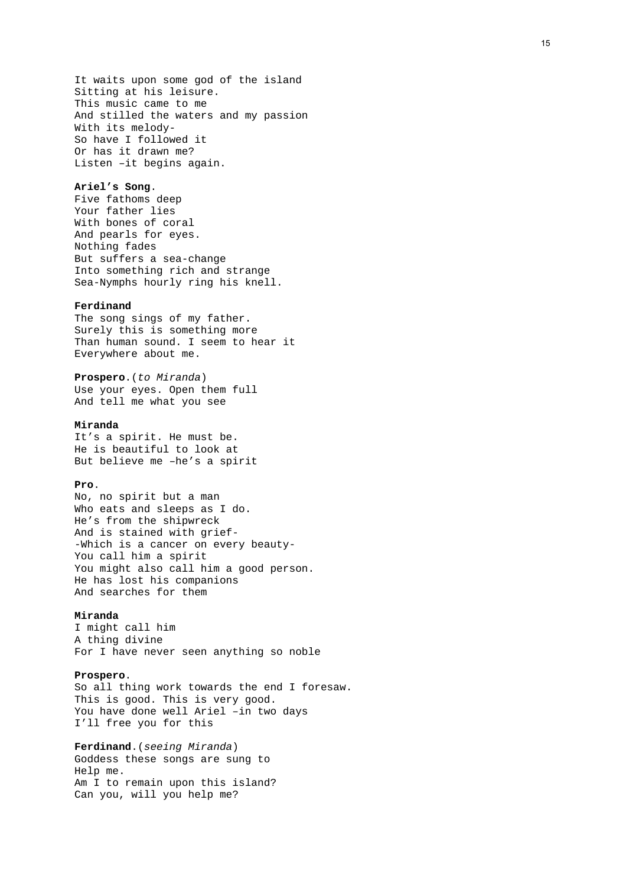It waits upon some god of the island Sitting at his leisure. This music came to me And stilled the waters and my passion With its melody-So have I followed it Or has it drawn me? Listen –it begins again.

### **Ariel's Song**.

Five fathoms deep Your father lies With bones of coral And pearls for eyes. Nothing fades But suffers a sea-change Into something rich and strange Sea-Nymphs hourly ring his knell.

### **Ferdinand**

The song sings of my father. Surely this is something more Than human sound. I seem to hear it Everywhere about me.

**Prospero**.(*to Miranda*) Use your eyes. Open them full And tell me what you see

### **Miranda**

It's a spirit. He must be. He is beautiful to look at But believe me –he's a spirit

# **Pro**.

No, no spirit but a man Who eats and sleeps as I do. He's from the shipwreck And is stained with grief- -Which is a cancer on every beauty-You call him a spirit You might also call him a good person. He has lost his companions And searches for them

### **Miranda**

I might call him A thing divine For I have never seen anything so noble

### **Prospero**.

So all thing work towards the end I foresaw. This is good. This is very good. You have done well Ariel –in two days I'll free you for this

# **Ferdinand**.(*seeing Miranda*)

Goddess these songs are sung to Help me. Am I to remain upon this island? Can you, will you help me?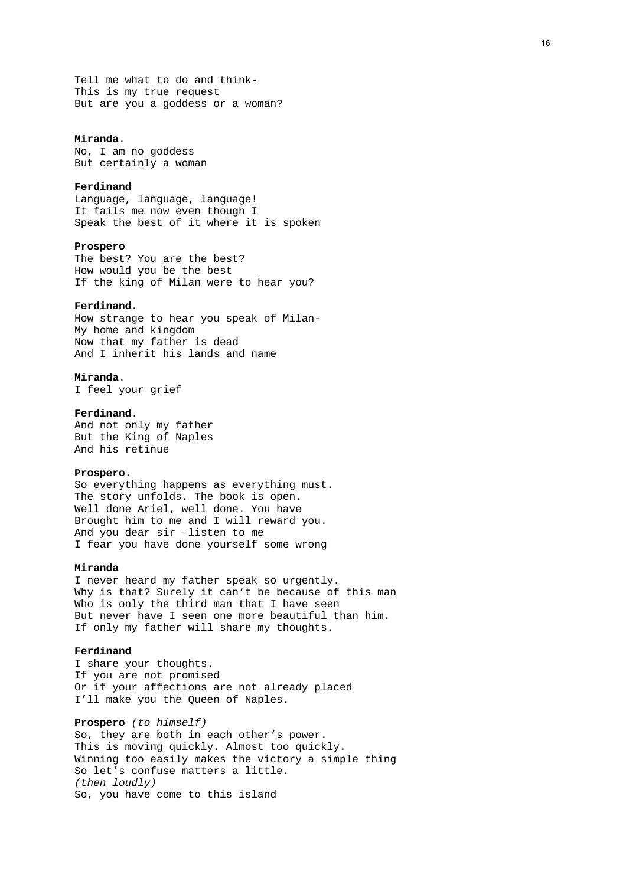Tell me what to do and think-This is my true request But are you a goddess or a woman?

# **Miranda**.

No, I am no goddess But certainly a woman

### **Ferdinand**

Language, language, language! It fails me now even though I Speak the best of it where it is spoken

### **Prospero**

The best? You are the best? How would you be the best If the king of Milan were to hear you?

# **Ferdinand.**

How strange to hear you speak of Milan-My home and kingdom Now that my father is dead And I inherit his lands and name

# **Miranda**.

I feel your grief

# **Ferdinand**.

And not only my father But the King of Naples And his retinue

### **Prospero**.

So everything happens as everything must. The story unfolds. The book is open. Well done Ariel, well done. You have Brought him to me and I will reward you. And you dear sir –listen to me I fear you have done yourself some wrong

### **Miranda**

I never heard my father speak so urgently. Why is that? Surely it can't be because of this man Who is only the third man that I have seen But never have I seen one more beautiful than him. If only my father will share my thoughts.

### **Ferdinand**

I share your thoughts. If you are not promised Or if your affections are not already placed I'll make you the Queen of Naples.

**Prospero** *(to himself)* So, they are both in each other's power. This is moving quickly. Almost too quickly. Winning too easily makes the victory a simple thing So let's confuse matters a little. *(then loudly)*  So, you have come to this island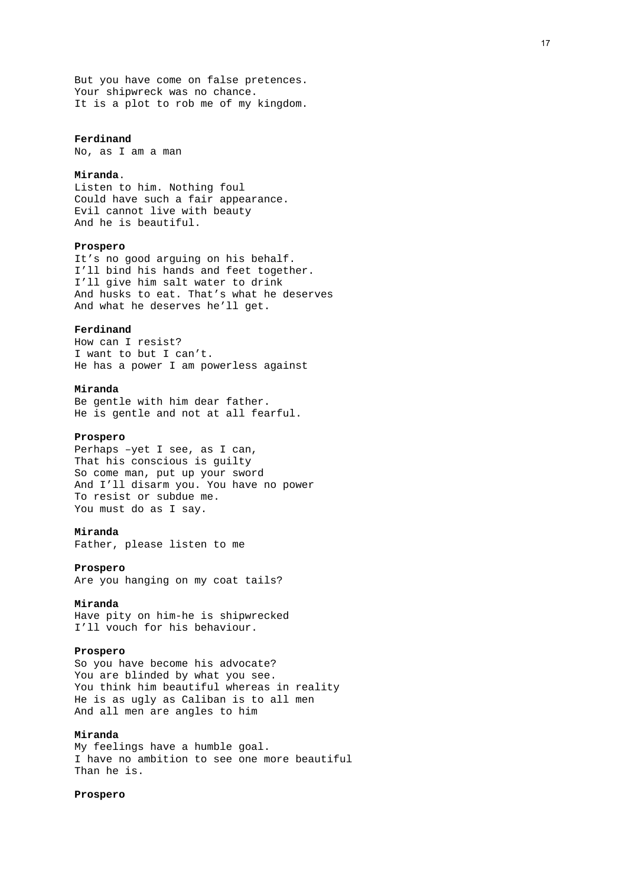But you have come on false pretences. Your shipwreck was no chance. It is a plot to rob me of my kingdom.

### **Ferdinand**

No, as I am a man

# **Miranda**.

Listen to him. Nothing foul Could have such a fair appearance. Evil cannot live with beauty And he is beautiful.

# **Prospero**

It's no good arguing on his behalf. I'll bind his hands and feet together. I'll give him salt water to drink And husks to eat. That's what he deserves And what he deserves he'll get.

### **Ferdinand**

How can I resist? I want to but I can't. He has a power I am powerless against

### **Miranda**

Be gentle with him dear father. He is gentle and not at all fearful.

# **Prospero**

Perhaps –yet I see, as I can, That his conscious is guilty So come man, put up your sword And I'll disarm you. You have no power To resist or subdue me. You must do as I say.

# **Miranda**

Father, please listen to me

### **Prospero**

Are you hanging on my coat tails?

### **Miranda**

Have pity on him-he is shipwrecked I'll vouch for his behaviour.

# **Prospero**

So you have become his advocate? You are blinded by what you see. You think him beautiful whereas in reality He is as ugly as Caliban is to all men And all men are angles to him

### **Miranda**

My feelings have a humble goal. I have no ambition to see one more beautiful Than he is.

# **Prospero**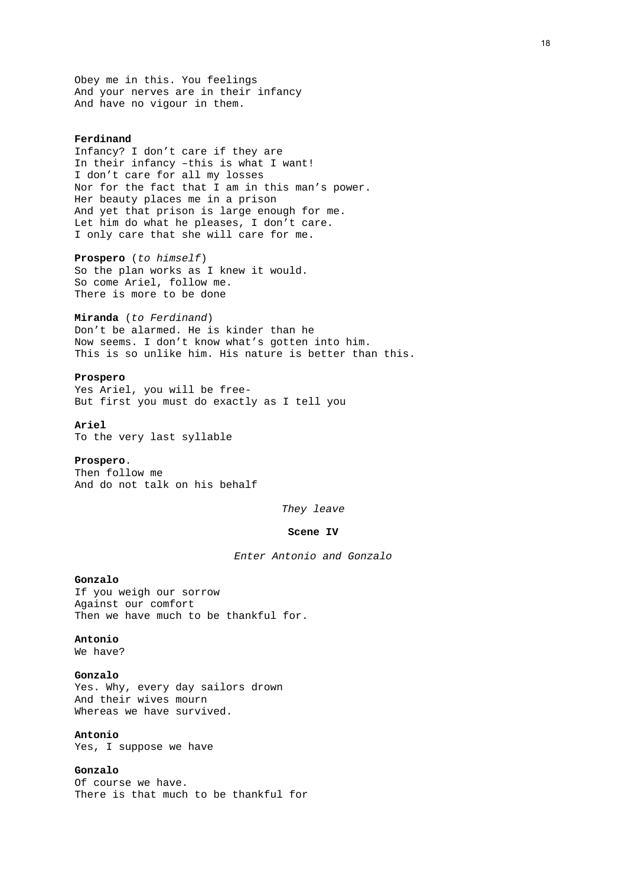Obey me in this. You feelings And your nerves are in their infancy And have no vigour in them.

### **Ferdinand**

Infancy? I don't care if they are In their infancy –this is what I want! I don't care for all my losses Nor for the fact that I am in this man's power. Her beauty places me in a prison And yet that prison is large enough for me. Let him do what he pleases, I don't care. I only care that she will care for me.

**Prospero** (*to himself*) So the plan works as I knew it would. So come Ariel, follow me. There is more to be done

#### **Miranda** (*to Ferdinand*)

Don't be alarmed. He is kinder than he Now seems. I don't know what's gotten into him. This is so unlike him. His nature is better than this.

### **Prospero**

Yes Ariel, you will be free-But first you must do exactly as I tell you

# **Ariel**

To the very last syllable

# **Prospero**.

Then follow me And do not talk on his behalf

*They leave* 

### **Scene IV**

*Enter Antonio and Gonzalo* 

# **Gonzalo**

If you weigh our sorrow Against our comfort Then we have much to be thankful for.

# **Antonio**

We have?

# **Gonzalo**

Yes. Why, every day sailors drown And their wives mourn Whereas we have survived.

# **Antonio**

Yes, I suppose we have

# **Gonzalo**

Of course we have. There is that much to be thankful for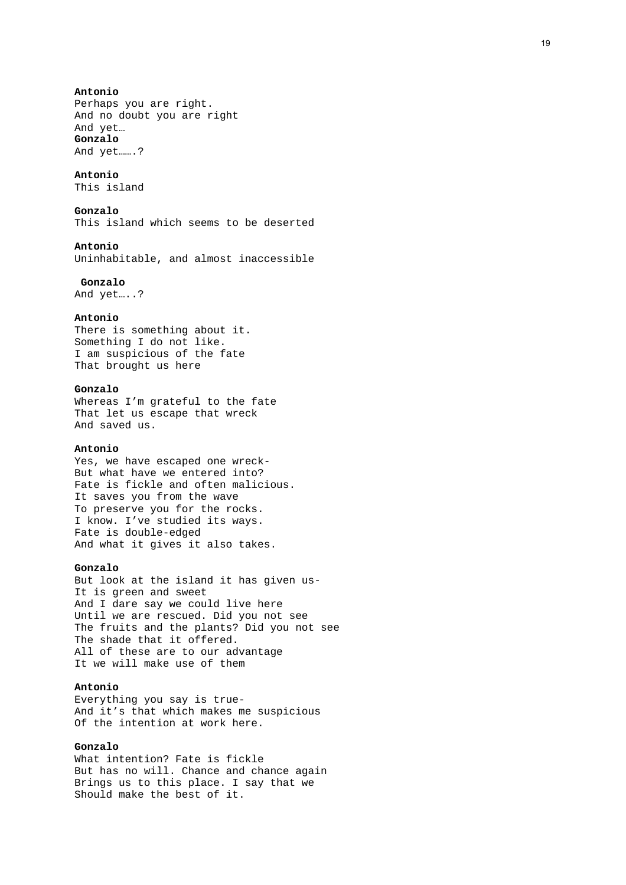# **Antonio**

Perhaps you are right. And no doubt you are right And yet… **Gonzalo**  And yet…….?

# **Antonio**

This island

### **Gonzalo**

This island which seems to be deserted

# **Antonio**

Uninhabitable, and almost inaccessible

### **Gonzalo**

And yet…..?

# **Antonio**

There is something about it. Something I do not like. I am suspicious of the fate That brought us here

# **Gonzalo**

Whereas I'm grateful to the fate That let us escape that wreck And saved us.

### **Antonio**

Yes, we have escaped one wreck-But what have we entered into? Fate is fickle and often malicious. It saves you from the wave To preserve you for the rocks. I know. I've studied its ways. Fate is double-edged And what it gives it also takes.

### **Gonzalo**

But look at the island it has given us-It is green and sweet And I dare say we could live here Until we are rescued. Did you not see The fruits and the plants? Did you not see The shade that it offered. All of these are to our advantage It we will make use of them

# **Antonio**

Everything you say is true-And it's that which makes me suspicious Of the intention at work here.

# **Gonzalo**

What intention? Fate is fickle But has no will. Chance and chance again Brings us to this place. I say that we Should make the best of it.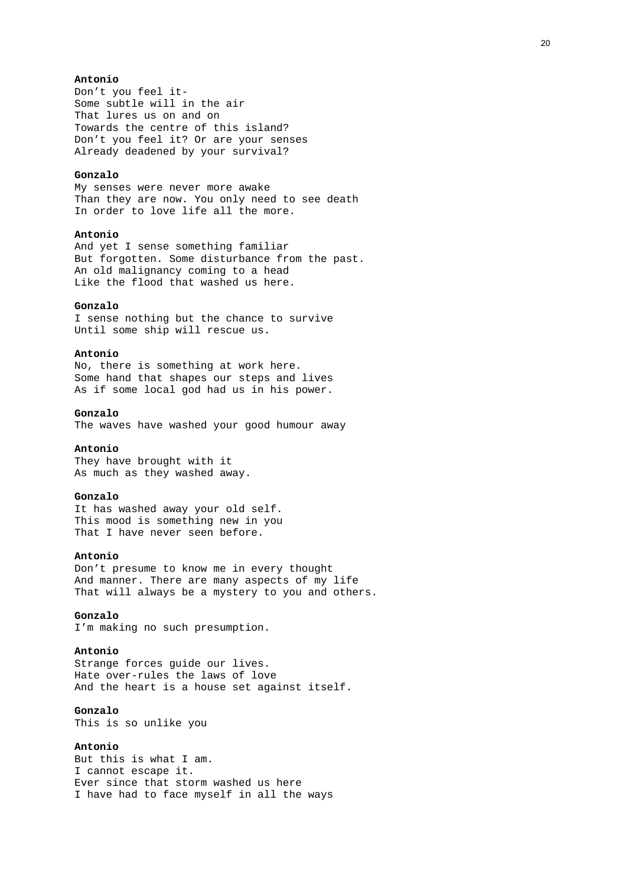# **Antonio**

Don't you feel it-Some subtle will in the air That lures us on and on Towards the centre of this island? Don't you feel it? Or are your senses Already deadened by your survival?

# **Gonzalo**

My senses were never more awake Than they are now. You only need to see death In order to love life all the more.

# **Antonio**

And yet I sense something familiar But forgotten. Some disturbance from the past. An old malignancy coming to a head Like the flood that washed us here.

# **Gonzalo**

I sense nothing but the chance to survive Until some ship will rescue us.

# **Antonio**

No, there is something at work here. Some hand that shapes our steps and lives As if some local god had us in his power.

# **Gonzalo**

The waves have washed your good humour away

# **Antonio**

They have brought with it As much as they washed away.

### **Gonzalo**

It has washed away your old self. This mood is something new in you That I have never seen before.

### **Antonio**

Don't presume to know me in every thought And manner. There are many aspects of my life That will always be a mystery to you and others.

# **Gonzalo**

I'm making no such presumption.

### **Antonio**

Strange forces guide our lives. Hate over-rules the laws of love And the heart is a house set against itself.

# **Gonzalo**

This is so unlike you

# **Antonio**

But this is what I am. I cannot escape it. Ever since that storm washed us here I have had to face myself in all the ways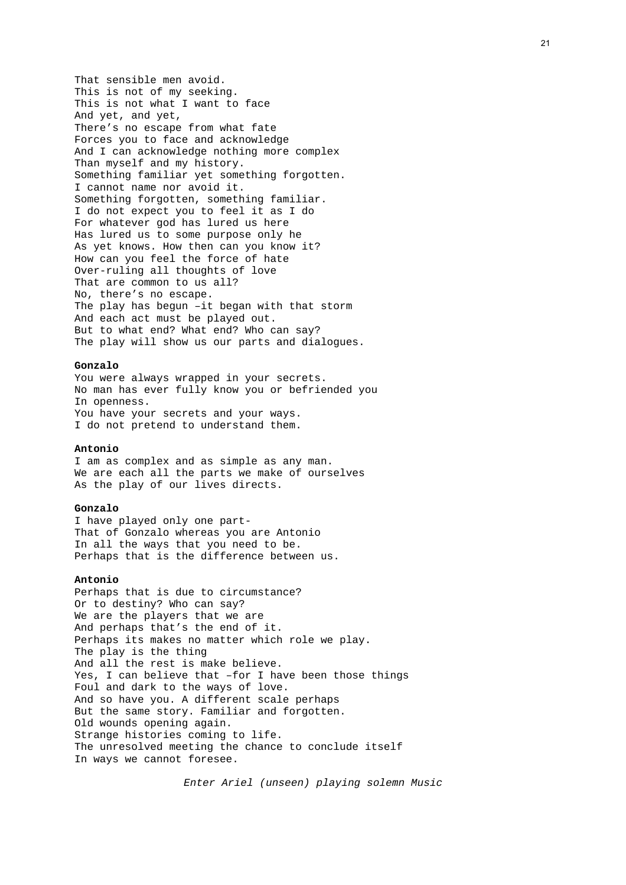That sensible men avoid. This is not of my seeking. This is not what I want to face And yet, and yet, There's no escape from what fate Forces you to face and acknowledge And I can acknowledge nothing more complex Than myself and my history. Something familiar yet something forgotten. I cannot name nor avoid it. Something forgotten, something familiar. I do not expect you to feel it as I do For whatever god has lured us here Has lured us to some purpose only he As yet knows. How then can you know it? How can you feel the force of hate Over-ruling all thoughts of love That are common to us all? No, there's no escape. The play has begun –it began with that storm And each act must be played out. But to what end? What end? Who can say? The play will show us our parts and dialogues.

# **Gonzalo**

You were always wrapped in your secrets. No man has ever fully know you or befriended you In openness. You have your secrets and your ways. I do not pretend to understand them.

# **Antonio**

I am as complex and as simple as any man. We are each all the parts we make of ourselves As the play of our lives directs.

### **Gonzalo**

I have played only one part-That of Gonzalo whereas you are Antonio In all the ways that you need to be. Perhaps that is the difference between us.

### **Antonio**

Perhaps that is due to circumstance? Or to destiny? Who can say? We are the players that we are And perhaps that's the end of it. Perhaps its makes no matter which role we play. The play is the thing And all the rest is make believe. Yes, I can believe that –for I have been those things Foul and dark to the ways of love. And so have you. A different scale perhaps But the same story. Familiar and forgotten. Old wounds opening again. Strange histories coming to life. The unresolved meeting the chance to conclude itself In ways we cannot foresee.

*Enter Ariel (unseen) playing solemn Music*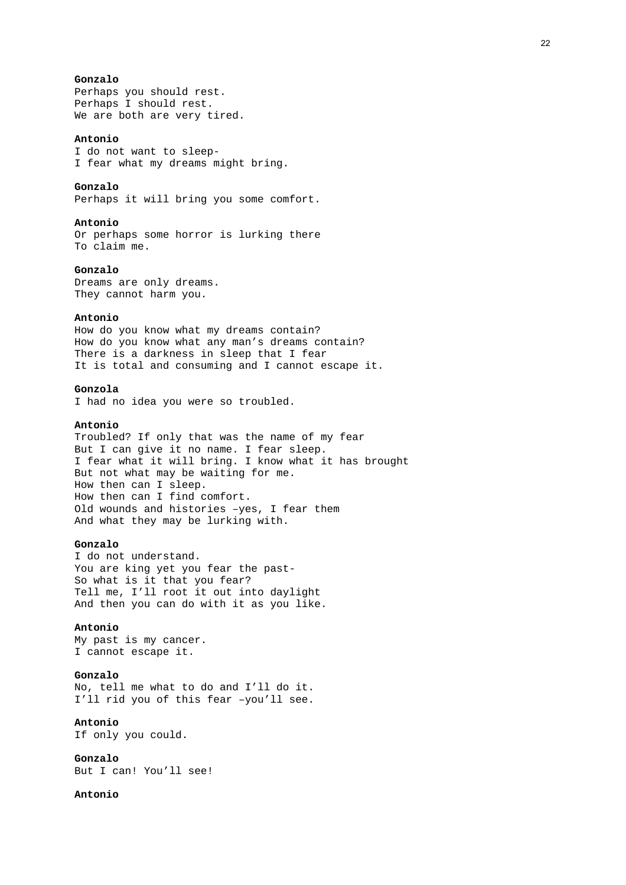# **Gonzalo**

Perhaps you should rest. Perhaps I should rest. We are both are very tired.

# **Antonio**

I do not want to sleep-I fear what my dreams might bring.

### **Gonzalo**

Perhaps it will bring you some comfort.

### **Antonio**

Or perhaps some horror is lurking there To claim me.

# **Gonzalo**

Dreams are only dreams. They cannot harm you.

### **Antonio**

How do you know what my dreams contain? How do you know what any man's dreams contain? There is a darkness in sleep that I fear It is total and consuming and I cannot escape it.

# **Gonzola**

I had no idea you were so troubled.

# **Antonio**

Troubled? If only that was the name of my fear But I can give it no name. I fear sleep. I fear what it will bring. I know what it has brought But not what may be waiting for me. How then can I sleep. How then can I find comfort. Old wounds and histories –yes, I fear them And what they may be lurking with.

# **Gonzalo**

I do not understand. You are king yet you fear the past-So what is it that you fear? Tell me, I'll root it out into daylight And then you can do with it as you like.

### **Antonio**

My past is my cancer. I cannot escape it.

# **Gonzalo**

No, tell me what to do and I'll do it. I'll rid you of this fear –you'll see.

### **Antonio**

If only you could.

**Gonzalo** 

But I can! You'll see!

# **Antonio**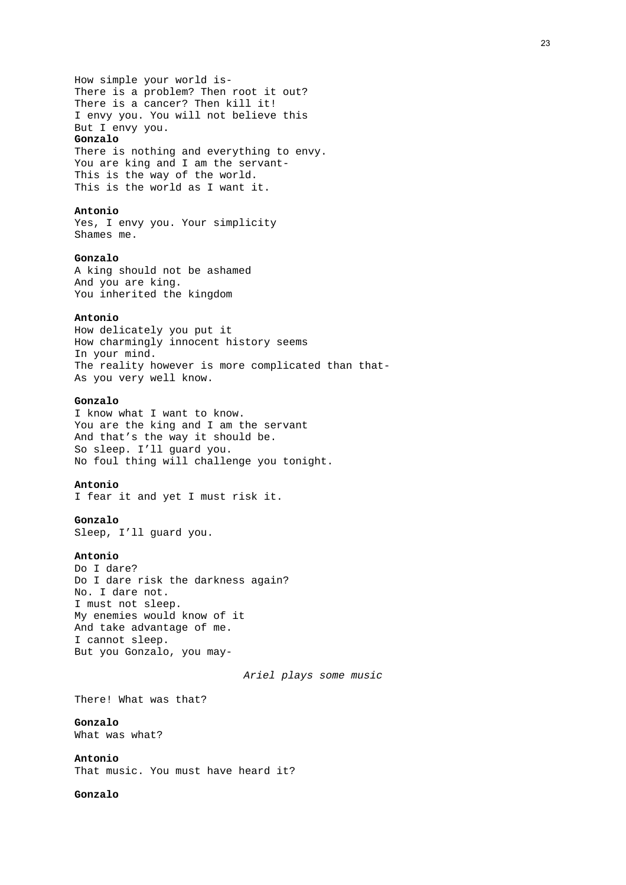How simple your world is-There is a problem? Then root it out? There is a cancer? Then kill it! I envy you. You will not believe this But I envy you.

### **Gonzalo**

There is nothing and everything to envy. You are king and I am the servant-This is the way of the world. This is the world as I want it.

# **Antonio**

Yes, I envy you. Your simplicity Shames me.

### **Gonzalo**

A king should not be ashamed And you are king. You inherited the kingdom

# **Antonio**

How delicately you put it How charmingly innocent history seems In your mind. The reality however is more complicated than that-As you very well know.

# **Gonzalo**

I know what I want to know. You are the king and I am the servant And that's the way it should be. So sleep. I'll guard you. No foul thing will challenge you tonight.

### **Antonio**

I fear it and yet I must risk it.

#### **Gonzalo**

Sleep, I'll guard you.

### **Antonio**

Do I dare? Do I dare risk the darkness again? No. I dare not. I must not sleep. My enemies would know of it And take advantage of me. I cannot sleep. But you Gonzalo, you may-

*Ariel plays some music* 

There! What was that?

### **Gonzalo**  What was what?

# **Antonio**

That music. You must have heard it?

# **Gonzalo**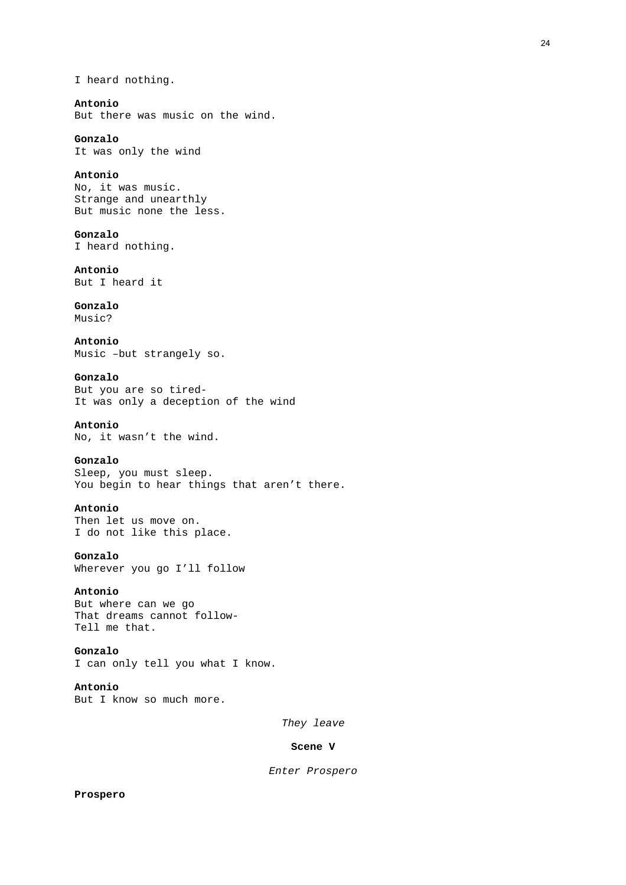I heard nothing.

# **Antonio**

But there was music on the wind.

# **Gonzalo**

It was only the wind

# **Antonio**

No, it was music. Strange and unearthly But music none the less.

# **Gonzalo**

I heard nothing.

# **Antonio**

But I heard it

# **Gonzalo**

Music?

**Antonio**  Music –but strangely so.

# **Gonzalo**

But you are so tired-It was only a deception of the wind

# **Antonio**

No, it wasn't the wind.

# **Gonzalo**

Sleep, you must sleep. You begin to hear things that aren't there.

# **Antonio**

Then let us move on. I do not like this place.

**Gonzalo**  Wherever you go I'll follow

### **Antonio**

But where can we go That dreams cannot follow-Tell me that.

# **Gonzalo**

I can only tell you what I know.

# **Antonio**

But I know so much more.

*They leave* 

### **Scene V**

*Enter Prospero*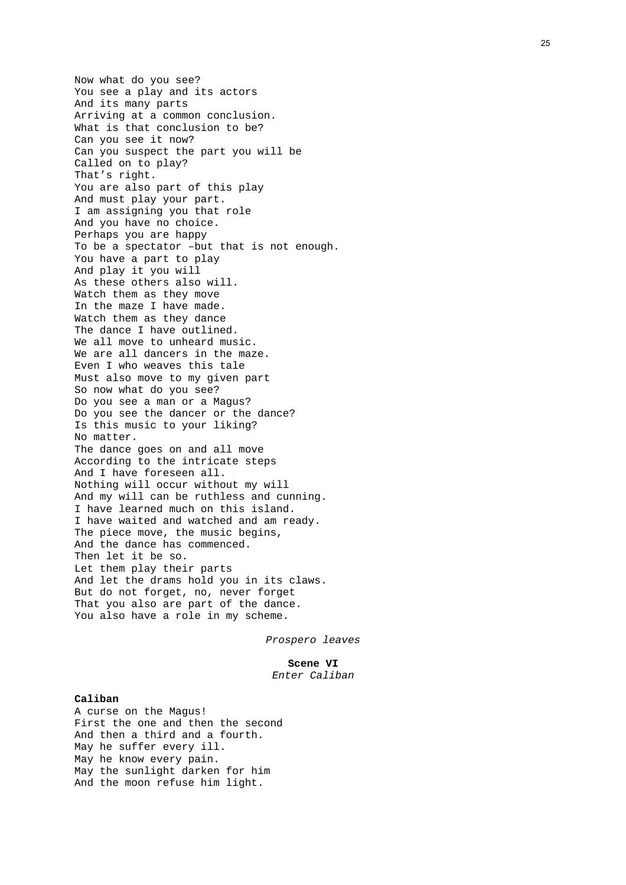Now what do you see? You see a play and its actors And its many parts Arriving at a common conclusion. What is that conclusion to be? Can you see it now? Can you suspect the part you will be Called on to play? That's right. You are also part of this play And must play your part. I am assigning you that role And you have no choice. Perhaps you are happy To be a spectator –but that is not enough. You have a part to play And play it you will As these others also will. Watch them as they move In the maze I have made. Watch them as they dance The dance I have outlined. We all move to unheard music. We are all dancers in the maze. Even I who weaves this tale Must also move to my given part So now what do you see? Do you see a man or a Magus? Do you see the dancer or the dance? Is this music to your liking? No matter. The dance goes on and all move According to the intricate steps And I have foreseen all. Nothing will occur without my will And my will can be ruthless and cunning. I have learned much on this island. I have waited and watched and am ready. The piece move, the music begins, And the dance has commenced. Then let it be so. Let them play their parts And let the drams hold you in its claws. But do not forget, no, never forget That you also are part of the dance. You also have a role in my scheme.

*Prospero leaves* 

# **Scene VI**

# *Enter Caliban*

# **Caliban**

A curse on the Magus! First the one and then the second And then a third and a fourth. May he suffer every ill. May he know every pain. May the sunlight darken for him And the moon refuse him light.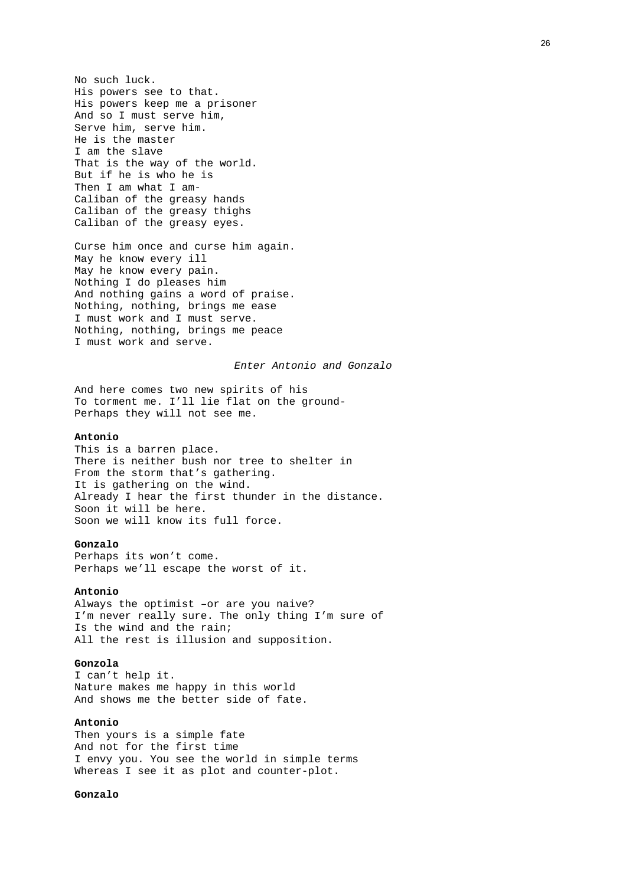No such luck. His powers see to that. His powers keep me a prisoner And so I must serve him, Serve him, serve him. He is the master I am the slave That is the way of the world. But if he is who he is Then I am what I am-Caliban of the greasy hands Caliban of the greasy thighs Caliban of the greasy eyes.

Curse him once and curse him again. May he know every ill May he know every pain. Nothing I do pleases him And nothing gains a word of praise. Nothing, nothing, brings me ease I must work and I must serve. Nothing, nothing, brings me peace I must work and serve.

### *Enter Antonio and Gonzalo*

And here comes two new spirits of his To torment me. I'll lie flat on the ground-Perhaps they will not see me.

# **Antonio**

This is a barren place. There is neither bush nor tree to shelter in From the storm that's gathering. It is gathering on the wind. Already I hear the first thunder in the distance. Soon it will be here. Soon we will know its full force.

### **Gonzalo**

Perhaps its won't come. Perhaps we'll escape the worst of it.

### **Antonio**

Always the optimist –or are you naive? I'm never really sure. The only thing I'm sure of Is the wind and the rain; All the rest is illusion and supposition.

### **Gonzola**

I can't help it. Nature makes me happy in this world And shows me the better side of fate.

### **Antonio**

Then yours is a simple fate And not for the first time I envy you. You see the world in simple terms Whereas I see it as plot and counter-plot.

# **Gonzalo**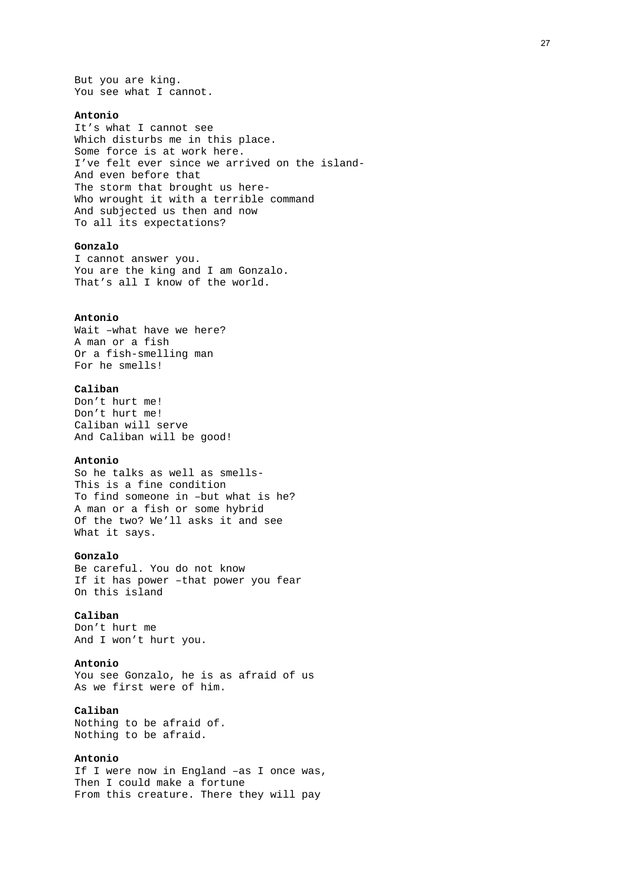But you are king. You see what I cannot.

### **Antonio**

It's what I cannot see Which disturbs me in this place. Some force is at work here. I've felt ever since we arrived on the island-And even before that The storm that brought us here-Who wrought it with a terrible command And subjected us then and now To all its expectations?

# **Gonzalo**

I cannot answer you. You are the king and I am Gonzalo. That's all I know of the world.

### **Antonio**

Wait –what have we here? A man or a fish Or a fish-smelling man For he smells!

### **Caliban**

Don't hurt me! Don't hurt me! Caliban will serve And Caliban will be good!

### **Antonio**

So he talks as well as smells-This is a fine condition To find someone in –but what is he? A man or a fish or some hybrid Of the two? We'll asks it and see What it says.

### **Gonzalo**

Be careful. You do not know If it has power –that power you fear On this island

# **Caliban**

Don't hurt me And I won't hurt you.

### **Antonio**

You see Gonzalo, he is as afraid of us As we first were of him.

# **Caliban**

Nothing to be afraid of. Nothing to be afraid.

# **Antonio**

If I were now in England –as I once was, Then I could make a fortune From this creature. There they will pay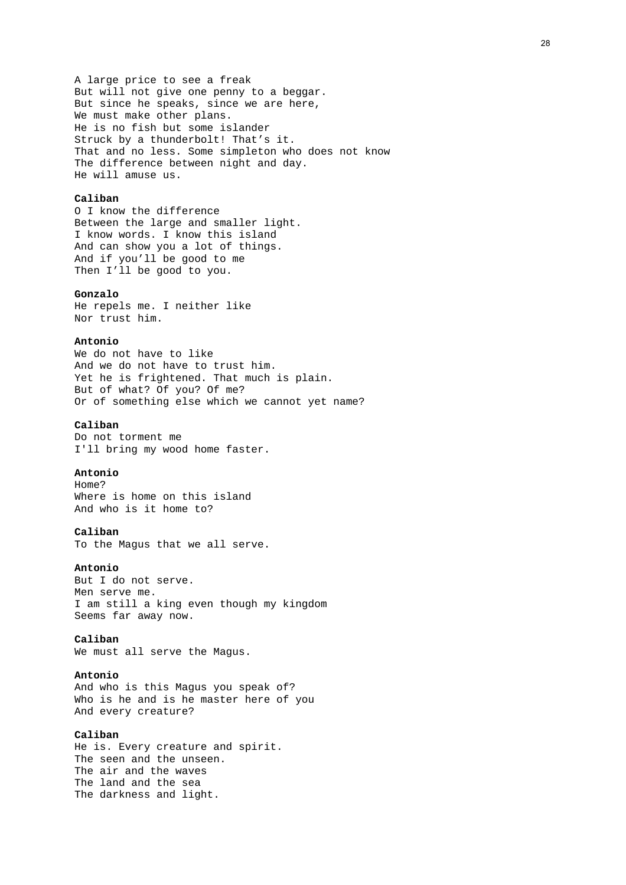A large price to see a freak But will not give one penny to a beggar. But since he speaks, since we are here, We must make other plans. He is no fish but some islander Struck by a thunderbolt! That's it. That and no less. Some simpleton who does not know The difference between night and day. He will amuse us.

# **Caliban**

O I know the difference Between the large and smaller light. I know words. I know this island And can show you a lot of things. And if you'll be good to me Then I'll be good to you.

### **Gonzalo**

He repels me. I neither like Nor trust him.

### **Antonio**

We do not have to like And we do not have to trust him. Yet he is frightened. That much is plain. But of what? Of you? Of me? Or of something else which we cannot yet name?

# **Caliban**

Do not torment me I'll bring my wood home faster.

# **Antonio**

Home? Where is home on this island And who is it home to?

# **Caliban**

To the Magus that we all serve.

# **Antonio**

But I do not serve. Men serve me. I am still a king even though my kingdom Seems far away now.

### **Caliban**

We must all serve the Magus.

# **Antonio**

And who is this Magus you speak of? Who is he and is he master here of you And every creature?

### **Caliban**

He is. Every creature and spirit. The seen and the unseen. The air and the waves The land and the sea The darkness and light.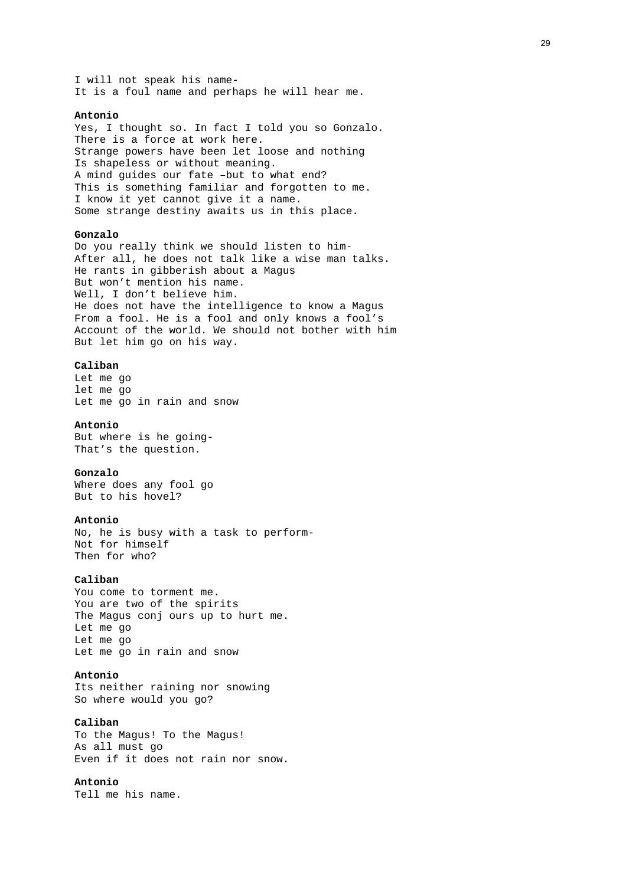I will not speak his name-It is a foul name and perhaps he will hear me.

### **Antonio**

Yes, I thought so. In fact I told you so Gonzalo. There is a force at work here. Strange powers have been let loose and nothing Is shapeless or without meaning. A mind guides our fate –but to what end? This is something familiar and forgotten to me. I know it yet cannot give it a name. Some strange destiny awaits us in this place.

### **Gonzalo**

Do you really think we should listen to him-After all, he does not talk like a wise man talks. He rants in gibberish about a Magus But won't mention his name. Well, I don't believe him. He does not have the intelligence to know a Magus From a fool. He is a fool and only knows a fool's Account of the world. We should not bother with him But let him go on his way.

### **Caliban**

Let me go let me go Let me go in rain and snow

# **Antonio**

But where is he going-That's the question.

### **Gonzalo**

Where does any fool go But to his hovel?

### **Antonio**

No, he is busy with a task to perform-Not for himself Then for who?

### **Caliban**

You come to torment me. You are two of the spirits The Magus conj ours up to hurt me. Let me go Let me go Let me go in rain and snow

# **Antonio**

Its neither raining nor snowing So where would you go?

# **Caliban**

To the Magus! To the Magus! As all must go Even if it does not rain nor snow.

# **Antonio**

Tell me his name.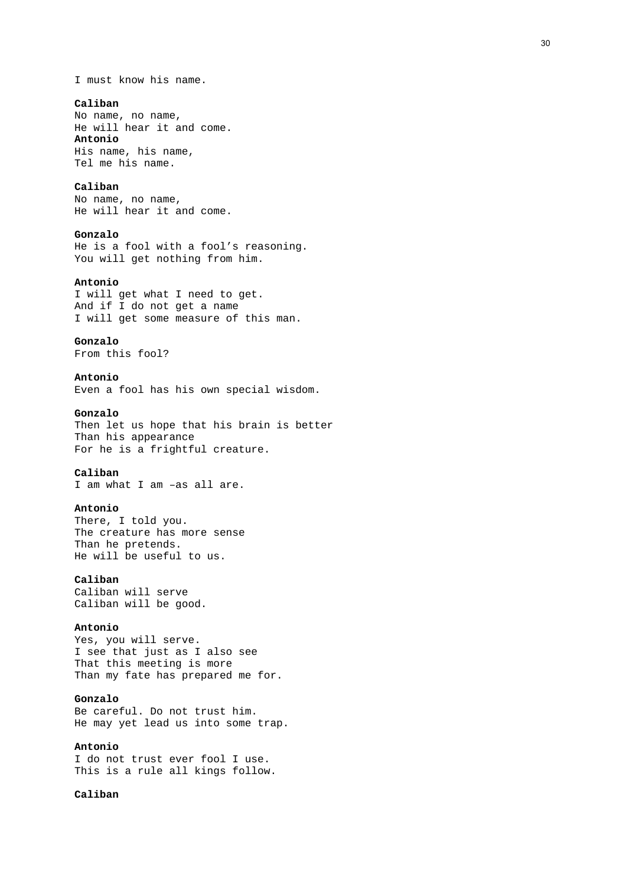I must know his name.

### **Caliban**

No name, no name, He will hear it and come. **Antonio**  His name, his name, Tel me his name.

### **Caliban**

No name, no name, He will hear it and come.

# **Gonzalo**

He is a fool with a fool's reasoning. You will get nothing from him.

### **Antonio**

I will get what I need to get. And if I do not get a name I will get some measure of this man.

# **Gonzalo**

From this fool?

# **Antonio**

Even a fool has his own special wisdom.

# **Gonzalo**

Then let us hope that his brain is better Than his appearance For he is a frightful creature.

# **Caliban**

I am what I am –as all are.

### **Antonio**

There, I told you. The creature has more sense Than he pretends. He will be useful to us.

# **Caliban**

Caliban will serve Caliban will be good.

### **Antonio**

Yes, you will serve. I see that just as I also see That this meeting is more Than my fate has prepared me for.

# **Gonzalo**

Be careful. Do not trust him. He may yet lead us into some trap.

# **Antonio**

I do not trust ever fool I use. This is a rule all kings follow.

### **Caliban**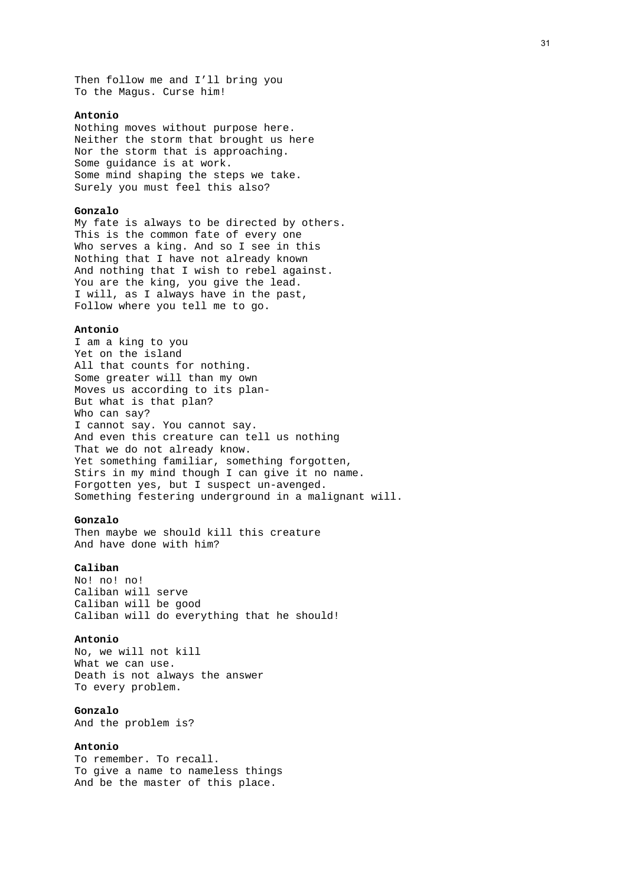Then follow me and I'll bring you To the Magus. Curse him!

### **Antonio**

Nothing moves without purpose here. Neither the storm that brought us here Nor the storm that is approaching. Some guidance is at work. Some mind shaping the steps we take. Surely you must feel this also?

### **Gonzalo**

My fate is always to be directed by others. This is the common fate of every one Who serves a king. And so I see in this Nothing that I have not already known And nothing that I wish to rebel against. You are the king, you give the lead. I will, as I always have in the past, Follow where you tell me to go.

### **Antonio**

I am a king to you Yet on the island All that counts for nothing. Some greater will than my own Moves us according to its plan-But what is that plan? Who can say? I cannot say. You cannot say. And even this creature can tell us nothing That we do not already know. Yet something familiar, something forgotten, Stirs in my mind though I can give it no name. Forgotten yes, but I suspect un-avenged. Something festering underground in a malignant will.

### **Gonzalo**

Then maybe we should kill this creature And have done with him?

# **Caliban**

No! no! no! Caliban will serve Caliban will be good Caliban will do everything that he should!

### **Antonio**

No, we will not kill What we can use. Death is not always the answer To every problem.

# **Gonzalo**

And the problem is?

# **Antonio**

To remember. To recall. To give a name to nameless things And be the master of this place.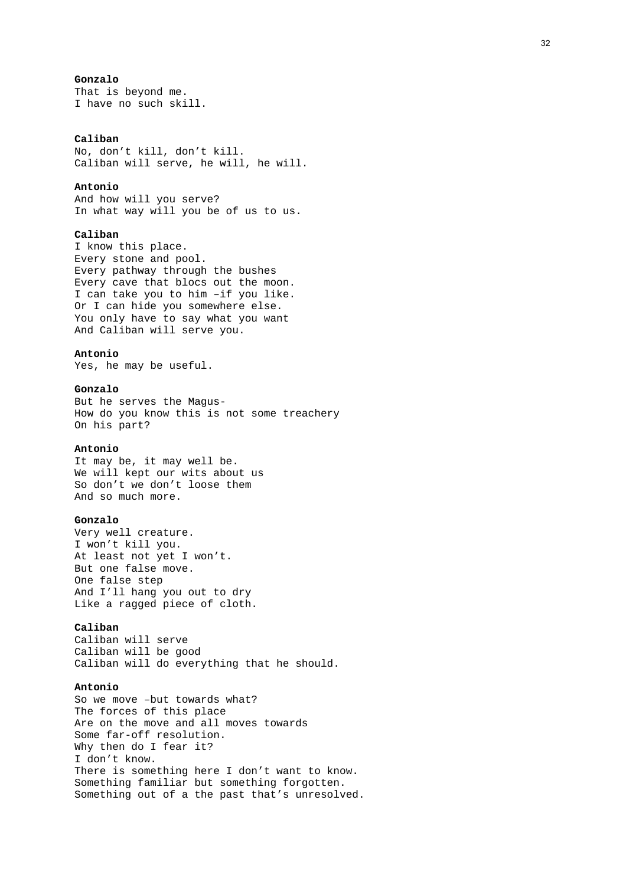# **Gonzalo**

That is beyond me. I have no such skill.

### **Caliban**

No, don't kill, don't kill. Caliban will serve, he will, he will.

# **Antonio**

And how will you serve? In what way will you be of us to us.

# **Caliban**

I know this place. Every stone and pool. Every pathway through the bushes Every cave that blocs out the moon. I can take you to him –if you like. Or I can hide you somewhere else. You only have to say what you want And Caliban will serve you.

# **Antonio**

Yes, he may be useful.

### **Gonzalo**

But he serves the Magus-How do you know this is not some treachery On his part?

### **Antonio**

It may be, it may well be. We will kept our wits about us So don't we don't loose them And so much more.

### **Gonzalo**

Very well creature. I won't kill you. At least not yet I won't. But one false move. One false step And I'll hang you out to dry Like a ragged piece of cloth.

### **Caliban**

Caliban will serve Caliban will be good Caliban will do everything that he should.

### **Antonio**

So we move –but towards what? The forces of this place Are on the move and all moves towards Some far-off resolution. Why then do I fear it? I don't know. There is something here I don't want to know. Something familiar but something forgotten. Something out of a the past that's unresolved.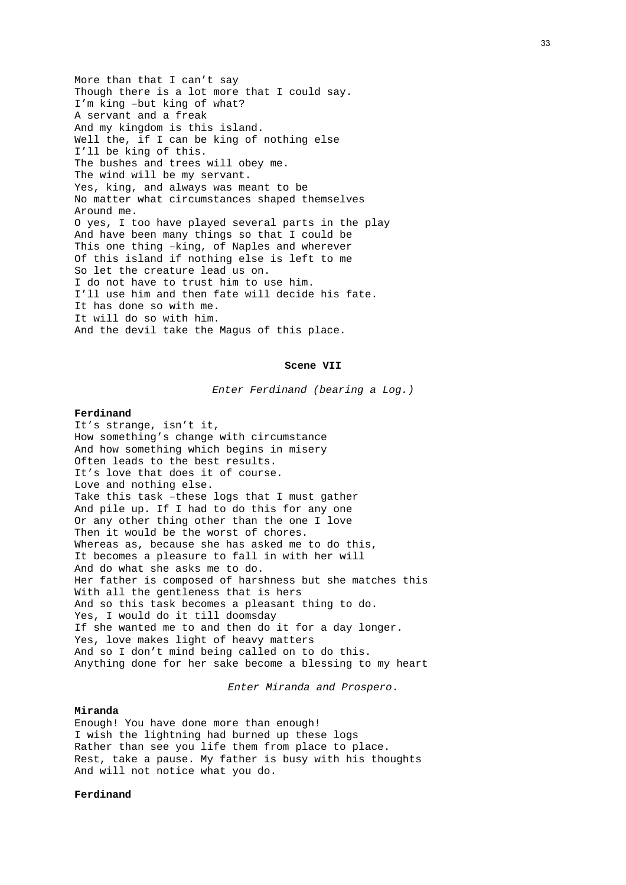More than that I can't say Though there is a lot more that I could say. I'm king –but king of what? A servant and a freak And my kingdom is this island. Well the, if I can be king of nothing else I'll be king of this. The bushes and trees will obey me. The wind will be my servant. Yes, king, and always was meant to be No matter what circumstances shaped themselves Around me. O yes, I too have played several parts in the play And have been many things so that I could be This one thing –king, of Naples and wherever Of this island if nothing else is left to me So let the creature lead us on. I do not have to trust him to use him. I'll use him and then fate will decide his fate. It has done so with me. It will do so with him. And the devil take the Magus of this place.

### **Scene VII**

*Enter Ferdinand (bearing a Log.)* 

### **Ferdinand**

It's strange, isn't it, How something's change with circumstance And how something which begins in misery Often leads to the best results. It's love that does it of course. Love and nothing else. Take this task –these logs that I must gather And pile up. If I had to do this for any one Or any other thing other than the one I love Then it would be the worst of chores. Whereas as, because she has asked me to do this, It becomes a pleasure to fall in with her will And do what she asks me to do. Her father is composed of harshness but she matches this With all the gentleness that is hers And so this task becomes a pleasant thing to do. Yes, I would do it till doomsday If she wanted me to and then do it for a day longer. Yes, love makes light of heavy matters And so I don't mind being called on to do this. Anything done for her sake become a blessing to my heart

*Enter Miranda and Prospero*.

# **Miranda**

Enough! You have done more than enough! I wish the lightning had burned up these logs Rather than see you life them from place to place. Rest, take a pause. My father is busy with his thoughts And will not notice what you do.

# **Ferdinand**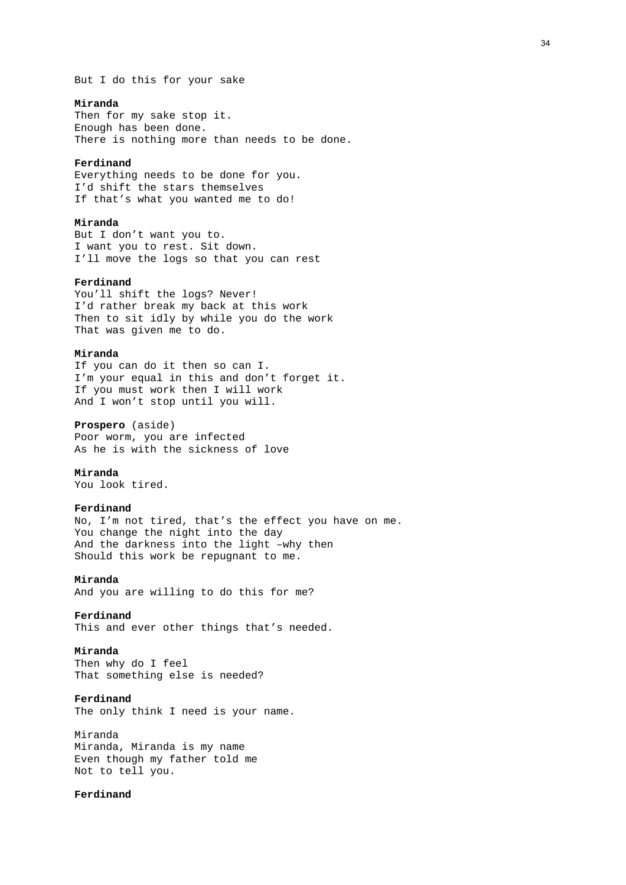But I do this for your sake

# **Miranda**

Then for my sake stop it. Enough has been done. There is nothing more than needs to be done.

### **Ferdinand**

Everything needs to be done for you. I'd shift the stars themselves If that's what you wanted me to do!

### **Miranda**

But I don't want you to. I want you to rest. Sit down. I'll move the logs so that you can rest

# **Ferdinand**

You'll shift the logs? Never! I'd rather break my back at this work Then to sit idly by while you do the work That was given me to do.

# **Miranda**

If you can do it then so can I. I'm your equal in this and don't forget it. If you must work then I will work And I won't stop until you will.

# **Prospero** (aside)

Poor worm, you are infected As he is with the sickness of love

### **Miranda**

You look tired.

# **Ferdinand**

No, I'm not tired, that's the effect you have on me. You change the night into the day And the darkness into the light –why then Should this work be repugnant to me.

### **Miranda**

And you are willing to do this for me?

# **Ferdinand**

This and ever other things that's needed.

### **Miranda**

Then why do I feel That something else is needed?

# **Ferdinand**

The only think I need is your name.

# Miranda Miranda, Miranda is my name Even though my father told me Not to tell you.

# **Ferdinand**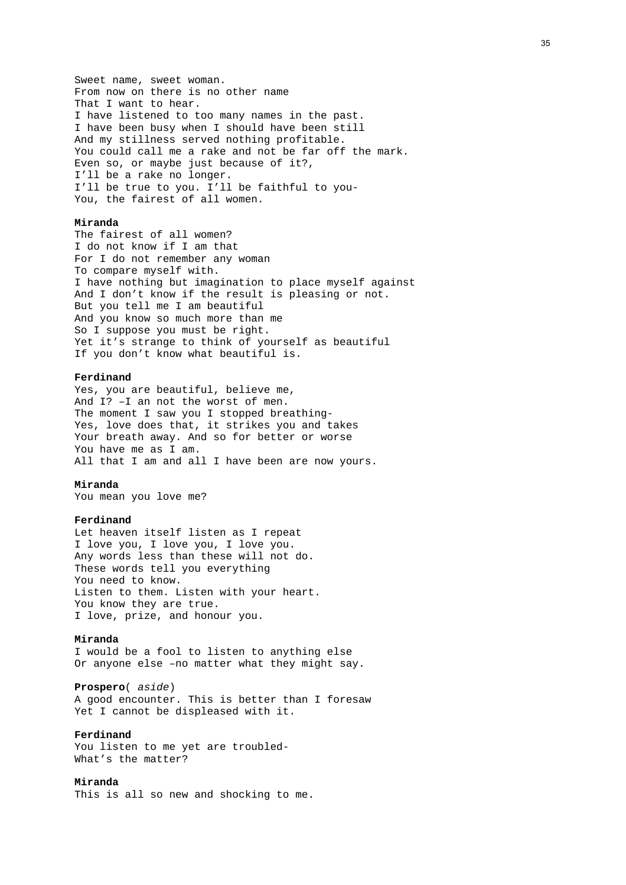Sweet name, sweet woman. From now on there is no other name That I want to hear. I have listened to too many names in the past. I have been busy when I should have been still And my stillness served nothing profitable. You could call me a rake and not be far off the mark. Even so, or maybe just because of it?, I'll be a rake no longer. I'll be true to you. I'll be faithful to you-You, the fairest of all women.

### **Miranda**

The fairest of all women? I do not know if I am that For I do not remember any woman To compare myself with. I have nothing but imagination to place myself against And I don't know if the result is pleasing or not. But you tell me I am beautiful And you know so much more than me So I suppose you must be right. Yet it's strange to think of yourself as beautiful If you don't know what beautiful is.

### **Ferdinand**

Yes, you are beautiful, believe me, And I? –I an not the worst of men. The moment I saw you I stopped breathing-Yes, love does that, it strikes you and takes Your breath away. And so for better or worse You have me as I am. All that I am and all I have been are now yours.

### **Miranda**

You mean you love me?

### **Ferdinand**

Let heaven itself listen as I repeat I love you, I love you, I love you. Any words less than these will not do. These words tell you everything You need to know. Listen to them. Listen with your heart. You know they are true. I love, prize, and honour you.

# **Miranda**

I would be a fool to listen to anything else Or anyone else –no matter what they might say.

### **Prospero**( *aside*)

A good encounter. This is better than I foresaw Yet I cannot be displeased with it.

### **Ferdinand**

You listen to me yet are troubled-What's the matter?

# **Miranda**

This is all so new and shocking to me.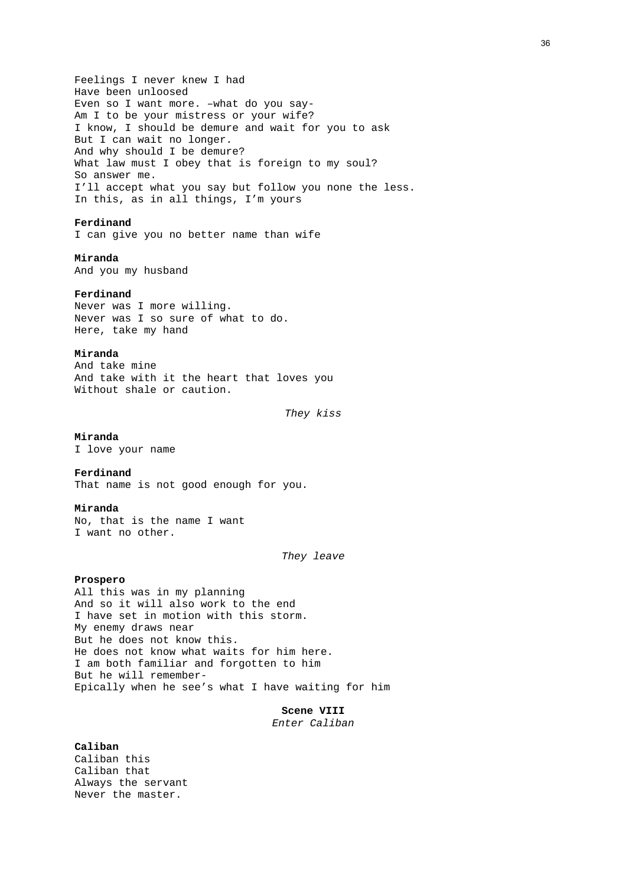Feelings I never knew I had Have been unloosed Even so I want more. –what do you say-Am I to be your mistress or your wife? I know, I should be demure and wait for you to ask But I can wait no longer. And why should I be demure? What law must I obey that is foreign to my soul? So answer me. I'll accept what you say but follow you none the less. In this, as in all things, I'm yours

## **Ferdinand**

I can give you no better name than wife

## **Miranda**

And you my husband

#### **Ferdinand**

Never was I more willing. Never was I so sure of what to do. Here, take my hand

### **Miranda**

And take mine And take with it the heart that loves you Without shale or caution.

*They kiss* 

#### **Miranda**

I love your name

#### **Ferdinand**

That name is not good enough for you.

#### **Miranda**

No, that is the name I want I want no other.

*They leave* 

#### **Prospero**

All this was in my planning And so it will also work to the end I have set in motion with this storm. My enemy draws near But he does not know this. He does not know what waits for him here. I am both familiar and forgotten to him But he will remember-Epically when he see's what I have waiting for him

**Scene VIII** 

*Enter Caliban* 

#### **Caliban**

Caliban this Caliban that Always the servant Never the master.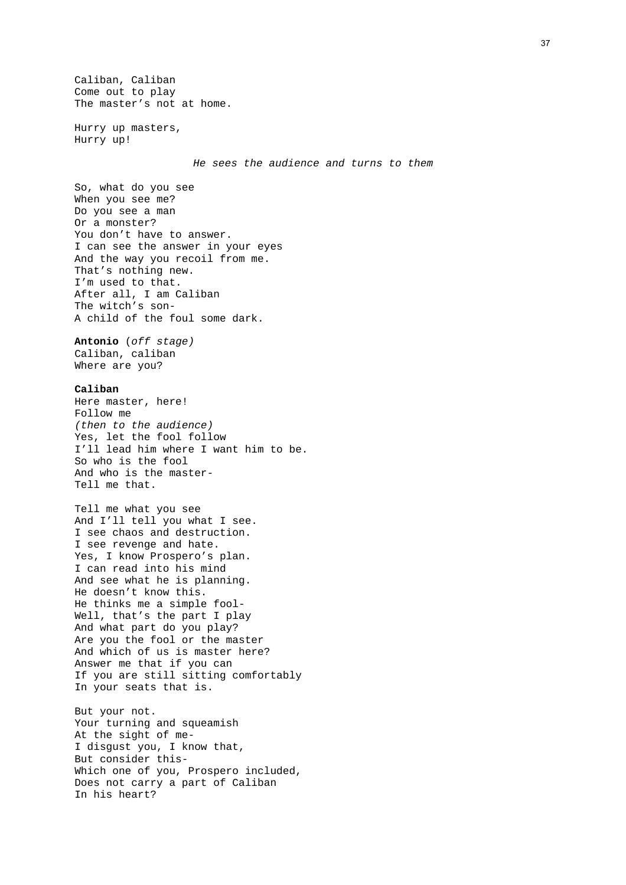Caliban, Caliban Come out to play The master's not at home.

Hurry up masters, Hurry up!

*He sees the audience and turns to them* 

So, what do you see When you see me? Do you see a man Or a monster? You don't have to answer. I can see the answer in your eyes And the way you recoil from me. That's nothing new. I'm used to that. After all, I am Caliban The witch's son-A child of the foul some dark.

**Antonio** (*off stage)* Caliban, caliban Where are you?

## **Caliban**

Here master, here! Follow me *(then to the audience)*  Yes, let the fool follow I'll lead him where I want him to be. So who is the fool And who is the master-Tell me that.

Tell me what you see And I'll tell you what I see. I see chaos and destruction. I see revenge and hate. Yes, I know Prospero's plan. I can read into his mind And see what he is planning. He doesn't know this. He thinks me a simple fool-Well, that's the part I play And what part do you play? Are you the fool or the master And which of us is master here? Answer me that if you can If you are still sitting comfortably In your seats that is.

But your not. Your turning and squeamish At the sight of me-I disgust you, I know that, But consider this-Which one of you, Prospero included, Does not carry a part of Caliban In his heart?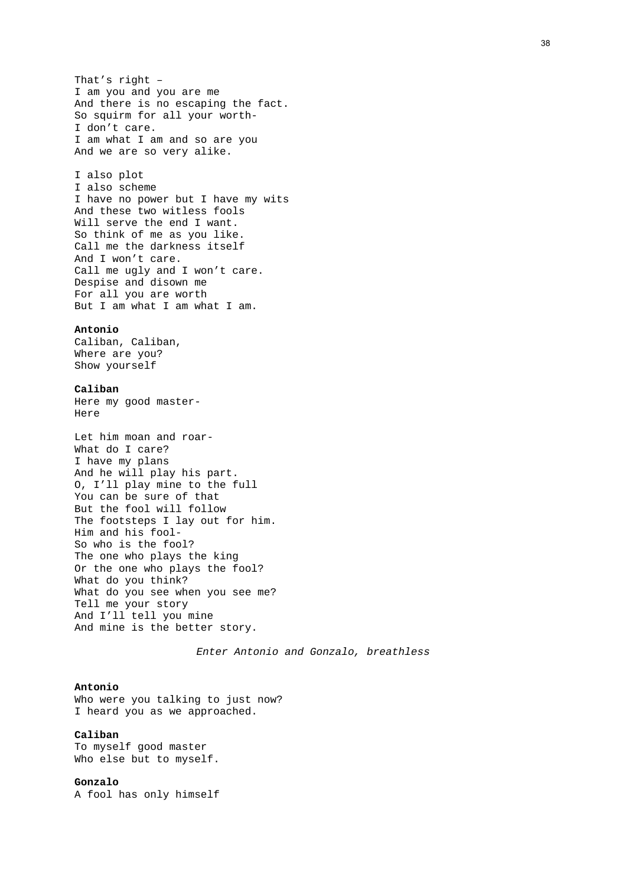That's right – I am you and you are me And there is no escaping the fact. So squirm for all your worth-I don't care. I am what I am and so are you And we are so very alike.

I also plot I also scheme I have no power but I have my wits And these two witless fools Will serve the end I want. So think of me as you like. Call me the darkness itself And I won't care. Call me ugly and I won't care. Despise and disown me For all you are worth But I am what I am what I am.

#### **Antonio**

Caliban, Caliban, Where are you? Show yourself

### **Caliban**

Here my good master-Here

```
Let him moan and roar-
What do I care? 
I have my plans 
And he will play his part. 
O, I'll play mine to the full 
You can be sure of that 
But the fool will follow 
The footsteps I lay out for him. 
Him and his fool-
So who is the fool? 
The one who plays the king 
Or the one who plays the fool? 
What do you think? 
What do you see when you see me? 
Tell me your story 
And I'll tell you mine 
And mine is the better story.
```
*Enter Antonio and Gonzalo, breathless* 

#### **Antonio**

Who were you talking to just now? I heard you as we approached.

### **Caliban**

To myself good master Who else but to myself.

## **Gonzalo**

A fool has only himself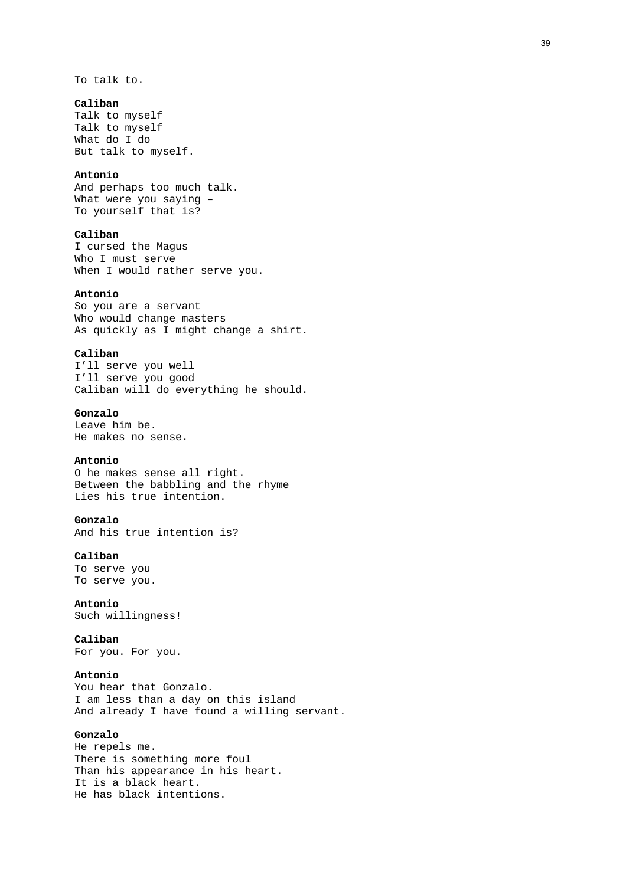To talk to.

### **Caliban**

Talk to myself Talk to myself What do I do But talk to myself.

## **Antonio**

And perhaps too much talk. What were you saying – To yourself that is?

## **Caliban**

I cursed the Magus Who I must serve When I would rather serve you.

#### **Antonio**

So you are a servant Who would change masters As quickly as I might change a shirt.

### **Caliban**

I'll serve you well I'll serve you good Caliban will do everything he should.

## **Gonzalo**

Leave him be. He makes no sense.

## **Antonio**

O he makes sense all right. Between the babbling and the rhyme Lies his true intention.

#### **Gonzalo**

And his true intention is?

## **Caliban**

To serve you To serve you.

## **Antonio**

Such willingness!

## **Caliban**

For you. For you.

## **Antonio**

You hear that Gonzalo. I am less than a day on this island And already I have found a willing servant.

## **Gonzalo**

He repels me. There is something more foul Than his appearance in his heart. It is a black heart. He has black intentions.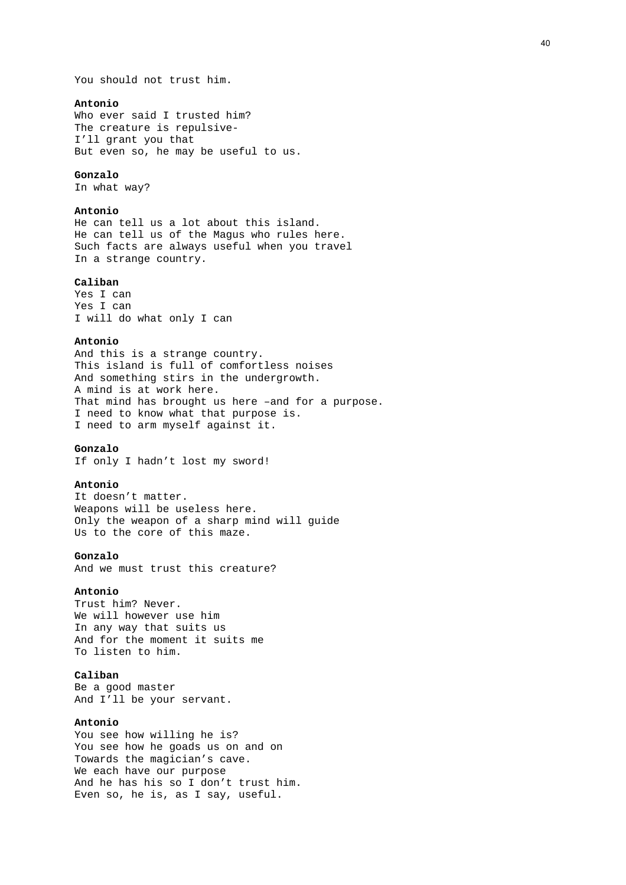### **Antonio**

Who ever said I trusted him? The creature is repulsive-I'll grant you that But even so, he may be useful to us.

#### **Gonzalo**

In what way?

### **Antonio**

He can tell us a lot about this island. He can tell us of the Magus who rules here. Such facts are always useful when you travel In a strange country.

### **Caliban**

Yes I can Yes I can I will do what only I can

### **Antonio**

And this is a strange country. This island is full of comfortless noises And something stirs in the undergrowth. A mind is at work here. That mind has brought us here –and for a purpose. I need to know what that purpose is. I need to arm myself against it.

## **Gonzalo**

If only I hadn't lost my sword!

#### **Antonio**

It doesn't matter. Weapons will be useless here. Only the weapon of a sharp mind will guide Us to the core of this maze.

#### **Gonzalo**

And we must trust this creature?

### **Antonio**

Trust him? Never. We will however use him In any way that suits us And for the moment it suits me To listen to him.

## **Caliban**

Be a good master And I'll be your servant.

#### **Antonio**

You see how willing he is? You see how he goads us on and on Towards the magician's cave. We each have our purpose And he has his so I don't trust him. Even so, he is, as I say, useful.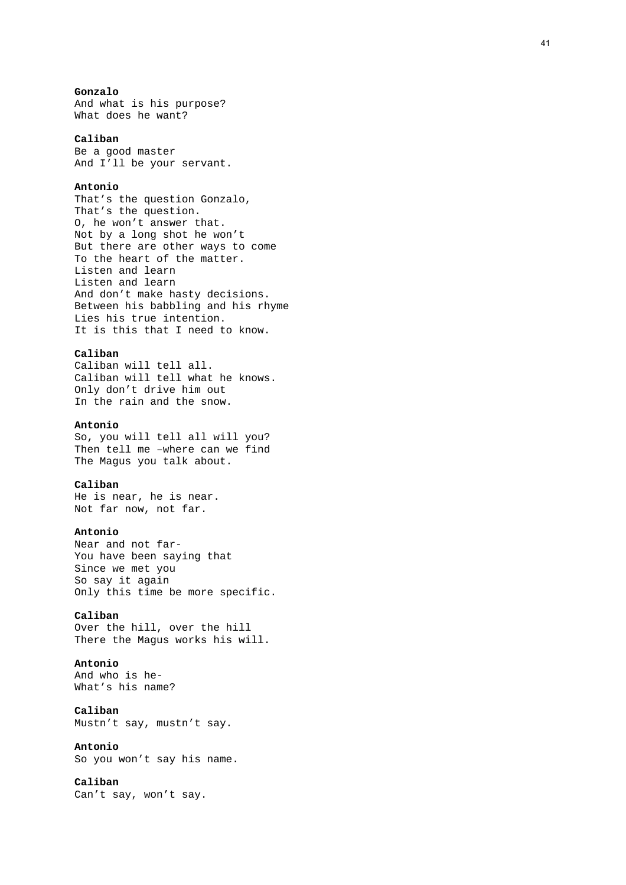## **Gonzalo**

And what is his purpose? What does he want?

### **Caliban**

Be a good master And I'll be your servant.

#### **Antonio**

That's the question Gonzalo, That's the question. O, he won't answer that. Not by a long shot he won't But there are other ways to come To the heart of the matter. Listen and learn Listen and learn And don't make hasty decisions. Between his babbling and his rhyme Lies his true intention. It is this that I need to know.

#### **Caliban**

Caliban will tell all. Caliban will tell what he knows. Only don't drive him out In the rain and the snow.

### **Antonio**

So, you will tell all will you? Then tell me –where can we find The Magus you talk about.

### **Caliban**

He is near, he is near. Not far now, not far.

## **Antonio**

Near and not far-You have been saying that Since we met you So say it again Only this time be more specific.

### **Caliban**

Over the hill, over the hill There the Magus works his will.

## **Antonio**

And who is he-What's his name?

**Caliban**  Mustn't say, mustn't say.

#### **Antonio**

So you won't say his name.

### **Caliban**

Can't say, won't say.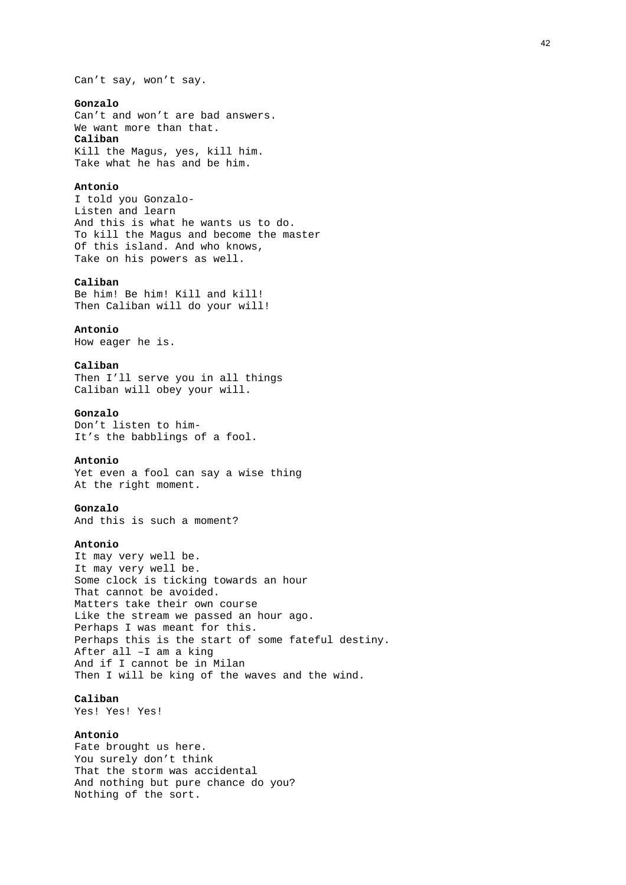Can't say, won't say.

### **Gonzalo**

Can't and won't are bad answers. We want more than that. **Caliban**  Kill the Magus, yes, kill him. Take what he has and be him.

#### **Antonio**

I told you Gonzalo-Listen and learn And this is what he wants us to do. To kill the Magus and become the master Of this island. And who knows, Take on his powers as well.

### **Caliban**

Be him! Be him! Kill and kill! Then Caliban will do your will!

### **Antonio**

How eager he is.

## **Caliban**

Then I'll serve you in all things Caliban will obey your will.

## **Gonzalo**

Don't listen to him-It's the babblings of a fool.

## **Antonio**

Yet even a fool can say a wise thing At the right moment.

#### **Gonzalo**

And this is such a moment?

### **Antonio**

It may very well be. It may very well be. Some clock is ticking towards an hour That cannot be avoided. Matters take their own course Like the stream we passed an hour ago. Perhaps I was meant for this. Perhaps this is the start of some fateful destiny. After all –I am a king And if I cannot be in Milan Then I will be king of the waves and the wind.

## **Caliban**

Yes! Yes! Yes!

## **Antonio**

Fate brought us here. You surely don't think That the storm was accidental And nothing but pure chance do you? Nothing of the sort.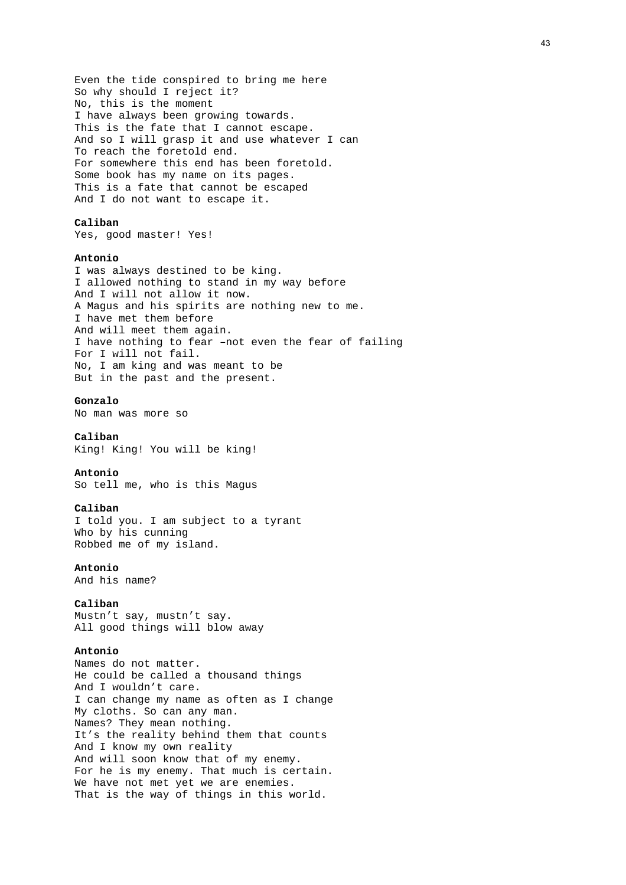Even the tide conspired to bring me here So why should I reject it? No, this is the moment I have always been growing towards. This is the fate that I cannot escape. And so I will grasp it and use whatever I can To reach the foretold end. For somewhere this end has been foretold. Some book has my name on its pages. This is a fate that cannot be escaped And I do not want to escape it.

## **Caliban**

Yes, good master! Yes!

#### **Antonio**

I was always destined to be king. I allowed nothing to stand in my way before And I will not allow it now. A Magus and his spirits are nothing new to me. I have met them before And will meet them again. I have nothing to fear –not even the fear of failing For I will not fail. No, I am king and was meant to be But in the past and the present.

## **Gonzalo**

No man was more so

### **Caliban**

King! King! You will be king!

#### **Antonio**

So tell me, who is this Magus

#### **Caliban**

I told you. I am subject to a tyrant Who by his cunning Robbed me of my island.

### **Antonio**

And his name?

### **Caliban**

Mustn't say, mustn't say. All good things will blow away

#### **Antonio**

Names do not matter. He could be called a thousand things And I wouldn't care. I can change my name as often as I change My cloths. So can any man. Names? They mean nothing. It's the reality behind them that counts And I know my own reality And will soon know that of my enemy. For he is my enemy. That much is certain. We have not met yet we are enemies. That is the way of things in this world.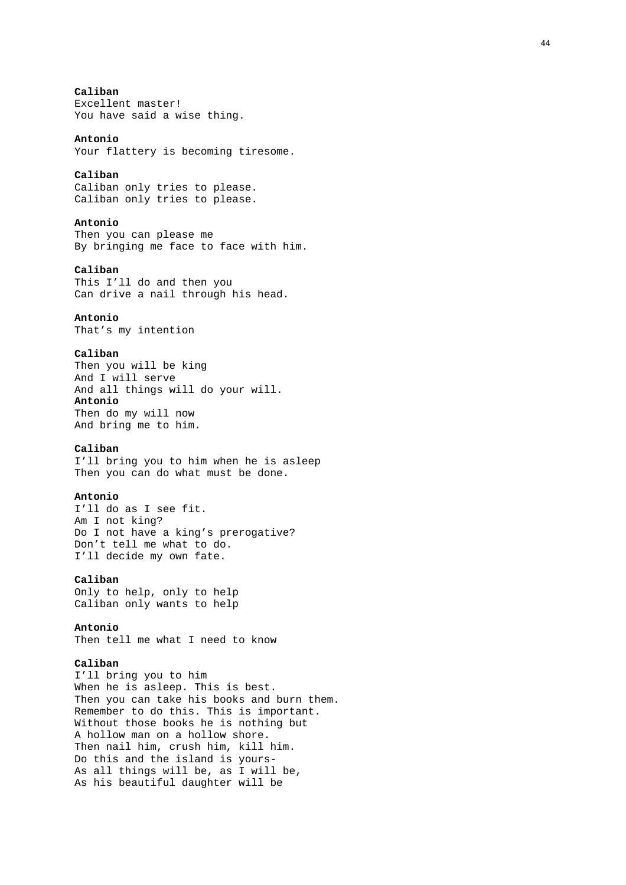# **Caliban**

Excellent master! You have said a wise thing.

#### **Antonio**

Your flattery is becoming tiresome.

## **Caliban**

Caliban only tries to please. Caliban only tries to please.

## **Antonio**

Then you can please me By bringing me face to face with him.

## **Caliban**

This I'll do and then you Can drive a nail through his head.

## **Antonio**

That's my intention

## **Caliban**

Then you will be king And I will serve And all things will do your will. **Antonio**  Then do my will now And bring me to him.

## **Caliban**

I'll bring you to him when he is asleep Then you can do what must be done.

## **Antonio**

I'll do as I see fit. Am I not king? Do I not have a king's prerogative? Don't tell me what to do. I'll decide my own fate.

## **Caliban**

Only to help, only to help Caliban only wants to help

## **Antonio**

Then tell me what I need to know

## **Caliban**

I'll bring you to him When he is asleep. This is best. Then you can take his books and burn them. Remember to do this. This is important. Without those books he is nothing but A hollow man on a hollow shore. Then nail him, crush him, kill him. Do this and the island is yours-As all things will be, as I will be, As his beautiful daughter will be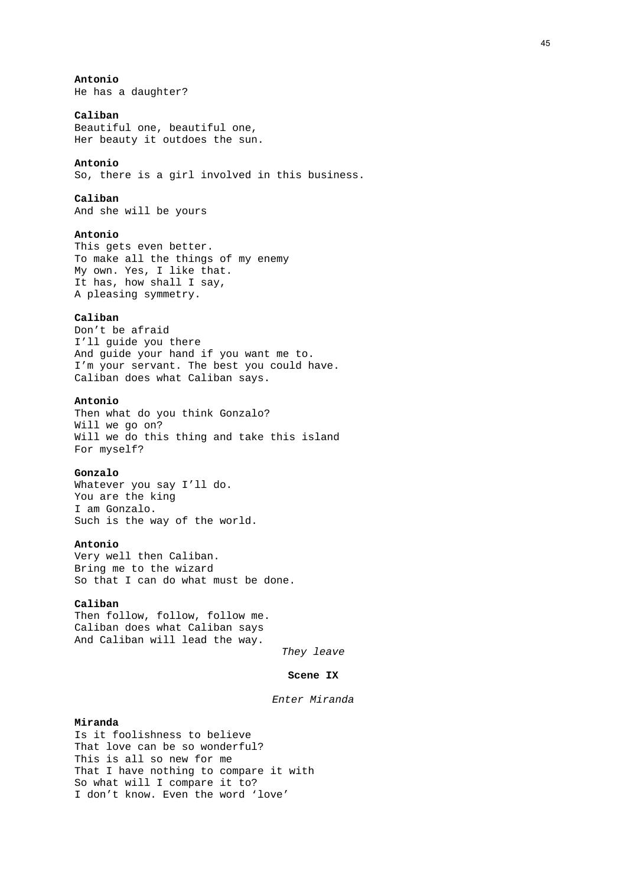**Antonio**  He has a daughter?

## **Caliban**

Beautiful one, beautiful one, Her beauty it outdoes the sun.

#### **Antonio**

So, there is a girl involved in this business.

## **Caliban**

And she will be yours

## **Antonio**

This gets even better. To make all the things of my enemy My own. Yes, I like that. It has, how shall I say, A pleasing symmetry.

### **Caliban**

Don't be afraid I'll guide you there And guide your hand if you want me to. I'm your servant. The best you could have. Caliban does what Caliban says.

### **Antonio**

Then what do you think Gonzalo? Will we go on? Will we do this thing and take this island For myself?

## **Gonzalo**

Whatever you say I'll do. You are the king I am Gonzalo. Such is the way of the world.

### **Antonio**

Very well then Caliban. Bring me to the wizard So that I can do what must be done.

### **Caliban**

Then follow, follow, follow me. Caliban does what Caliban says And Caliban will lead the way.

*They leave* 

#### **Scene IX**

## *Enter Miranda*

#### **Miranda**

Is it foolishness to believe That love can be so wonderful? This is all so new for me That I have nothing to compare it with So what will I compare it to? I don't know. Even the word 'love'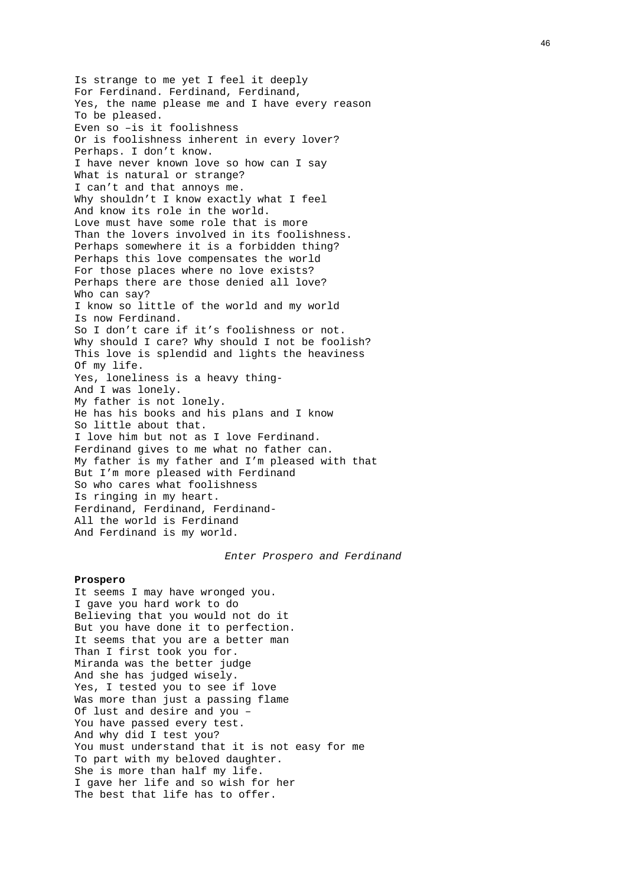Is strange to me yet I feel it deeply For Ferdinand. Ferdinand, Ferdinand, Yes, the name please me and I have every reason To be pleased. Even so –is it foolishness Or is foolishness inherent in every lover? Perhaps. I don't know. I have never known love so how can I say What is natural or strange? I can't and that annoys me. Why shouldn't I know exactly what I feel And know its role in the world. Love must have some role that is more Than the lovers involved in its foolishness. Perhaps somewhere it is a forbidden thing? Perhaps this love compensates the world For those places where no love exists? Perhaps there are those denied all love? Who can say? I know so little of the world and my world Is now Ferdinand. So I don't care if it's foolishness or not. Why should I care? Why should I not be foolish? This love is splendid and lights the heaviness Of my life. Yes, loneliness is a heavy thing-And I was lonely. My father is not lonely. He has his books and his plans and I know So little about that. I love him but not as I love Ferdinand. Ferdinand gives to me what no father can. My father is my father and I'm pleased with that But I'm more pleased with Ferdinand So who cares what foolishness Is ringing in my heart. Ferdinand, Ferdinand, Ferdinand-All the world is Ferdinand And Ferdinand is my world.

#### *Enter Prospero and Ferdinand*

#### **Prospero**

It seems I may have wronged you. I gave you hard work to do Believing that you would not do it But you have done it to perfection. It seems that you are a better man Than I first took you for. Miranda was the better judge And she has judged wisely. Yes, I tested you to see if love Was more than just a passing flame Of lust and desire and you – You have passed every test. And why did I test you? You must understand that it is not easy for me To part with my beloved daughter. She is more than half my life. I gave her life and so wish for her The best that life has to offer.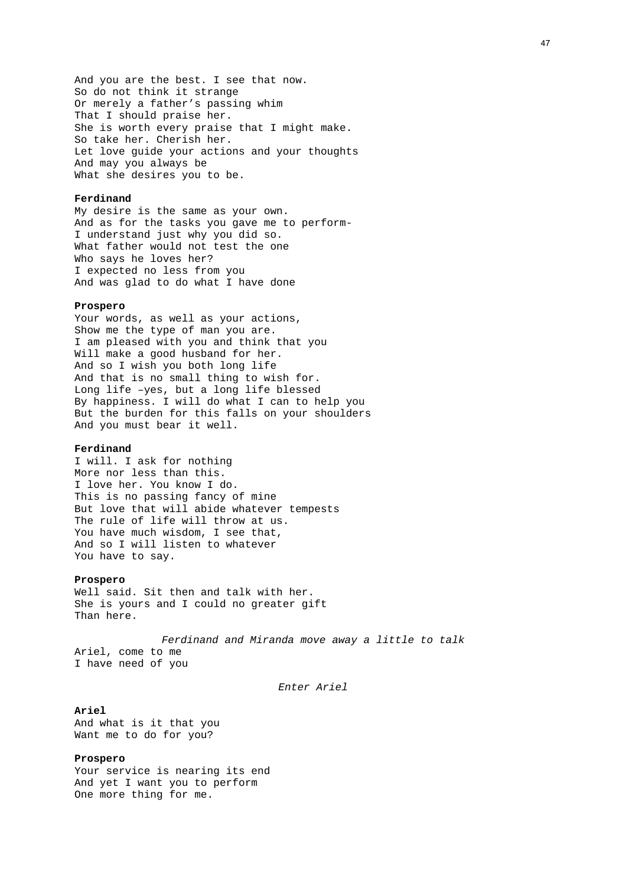And you are the best. I see that now. So do not think it strange Or merely a father's passing whim That I should praise her. She is worth every praise that I might make. So take her. Cherish her. Let love guide your actions and your thoughts And may you always be What she desires you to be.

#### **Ferdinand**

My desire is the same as your own. And as for the tasks you gave me to perform-I understand just why you did so. What father would not test the one Who says he loves her? I expected no less from you And was glad to do what I have done

#### **Prospero**

Your words, as well as your actions, Show me the type of man you are. I am pleased with you and think that you Will make a good husband for her. And so I wish you both long life And that is no small thing to wish for. Long life –yes, but a long life blessed By happiness. I will do what I can to help you But the burden for this falls on your shoulders And you must bear it well.

#### **Ferdinand**

I will. I ask for nothing More nor less than this. I love her. You know I do. This is no passing fancy of mine But love that will abide whatever tempests The rule of life will throw at us. You have much wisdom, I see that, And so I will listen to whatever You have to say.

#### **Prospero**

Well said. Sit then and talk with her. She is yours and I could no greater gift Than here.

*Ferdinand and Miranda move away a little to talk*  Ariel, come to me I have need of you

*Enter Ariel* 

#### **Ariel**

And what is it that you Want me to do for you?

### **Prospero**

Your service is nearing its end And yet I want you to perform One more thing for me.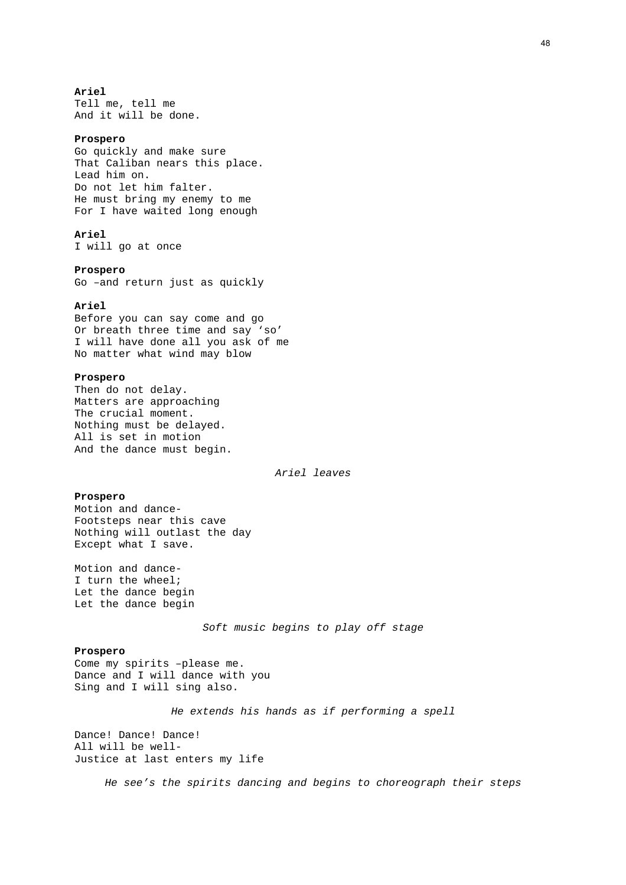#### **Ariel**

Tell me, tell me And it will be done.

#### **Prospero**

Go quickly and make sure That Caliban nears this place. Lead him on. Do not let him falter. He must bring my enemy to me For I have waited long enough

## **Ariel**

I will go at once

#### **Prospero**

Go –and return just as quickly

### **Ariel**

Before you can say come and go Or breath three time and say 'so' I will have done all you ask of me No matter what wind may blow

### **Prospero**

Then do not delay. Matters are approaching The crucial moment. Nothing must be delayed. All is set in motion And the dance must begin.

*Ariel leaves* 

## **Prospero**

Motion and dance-Footsteps near this cave Nothing will outlast the day Except what I save.

Motion and dance-I turn the wheel; Let the dance begin Let the dance begin

*Soft music begins to play off stage* 

## **Prospero**

Come my spirits –please me. Dance and I will dance with you Sing and I will sing also.

*He extends his hands as if performing a spell* 

Dance! Dance! Dance! All will be well-Justice at last enters my life

*He see's the spirits dancing and begins to choreograph their steps*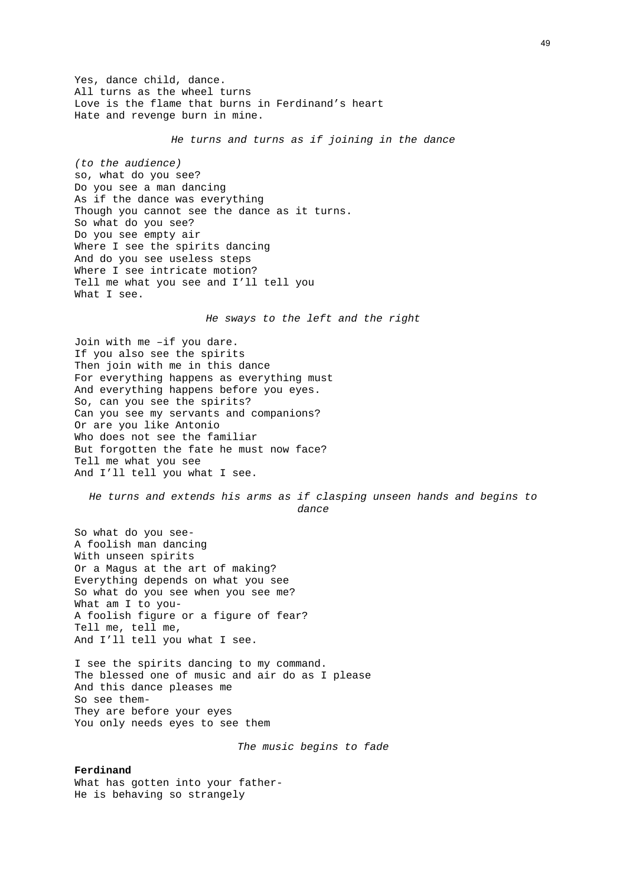Yes, dance child, dance. All turns as the wheel turns Love is the flame that burns in Ferdinand's heart Hate and revenge burn in mine.

*He turns and turns as if joining in the dance*

*(to the audience)*  so, what do you see? Do you see a man dancing As if the dance was everything Though you cannot see the dance as it turns. So what do you see? Do you see empty air Where I see the spirits dancing And do you see useless steps Where I see intricate motion? Tell me what you see and I'll tell you What I see.

*He sways to the left and the right* 

Join with me –if you dare. If you also see the spirits Then join with me in this dance For everything happens as everything must And everything happens before you eyes. So, can you see the spirits? Can you see my servants and companions? Or are you like Antonio Who does not see the familiar But forgotten the fate he must now face? Tell me what you see And I'll tell you what I see.

*He turns and extends his arms as if clasping unseen hands and begins to dance* 

So what do you see-A foolish man dancing With unseen spirits Or a Magus at the art of making? Everything depends on what you see So what do you see when you see me? What am I to you-A foolish figure or a figure of fear? Tell me, tell me, And I'll tell you what I see.

I see the spirits dancing to my command. The blessed one of music and air do as I please And this dance pleases me So see them-They are before your eyes You only needs eyes to see them

*The music begins to fade* 

#### **Ferdinand**

What has gotten into your father-He is behaving so strangely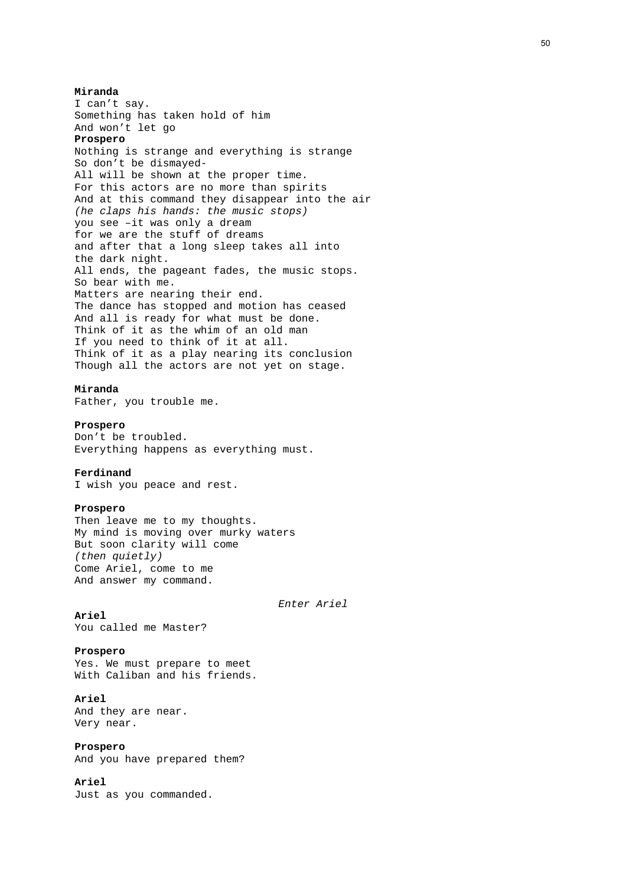**Miranda**  I can't say. Something has taken hold of him And won't let go **Prospero**  Nothing is strange and everything is strange So don't be dismayed-All will be shown at the proper time. For this actors are no more than spirits And at this command they disappear into the air *(he claps his hands: the music stops)*  you see –it was only a dream for we are the stuff of dreams and after that a long sleep takes all into the dark night. All ends, the pageant fades, the music stops. So bear with me. Matters are nearing their end. The dance has stopped and motion has ceased And all is ready for what must be done. Think of it as the whim of an old man If you need to think of it at all. Think of it as a play nearing its conclusion Though all the actors are not yet on stage. **Miranda**  Father, you trouble me. **Prospero**  Don't be troubled. Everything happens as everything must. **Ferdinand**  I wish you peace and rest. **Prospero**  Then leave me to my thoughts. My mind is moving over murky waters But soon clarity will come *(then quietly)*  Come Ariel, come to me And answer my command. *Enter Ariel*  **Ariel**  You called me Master? **Prospero** 

Yes. We must prepare to meet With Caliban and his friends.

## **Ariel**

And they are near. Very near.

### **Prospero**

And you have prepared them?

## **Ariel**

Just as you commanded.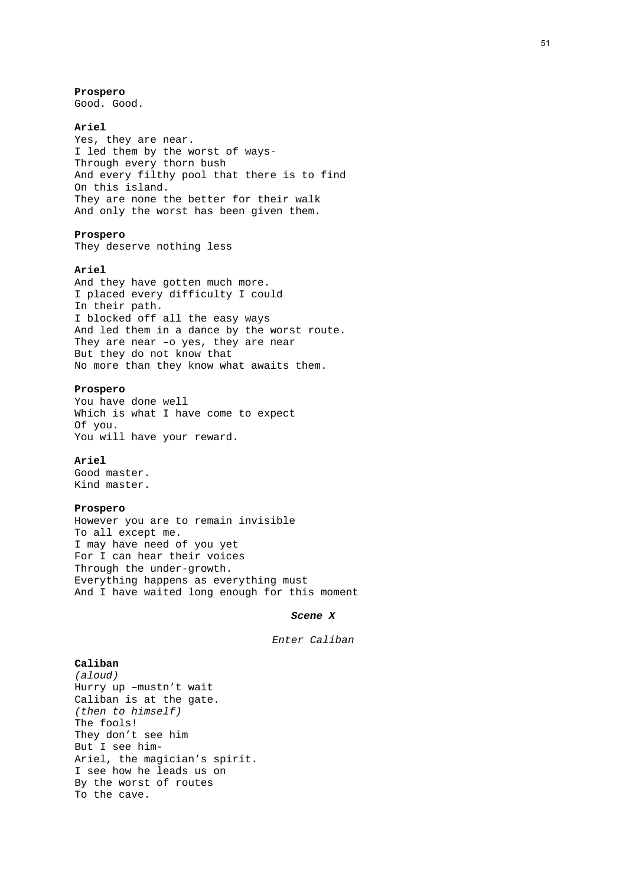**Prospero**  Good. Good.

#### **Ariel**

Yes, they are near. I led them by the worst of ways-Through every thorn bush And every filthy pool that there is to find On this island. They are none the better for their walk And only the worst has been given them.

## **Prospero**

They deserve nothing less

## **Ariel**

And they have gotten much more. I placed every difficulty I could In their path. I blocked off all the easy ways And led them in a dance by the worst route. They are near -o yes, they are near But they do not know that No more than they know what awaits them.

### **Prospero**

You have done well Which is what I have come to expect Of you. You will have your reward.

#### **Ariel**

Good master. Kind master.

#### **Prospero**

However you are to remain invisible To all except me. I may have need of you yet For I can hear their voices Through the under-growth. Everything happens as everything must And I have waited long enough for this moment

### *Scene X*

*Enter Caliban* 

## **Caliban**

*(aloud)*  Hurry up –mustn't wait Caliban is at the gate. *(then to himself)*  The fools! They don't see him But I see him-Ariel, the magician's spirit. I see how he leads us on By the worst of routes To the cave.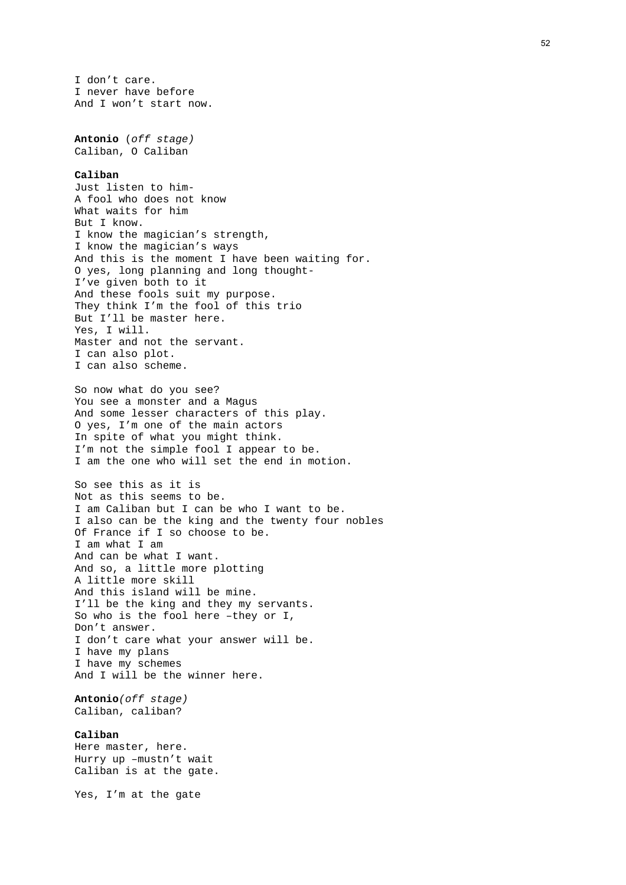I don't care. I never have before And I won't start now.

**Antonio** (*off stage)* Caliban, O Caliban

#### **Caliban**

Just listen to him-A fool who does not know What waits for him But I know. I know the magician's strength, I know the magician's ways And this is the moment I have been waiting for. O yes, long planning and long thought-I've given both to it And these fools suit my purpose. They think I'm the fool of this trio But I'll be master here. Yes, I will. Master and not the servant. I can also plot. I can also scheme.

So now what do you see? You see a monster and a Magus And some lesser characters of this play. O yes, I'm one of the main actors In spite of what you might think. I'm not the simple fool I appear to be. I am the one who will set the end in motion.

So see this as it is Not as this seems to be. I am Caliban but I can be who I want to be. I also can be the king and the twenty four nobles Of France if I so choose to be. I am what I am And can be what I want. And so, a little more plotting A little more skill And this island will be mine. I'll be the king and they my servants. So who is the fool here –they or I, Don't answer. I don't care what your answer will be. I have my plans I have my schemes And I will be the winner here.

**Antonio***(off stage)* Caliban, caliban?

### **Caliban**

Here master, here. Hurry up –mustn't wait Caliban is at the gate.

Yes, I'm at the gate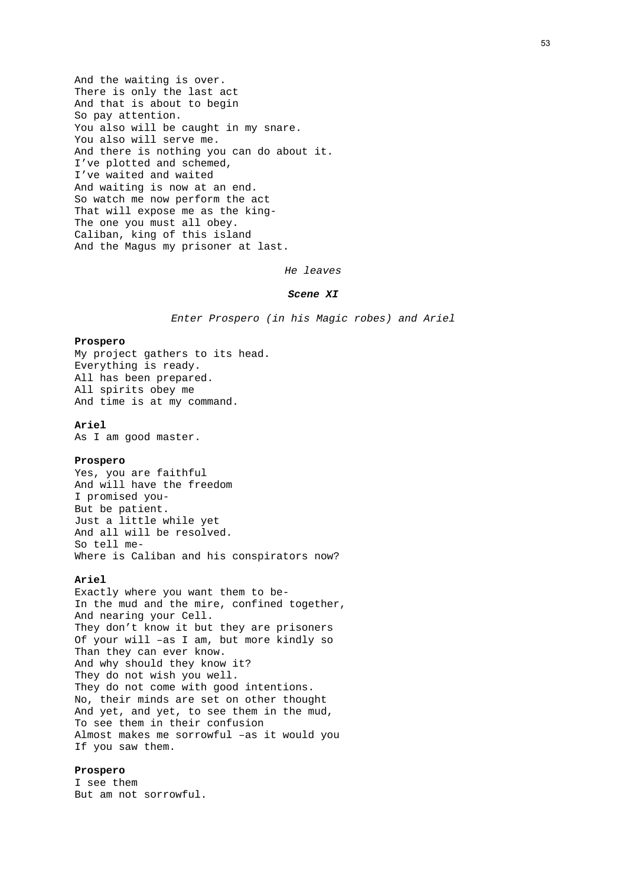And the waiting is over. There is only the last act And that is about to begin So pay attention. You also will be caught in my snare. You also will serve me. And there is nothing you can do about it. I've plotted and schemed, I've waited and waited And waiting is now at an end. So watch me now perform the act That will expose me as the king-The one you must all obey. Caliban, king of this island And the Magus my prisoner at last.

*He leaves* 

### *Scene XI*

*Enter Prospero (in his Magic robes) and Ariel* 

#### **Prospero**

My project gathers to its head. Everything is ready. All has been prepared. All spirits obey me And time is at my command.

## **Ariel**

As I am good master.

### **Prospero**

Yes, you are faithful And will have the freedom I promised you-But be patient. Just a little while yet And all will be resolved. So tell me-Where is Caliban and his conspirators now?

#### **Ariel**

Exactly where you want them to be-In the mud and the mire, confined together, And nearing your Cell. They don't know it but they are prisoners Of your will –as I am, but more kindly so Than they can ever know. And why should they know it? They do not wish you well. They do not come with good intentions. No, their minds are set on other thought And yet, and yet, to see them in the mud, To see them in their confusion Almost makes me sorrowful –as it would you If you saw them.

## **Prospero**

I see them But am not sorrowful.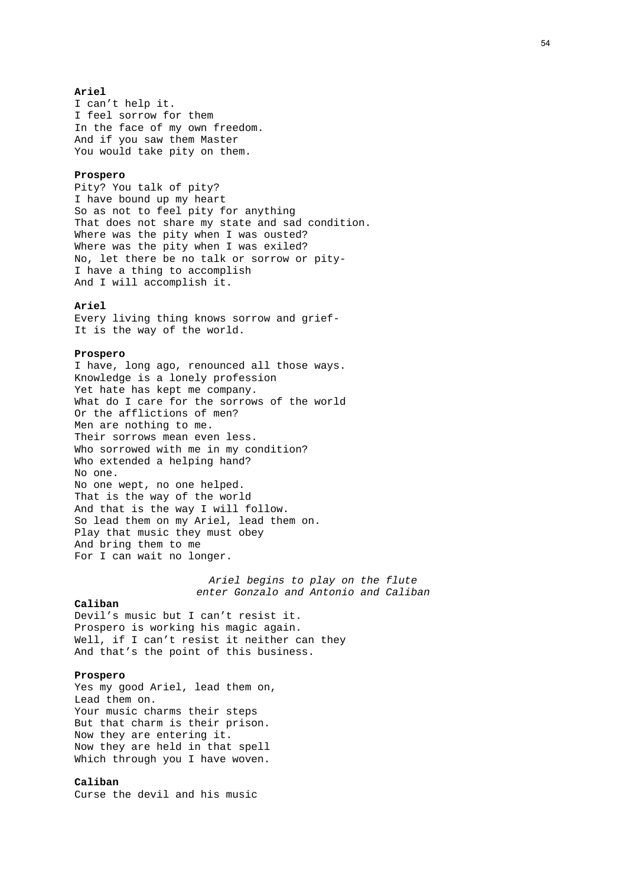#### **Ariel**

I can't help it. I feel sorrow for them In the face of my own freedom. And if you saw them Master You would take pity on them.

#### **Prospero**

Pity? You talk of pity? I have bound up my heart So as not to feel pity for anything That does not share my state and sad condition. Where was the pity when I was ousted? Where was the pity when I was exiled? No, let there be no talk or sorrow or pity-I have a thing to accomplish And I will accomplish it.

#### **Ariel**

Every living thing knows sorrow and grief-It is the way of the world.

#### **Prospero**

I have, long ago, renounced all those ways. Knowledge is a lonely profession Yet hate has kept me company. What do I care for the sorrows of the world Or the afflictions of men? Men are nothing to me. Their sorrows mean even less. Who sorrowed with me in my condition? Who extended a helping hand? No one. No one wept, no one helped. That is the way of the world And that is the way I will follow. So lead them on my Ariel, lead them on. Play that music they must obey And bring them to me For I can wait no longer.

> *Ariel begins to play on the flute enter Gonzalo and Antonio and Caliban*

### **Caliban**

Devil's music but I can't resist it. Prospero is working his magic again. Well, if I can't resist it neither can they And that's the point of this business.

### **Prospero**

Yes my good Ariel, lead them on, Lead them on. Your music charms their steps But that charm is their prison. Now they are entering it. Now they are held in that spell Which through you I have woven.

## **Caliban**

Curse the devil and his music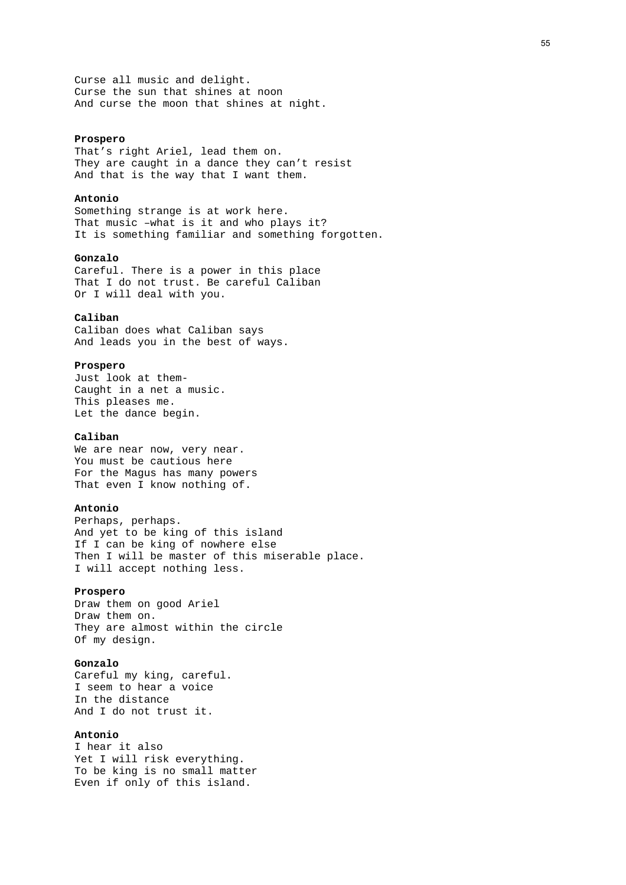Curse all music and delight. Curse the sun that shines at noon And curse the moon that shines at night.

#### **Prospero**

That's right Ariel, lead them on. They are caught in a dance they can't resist And that is the way that I want them.

### **Antonio**

Something strange is at work here. That music –what is it and who plays it? It is something familiar and something forgotten.

#### **Gonzalo**

Careful. There is a power in this place That I do not trust. Be careful Caliban Or I will deal with you.

### **Caliban**

Caliban does what Caliban says And leads you in the best of ways.

## **Prospero**

Just look at them-Caught in a net a music. This pleases me. Let the dance begin.

### **Caliban**

We are near now, very near. You must be cautious here For the Magus has many powers That even I know nothing of.

#### **Antonio**

Perhaps, perhaps. And yet to be king of this island If I can be king of nowhere else Then I will be master of this miserable place. I will accept nothing less.

### **Prospero**

Draw them on good Ariel Draw them on. They are almost within the circle Of my design.

### **Gonzalo**

Careful my king, careful. I seem to hear a voice In the distance And I do not trust it.

## **Antonio**

I hear it also Yet I will risk everything. To be king is no small matter Even if only of this island.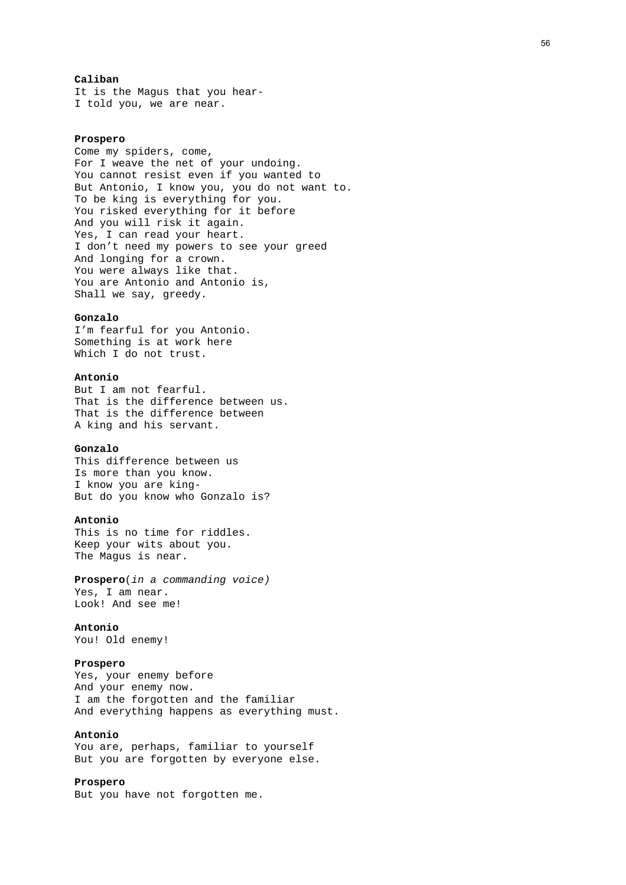### **Caliban**

It is the Magus that you hear-I told you, we are near.

#### **Prospero**

Come my spiders, come, For I weave the net of your undoing. You cannot resist even if you wanted to But Antonio, I know you, you do not want to. To be king is everything for you. You risked everything for it before And you will risk it again. Yes, I can read your heart. I don't need my powers to see your greed And longing for a crown. You were always like that. You are Antonio and Antonio is, Shall we say, greedy.

#### **Gonzalo**

I'm fearful for you Antonio. Something is at work here Which I do not trust.

### **Antonio**

But I am not fearful. That is the difference between us. That is the difference between A king and his servant.

## **Gonzalo**

This difference between us Is more than you know. I know you are king-But do you know who Gonzalo is?

#### **Antonio**

This is no time for riddles. Keep your wits about you. The Magus is near.

**Prospero**(*in a commanding voice)* Yes, I am near. Look! And see me!

### **Antonio**

You! Old enemy!

## **Prospero**

Yes, your enemy before And your enemy now. I am the forgotten and the familiar And everything happens as everything must.

## **Antonio**

You are, perhaps, familiar to yourself But you are forgotten by everyone else.

### **Prospero**

But you have not forgotten me.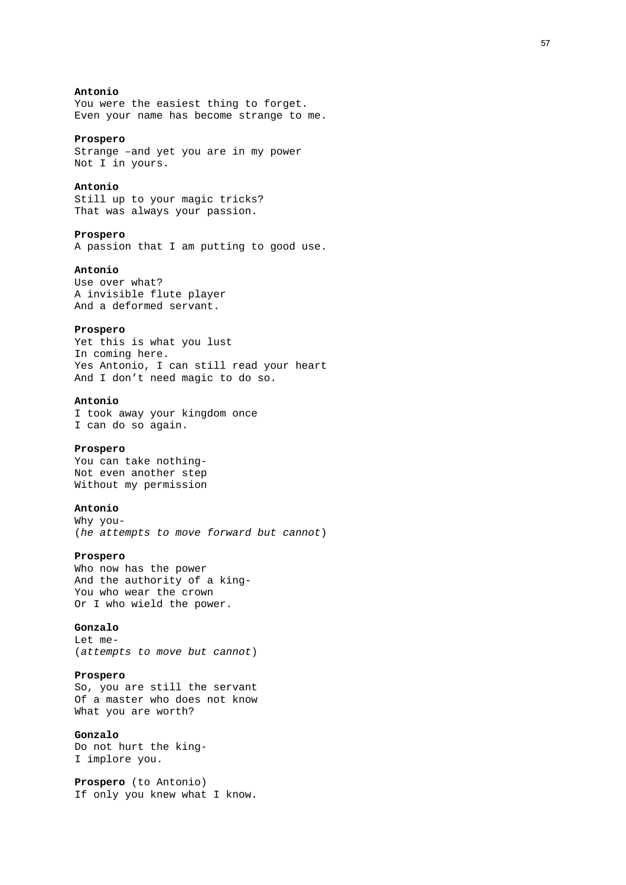## **Antonio**

You were the easiest thing to forget. Even your name has become strange to me.

#### **Prospero**

Strange –and yet you are in my power Not I in yours.

#### **Antonio**

Still up to your magic tricks? That was always your passion.

### **Prospero**

A passion that I am putting to good use.

### **Antonio**

Use over what? A invisible flute player And a deformed servant.

#### **Prospero**

Yet this is what you lust In coming here. Yes Antonio, I can still read your heart And I don't need magic to do so.

### **Antonio**

I took away your kingdom once I can do so again.

## **Prospero**

You can take nothing-Not even another step Without my permission

#### **Antonio**

Why you- (*he attempts to move forward but cannot*)

### **Prospero**

Who now has the power And the authority of a king-You who wear the crown Or I who wield the power.

### **Gonzalo**

Let me- (*attempts to move but cannot*)

#### **Prospero**

So, you are still the servant Of a master who does not know What you are worth?

## **Gonzalo**

Do not hurt the king-I implore you.

**Prospero** (to Antonio) If only you knew what I know.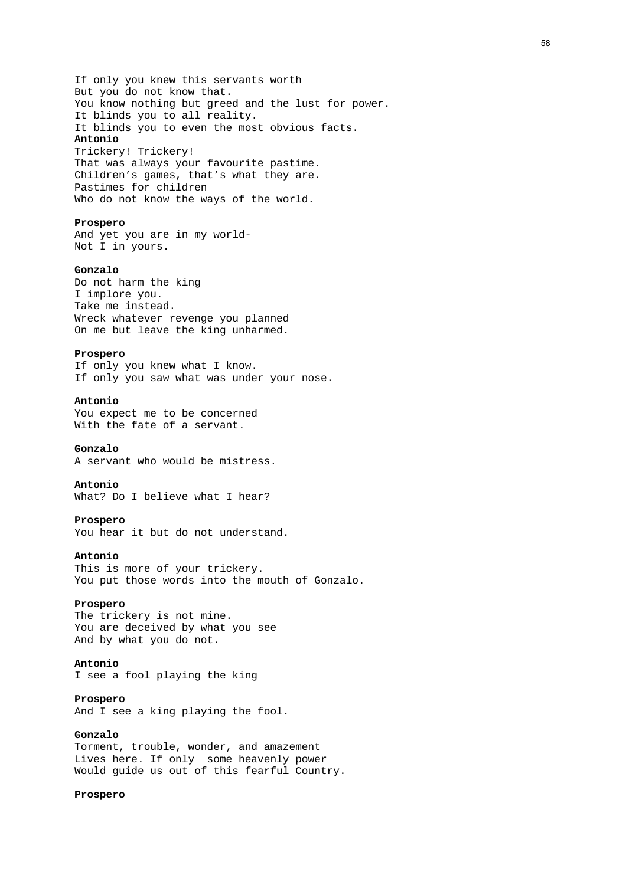If only you knew this servants worth But you do not know that. You know nothing but greed and the lust for power. It blinds you to all reality. It blinds you to even the most obvious facts. **Antonio**  Trickery! Trickery! That was always your favourite pastime. Children's games, that's what they are. Pastimes for children

Who do not know the ways of the world.

#### **Prospero**

And yet you are in my world-Not I in yours.

## **Gonzalo**

Do not harm the king I implore you. Take me instead. Wreck whatever revenge you planned On me but leave the king unharmed.

### **Prospero**

If only you knew what I know. If only you saw what was under your nose.

### **Antonio**

You expect me to be concerned With the fate of a servant.

### **Gonzalo**

A servant who would be mistress.

### **Antonio**

What? Do I believe what I hear?

#### **Prospero**

You hear it but do not understand.

#### **Antonio**

This is more of your trickery. You put those words into the mouth of Gonzalo.

#### **Prospero**

The trickery is not mine. You are deceived by what you see And by what you do not.

## **Antonio**

I see a fool playing the king

## **Prospero**

And I see a king playing the fool.

## **Gonzalo**  Torment, trouble, wonder, and amazement Lives here. If only some heavenly power Would guide us out of this fearful Country.

#### **Prospero**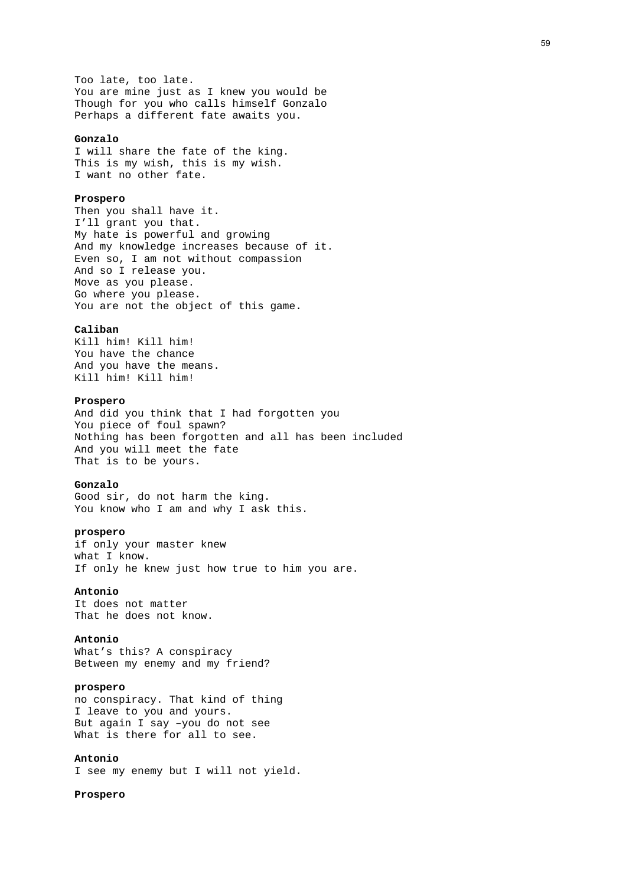Too late, too late. You are mine just as I knew you would be Though for you who calls himself Gonzalo Perhaps a different fate awaits you.

#### **Gonzalo**

I will share the fate of the king. This is my wish, this is my wish. I want no other fate.

## **Prospero**

Then you shall have it. I'll grant you that. My hate is powerful and growing And my knowledge increases because of it. Even so, I am not without compassion And so I release you. Move as you please. Go where you please. You are not the object of this game.

#### **Caliban**

Kill him! Kill him! You have the chance And you have the means. Kill him! Kill him!

## **Prospero**

And did you think that I had forgotten you You piece of foul spawn? Nothing has been forgotten and all has been included And you will meet the fate That is to be yours.

#### **Gonzalo**

Good sir, do not harm the king. You know who I am and why I ask this.

### **prospero**

if only your master knew what I know. If only he knew just how true to him you are.

## **Antonio**

It does not matter That he does not know.

#### **Antonio**

What's this? A conspiracy Between my enemy and my friend?

#### **prospero**

no conspiracy. That kind of thing I leave to you and yours. But again I say –you do not see What is there for all to see.

## **Antonio**

I see my enemy but I will not yield.

#### **Prospero**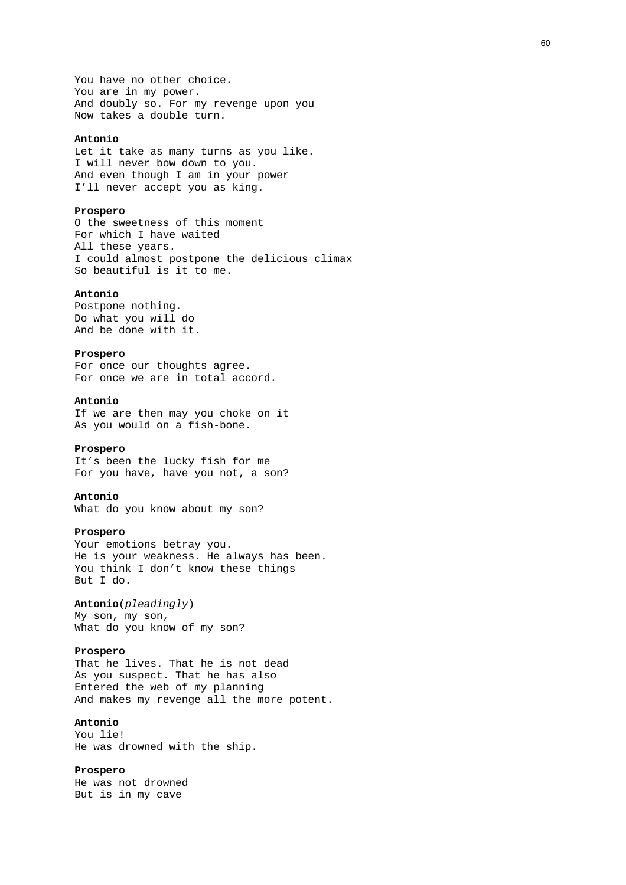You have no other choice. You are in my power. And doubly so. For my revenge upon you Now takes a double turn.

### **Antonio**

Let it take as many turns as you like. I will never bow down to you. And even though I am in your power I'll never accept you as king.

#### **Prospero**

O the sweetness of this moment For which I have waited All these years. I could almost postpone the delicious climax So beautiful is it to me.

#### **Antonio**

Postpone nothing. Do what you will do And be done with it.

### **Prospero**

For once our thoughts agree. For once we are in total accord.

### **Antonio**

If we are then may you choke on it As you would on a fish-bone.

### **Prospero**

It's been the lucky fish for me For you have, have you not, a son?

### **Antonio**

What do you know about my son?

#### **Prospero**

Your emotions betray you. He is your weakness. He always has been. You think I don't know these things But I do.

## **Antonio**(*pleadingly*)

My son, my son, What do you know of my son?

#### **Prospero**

That he lives. That he is not dead As you suspect. That he has also Entered the web of my planning And makes my revenge all the more potent.

## **Antonio**

You lie! He was drowned with the ship.

### **Prospero**

He was not drowned But is in my cave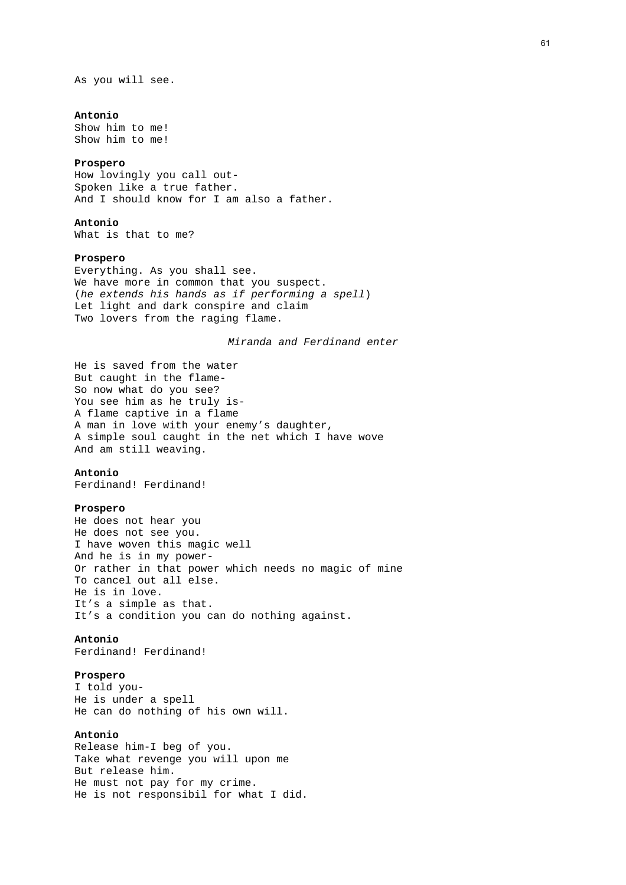As you will see.

#### **Antonio**

Show him to me! Show him to me!

#### **Prospero**

How lovingly you call out-Spoken like a true father. And I should know for I am also a father.

## **Antonio**

What is that to me?

### **Prospero**

Everything. As you shall see. We have more in common that you suspect. (*he extends his hands as if performing a spell*) Let light and dark conspire and claim Two lovers from the raging flame.

*Miranda and Ferdinand enter* 

He is saved from the water But caught in the flame-So now what do you see? You see him as he truly is-A flame captive in a flame A man in love with your enemy's daughter, A simple soul caught in the net which I have wove And am still weaving.

### **Antonio**

Ferdinand! Ferdinand!

#### **Prospero**

He does not hear you He does not see you. I have woven this magic well And he is in my power-Or rather in that power which needs no magic of mine To cancel out all else. He is in love. It's a simple as that. It's a condition you can do nothing against.

## **Antonio**

Ferdinand! Ferdinand!

### **Prospero**

I told you-He is under a spell He can do nothing of his own will.

## **Antonio**

Release him-I beg of you. Take what revenge you will upon me But release him. He must not pay for my crime. He is not responsibil for what I did.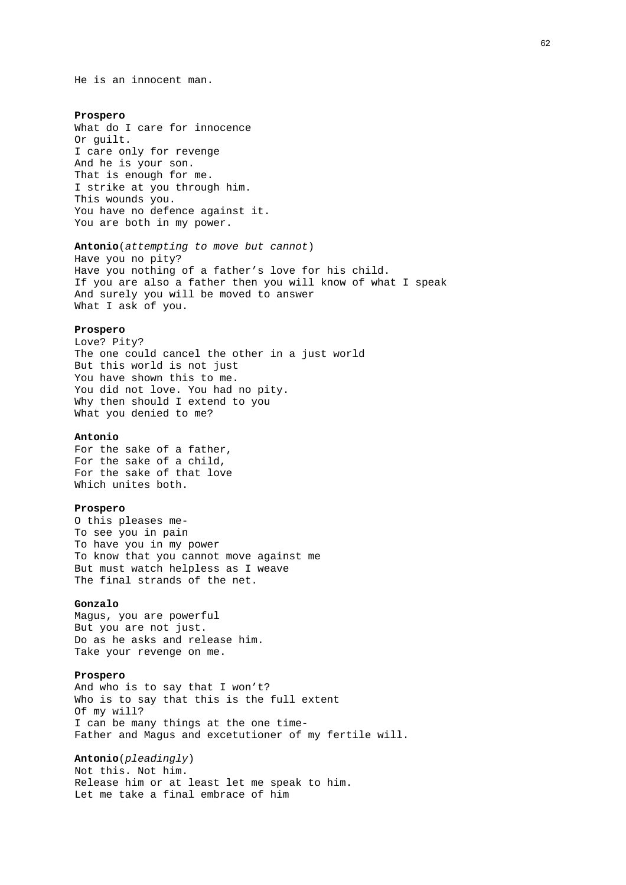He is an innocent man.

#### **Prospero**

What do I care for innocence Or guilt. I care only for revenge And he is your son. That is enough for me. I strike at you through him. This wounds you. You have no defence against it. You are both in my power.

## **Antonio**(*attempting to move but cannot*) Have you no pity? Have you nothing of a father's love for his child. If you are also a father then you will know of what I speak

And surely you will be moved to answer What I ask of you.

### **Prospero**

Love? Pity? The one could cancel the other in a just world But this world is not just You have shown this to me. You did not love. You had no pity. Why then should I extend to you What you denied to me?

#### **Antonio**

For the sake of a father, For the sake of a child, For the sake of that love Which unites both.

#### **Prospero**

O this pleases me-To see you in pain To have you in my power To know that you cannot move against me But must watch helpless as I weave The final strands of the net.

#### **Gonzalo**

Magus, you are powerful But you are not just. Do as he asks and release him. Take your revenge on me.

#### **Prospero**

And who is to say that I won't? Who is to say that this is the full extent Of my will? I can be many things at the one time-Father and Magus and excetutioner of my fertile will.

## **Antonio**(*pleadingly*)

Not this. Not him. Release him or at least let me speak to him. Let me take a final embrace of him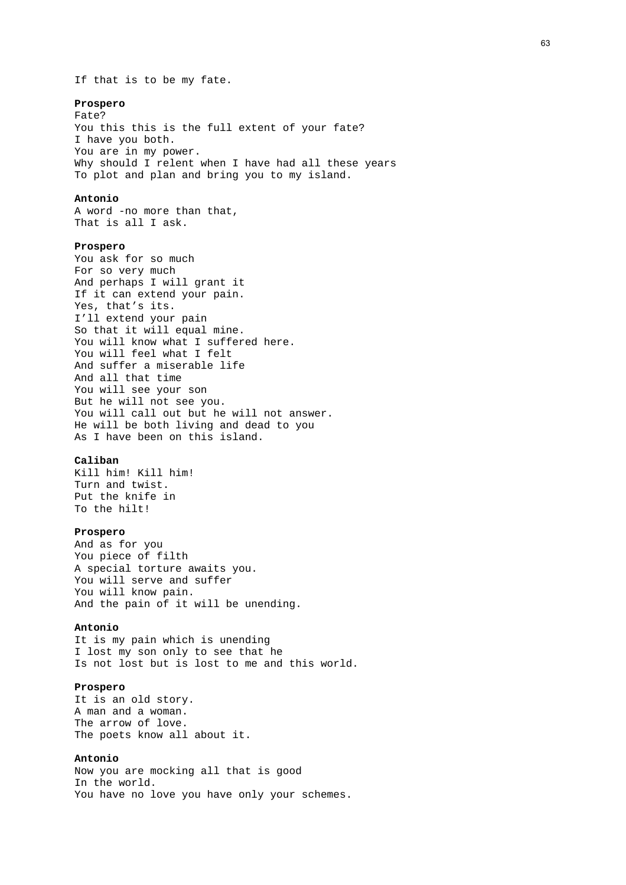#### **Prospero**

Fate? You this this is the full extent of your fate? I have you both. You are in my power. Why should I relent when I have had all these years To plot and plan and bring you to my island.

## **Antonio**

A word -no more than that, That is all I ask.

## **Prospero**

You ask for so much For so very much And perhaps I will grant it If it can extend your pain. Yes, that's its. I'll extend your pain So that it will equal mine. You will know what I suffered here. You will feel what I felt And suffer a miserable life And all that time You will see your son But he will not see you. You will call out but he will not answer. He will be both living and dead to you As I have been on this island.

### **Caliban**

Kill him! Kill him! Turn and twist. Put the knife in To the hilt!

#### **Prospero**

And as for you You piece of filth A special torture awaits you. You will serve and suffer You will know pain. And the pain of it will be unending.

#### **Antonio**

It is my pain which is unending I lost my son only to see that he Is not lost but is lost to me and this world.

#### **Prospero**

It is an old story. A man and a woman. The arrow of love. The poets know all about it.

### **Antonio**

Now you are mocking all that is good In the world. You have no love you have only your schemes.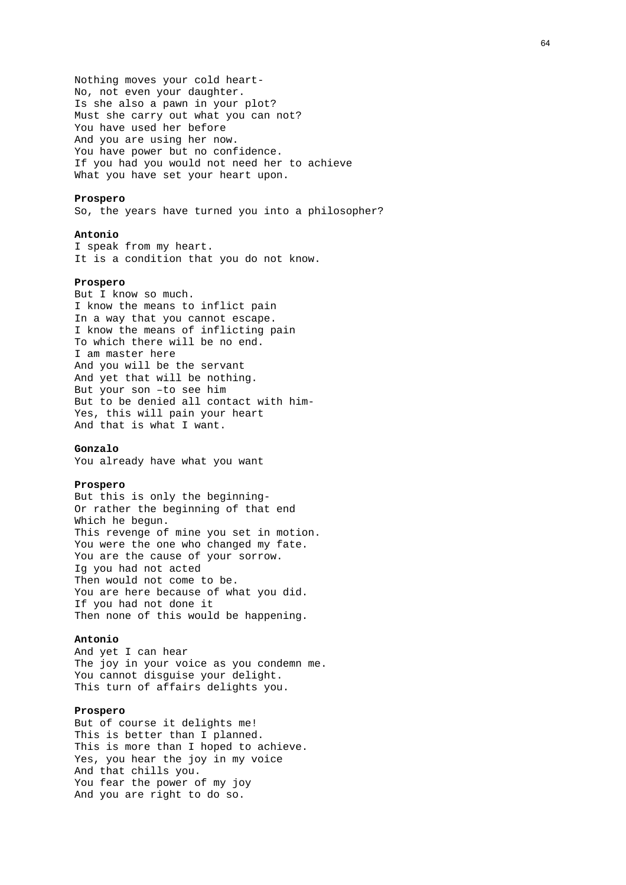Nothing moves your cold heart-No, not even your daughter. Is she also a pawn in your plot? Must she carry out what you can not? You have used her before And you are using her now. You have power but no confidence. If you had you would not need her to achieve What you have set your heart upon.

### **Prospero**

So, the years have turned you into a philosopher?

#### **Antonio**

I speak from my heart. It is a condition that you do not know.

#### **Prospero**

But I know so much. I know the means to inflict pain In a way that you cannot escape. I know the means of inflicting pain To which there will be no end. I am master here And you will be the servant And yet that will be nothing. But your son –to see him But to be denied all contact with him-Yes, this will pain your heart And that is what I want.

### **Gonzalo**

You already have what you want

#### **Prospero**

But this is only the beginning-Or rather the beginning of that end Which he begun. This revenge of mine you set in motion. You were the one who changed my fate. You are the cause of your sorrow. Ig you had not acted Then would not come to be. You are here because of what you did. If you had not done it Then none of this would be happening.

### **Antonio**

And yet I can hear The joy in your voice as you condemn me. You cannot disguise your delight. This turn of affairs delights you.

### **Prospero**

But of course it delights me! This is better than I planned. This is more than I hoped to achieve. Yes, you hear the joy in my voice And that chills you. You fear the power of my joy And you are right to do so.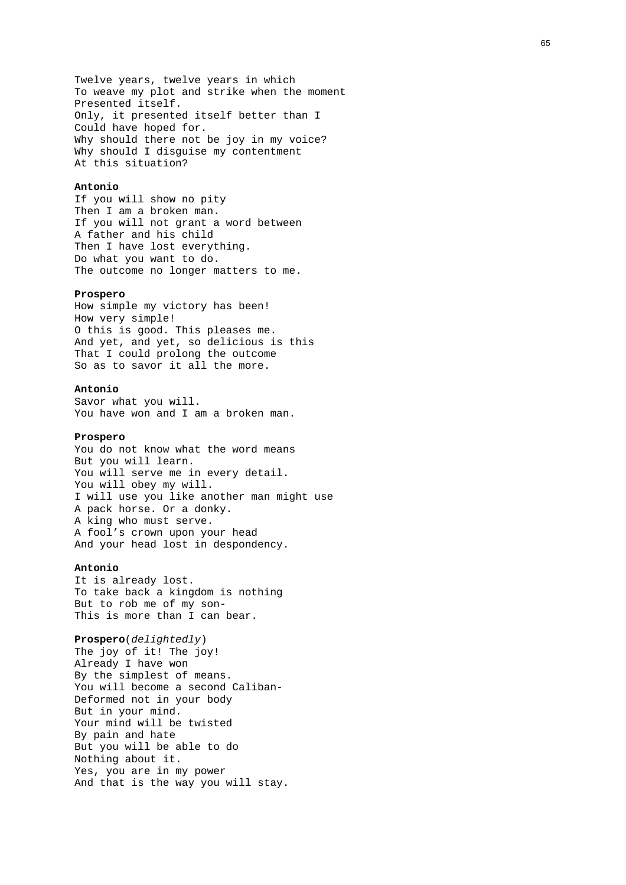Twelve years, twelve years in which To weave my plot and strike when the moment Presented itself. Only, it presented itself better than I Could have hoped for. Why should there not be joy in my voice? Why should I disguise my contentment At this situation?

#### **Antonio**

If you will show no pity Then I am a broken man. If you will not grant a word between A father and his child Then I have lost everything. Do what you want to do. The outcome no longer matters to me.

#### **Prospero**

How simple my victory has been! How very simple! O this is good. This pleases me. And yet, and yet, so delicious is this That I could prolong the outcome So as to savor it all the more.

#### **Antonio**

Savor what you will. You have won and I am a broken man.

### **Prospero**

You do not know what the word means But you will learn. You will serve me in every detail. You will obey my will. I will use you like another man might use A pack horse. Or a donky. A king who must serve. A fool's crown upon your head And your head lost in despondency.

#### **Antonio**

It is already lost. To take back a kingdom is nothing But to rob me of my son-This is more than I can bear.

### **Prospero**(*delightedly*)

The joy of it! The joy! Already I have won By the simplest of means. You will become a second Caliban-Deformed not in your body But in your mind. Your mind will be twisted By pain and hate But you will be able to do Nothing about it. Yes, you are in my power And that is the way you will stay.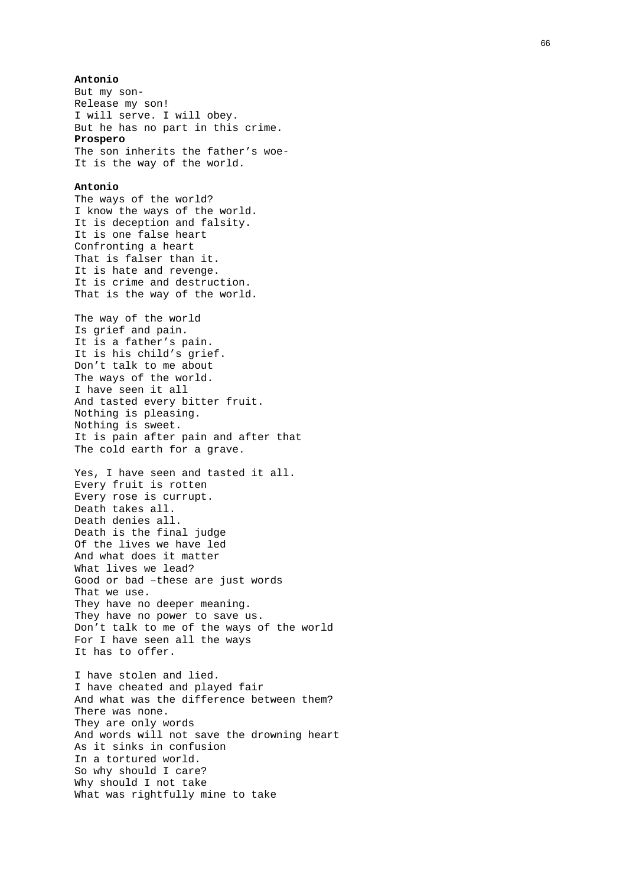### **Antonio**

But my son-Release my son! I will serve. I will obey. But he has no part in this crime. **Prospero**  The son inherits the father's woe-It is the way of the world.

#### **Antonio**

The ways of the world? I know the ways of the world. It is deception and falsity. It is one false heart Confronting a heart That is falser than it. It is hate and revenge. It is crime and destruction. That is the way of the world.

The way of the world Is grief and pain. It is a father's pain. It is his child's grief. Don't talk to me about The ways of the world. I have seen it all And tasted every bitter fruit. Nothing is pleasing. Nothing is sweet. It is pain after pain and after that The cold earth for a grave.

Yes, I have seen and tasted it all. Every fruit is rotten Every rose is currupt. Death takes all. Death denies all. Death is the final judge Of the lives we have led And what does it matter What lives we lead? Good or bad –these are just words That we use. They have no deeper meaning. They have no power to save us. Don't talk to me of the ways of the world For I have seen all the ways It has to offer.

I have stolen and lied. I have cheated and played fair And what was the difference between them? There was none. They are only words And words will not save the drowning heart As it sinks in confusion In a tortured world. So why should I care? Why should I not take What was rightfully mine to take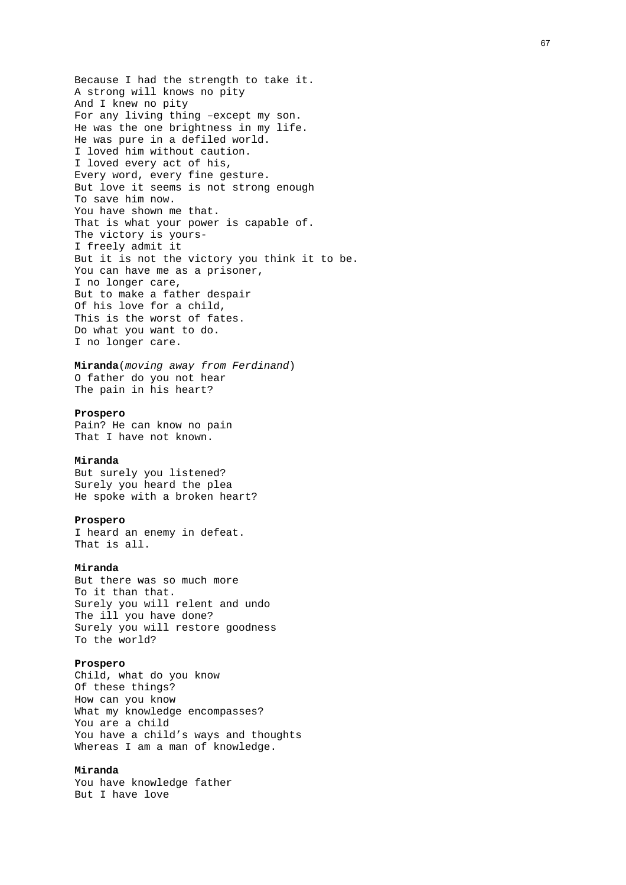Because I had the strength to take it. A strong will knows no pity And I knew no pity For any living thing –except my son. He was the one brightness in my life. He was pure in a defiled world. I loved him without caution. I loved every act of his, Every word, every fine gesture. But love it seems is not strong enough To save him now. You have shown me that. That is what your power is capable of. The victory is yours-I freely admit it But it is not the victory you think it to be. You can have me as a prisoner, I no longer care, But to make a father despair Of his love for a child, This is the worst of fates. Do what you want to do. I no longer care.

**Miranda**(*moving away from Ferdinand*) O father do you not hear The pain in his heart?

### **Prospero**

Pain? He can know no pain That I have not known.

#### **Miranda**

But surely you listened? Surely you heard the plea He spoke with a broken heart?

#### **Prospero**

I heard an enemy in defeat. That is all.

## **Miranda**

But there was so much more To it than that. Surely you will relent and undo The ill you have done? Surely you will restore goodness To the world?

## **Prospero**

Child, what do you know Of these things? How can you know What my knowledge encompasses? You are a child You have a child's ways and thoughts Whereas I am a man of knowledge.

## **Miranda**

You have knowledge father But I have love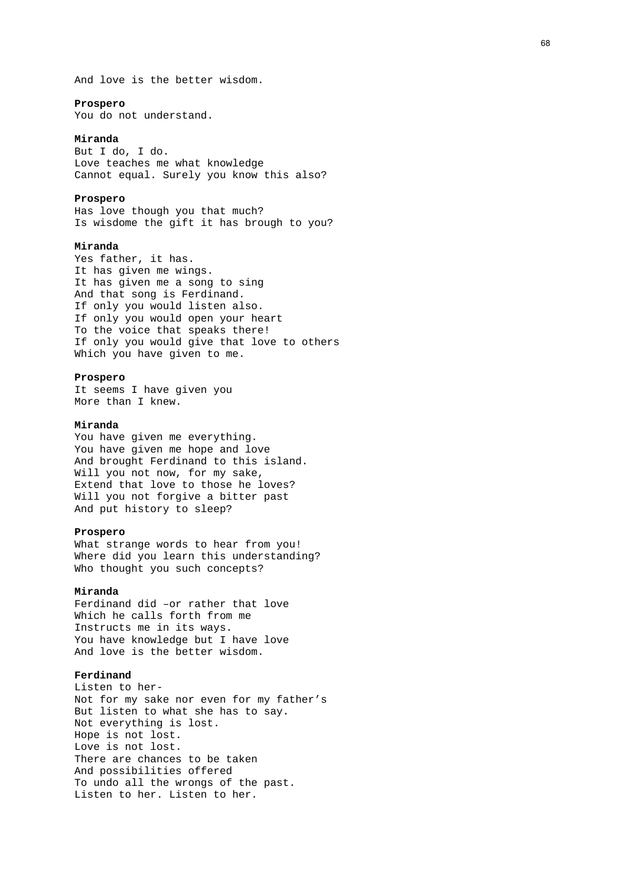And love is the better wisdom.

#### **Prospero**

You do not understand.

### **Miranda**

But I do, I do. Love teaches me what knowledge Cannot equal. Surely you know this also?

### **Prospero**

Has love though you that much? Is wisdome the gift it has brough to you?

### **Miranda**

Yes father, it has. It has given me wings. It has given me a song to sing And that song is Ferdinand. If only you would listen also. If only you would open your heart To the voice that speaks there! If only you would give that love to others Which you have given to me.

#### **Prospero**

It seems I have given you More than I knew.

#### **Miranda**

You have given me everything. You have given me hope and love And brought Ferdinand to this island. Will you not now, for my sake, Extend that love to those he loves? Will you not forgive a bitter past And put history to sleep?

#### **Prospero**

What strange words to hear from you! Where did you learn this understanding? Who thought you such concepts?

#### **Miranda**

Ferdinand did –or rather that love Which he calls forth from me Instructs me in its ways. You have knowledge but I have love And love is the better wisdom.

### **Ferdinand**

Listen to her-Not for my sake nor even for my father's But listen to what she has to say. Not everything is lost. Hope is not lost. Love is not lost. There are chances to be taken And possibilities offered To undo all the wrongs of the past. Listen to her. Listen to her.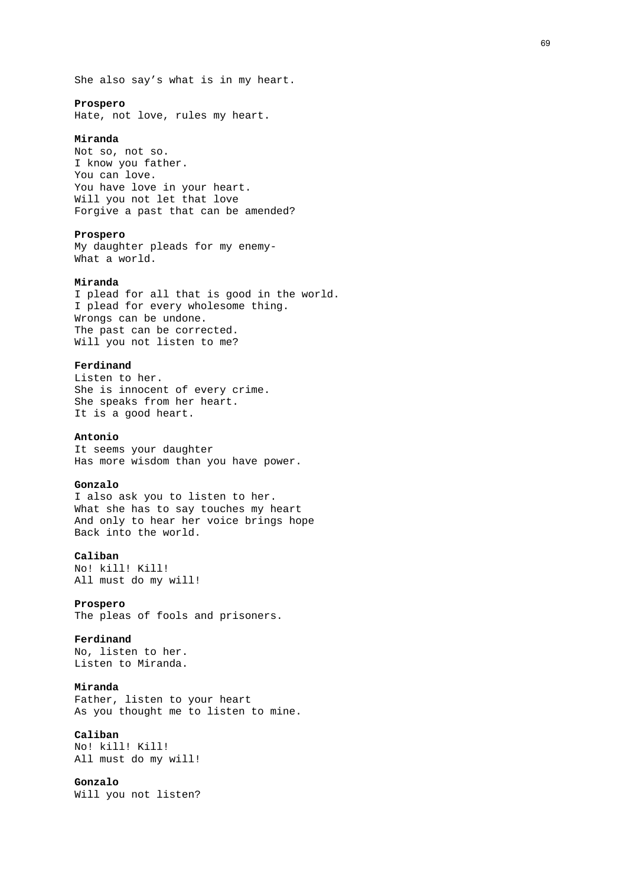She also say's what is in my heart.

#### **Prospero**

Hate, not love, rules my heart.

## **Miranda**

Not so, not so. I know you father. You can love. You have love in your heart. Will you not let that love Forgive a past that can be amended?

## **Prospero**

My daughter pleads for my enemy-What a world.

### **Miranda**

I plead for all that is good in the world. I plead for every wholesome thing. Wrongs can be undone. The past can be corrected. Will you not listen to me?

#### **Ferdinand**

Listen to her. She is innocent of every crime. She speaks from her heart. It is a good heart.

### **Antonio**

It seems your daughter Has more wisdom than you have power.

#### **Gonzalo**

I also ask you to listen to her. What she has to say touches my heart And only to hear her voice brings hope Back into the world.

#### **Caliban**

No! kill! Kill! All must do my will!

### **Prospero**

The pleas of fools and prisoners.

### **Ferdinand**

No, listen to her. Listen to Miranda.

## **Miranda**

Father, listen to your heart As you thought me to listen to mine.

## **Caliban**

No! kill! Kill! All must do my will!

## **Gonzalo**

Will you not listen?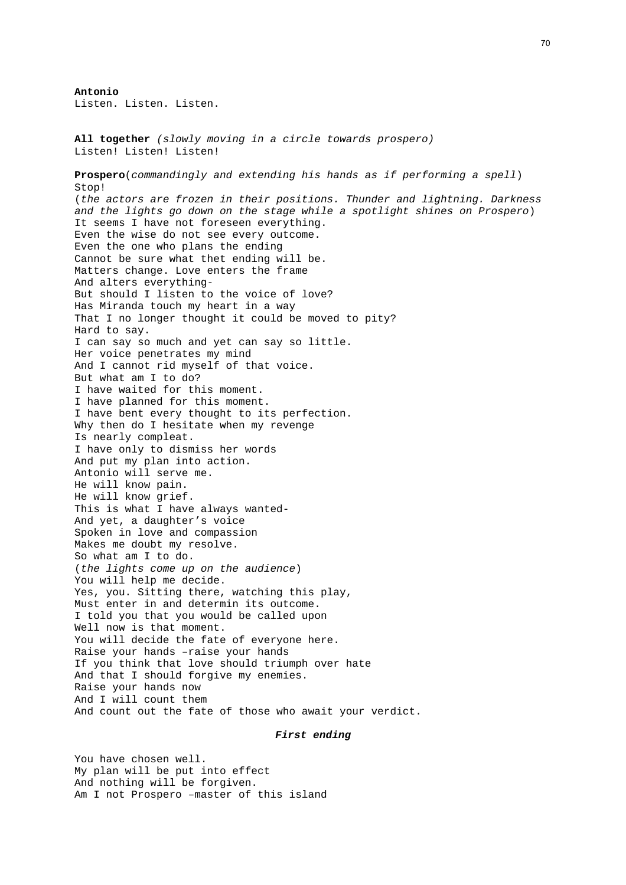**Antonio**  Listen. Listen. Listen.

**All together** *(slowly moving in a circle towards prospero)* Listen! Listen! Listen! **Prospero**(*commandingly and extending his hands as if performing a spell*) Stop! (*the actors are frozen in their positions. Thunder and lightning. Darkness and the lights go down on the stage while a spotlight shines on Prospero*) It seems I have not foreseen everything. Even the wise do not see every outcome. Even the one who plans the ending Cannot be sure what thet ending will be. Matters change. Love enters the frame And alters everything-But should I listen to the voice of love? Has Miranda touch my heart in a way That I no longer thought it could be moved to pity? Hard to say. I can say so much and yet can say so little. Her voice penetrates my mind And I cannot rid myself of that voice. But what am I to do? I have waited for this moment. I have planned for this moment. I have bent every thought to its perfection. Why then do I hesitate when my revenge Is nearly compleat. I have only to dismiss her words And put my plan into action. Antonio will serve me. He will know pain. He will know grief. This is what I have always wanted-And yet, a daughter's voice Spoken in love and compassion Makes me doubt my resolve. So what am I to do. (*the lights come up on the audience*) You will help me decide. Yes, you. Sitting there, watching this play, Must enter in and determin its outcome. I told you that you would be called upon Well now is that moment. You will decide the fate of everyone here. Raise your hands –raise your hands If you think that love should triumph over hate And that I should forgive my enemies. Raise your hands now And I will count them And count out the fate of those who await your verdict.

## *First ending*

You have chosen well. My plan will be put into effect And nothing will be forgiven. Am I not Prospero –master of this island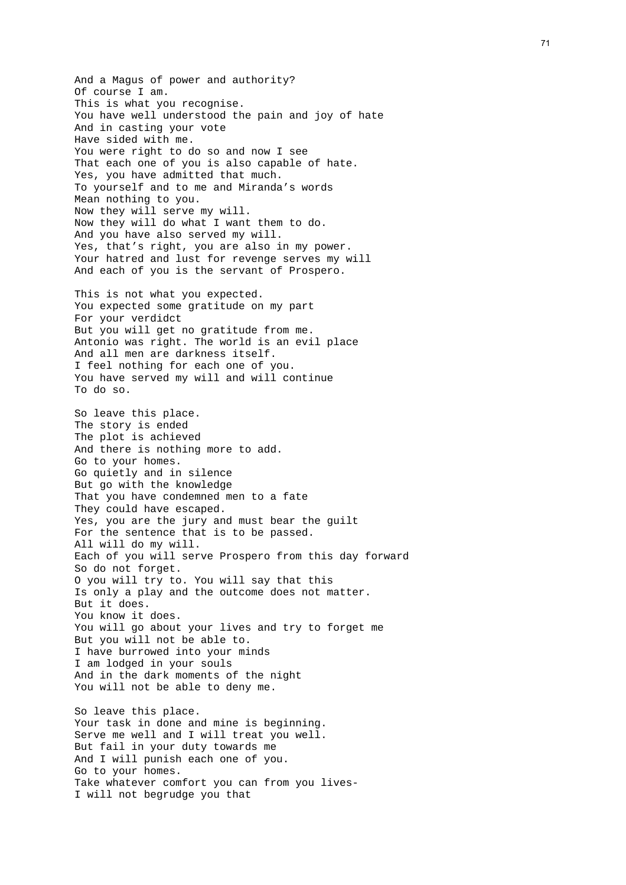And a Magus of power and authority? Of course I am. This is what you recognise. You have well understood the pain and joy of hate And in casting your vote Have sided with me. You were right to do so and now I see That each one of you is also capable of hate. Yes, you have admitted that much. To yourself and to me and Miranda's words Mean nothing to you. Now they will serve my will. Now they will do what I want them to do. And you have also served my will. Yes, that's right, you are also in my power. Your hatred and lust for revenge serves my will And each of you is the servant of Prospero. This is not what you expected. You expected some gratitude on my part For your verdidct But you will get no gratitude from me. Antonio was right. The world is an evil place And all men are darkness itself. I feel nothing for each one of you. You have served my will and will continue To do so. So leave this place. The story is ended The plot is achieved And there is nothing more to add. Go to your homes. Go quietly and in silence But go with the knowledge That you have condemned men to a fate They could have escaped. Yes, you are the jury and must bear the guilt For the sentence that is to be passed. All will do my will. Each of you will serve Prospero from this day forward So do not forget. O you will try to. You will say that this Is only a play and the outcome does not matter. But it does. You know it does. You will go about your lives and try to forget me But you will not be able to. I have burrowed into your minds I am lodged in your souls And in the dark moments of the night You will not be able to deny me. So leave this place. Your task in done and mine is beginning. Serve me well and I will treat you well. But fail in your duty towards me And I will punish each one of you. Go to your homes. Take whatever comfort you can from you lives-

I will not begrudge you that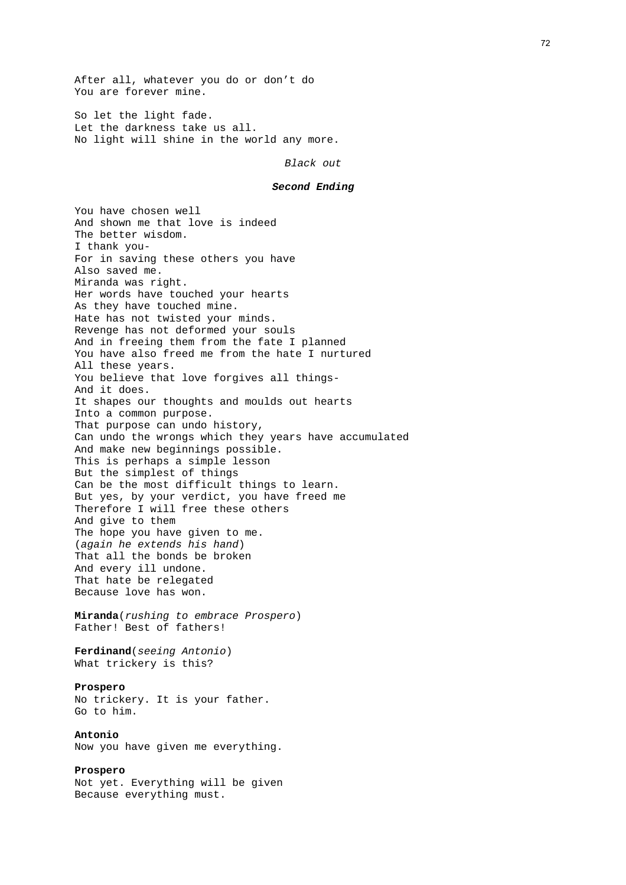After all, whatever you do or don't do You are forever mine.

So let the light fade. Let the darkness take us all. No light will shine in the world any more.

*Black out* 

#### *Second Ending*

You have chosen well And shown me that love is indeed The better wisdom. I thank you-For in saving these others you have Also saved me. Miranda was right. Her words have touched your hearts As they have touched mine. Hate has not twisted your minds. Revenge has not deformed your souls And in freeing them from the fate I planned You have also freed me from the hate I nurtured All these years. You believe that love forgives all things-And it does. It shapes our thoughts and moulds out hearts Into a common purpose. That purpose can undo history, Can undo the wrongs which they years have accumulated And make new beginnings possible. This is perhaps a simple lesson But the simplest of things Can be the most difficult things to learn. But yes, by your verdict, you have freed me Therefore I will free these others And give to them The hope you have given to me. (*again he extends his hand*) That all the bonds be broken And every ill undone. That hate be relegated Because love has won. **Miranda**(*rushing to embrace Prospero*) Father! Best of fathers! **Ferdinand**(*seeing Antonio*) What trickery is this? **Prospero** No trickery. It is your father. Go to him. **Antonio** Now you have given me everything. **Prospero**  Not yet. Everything will be given Because everything must.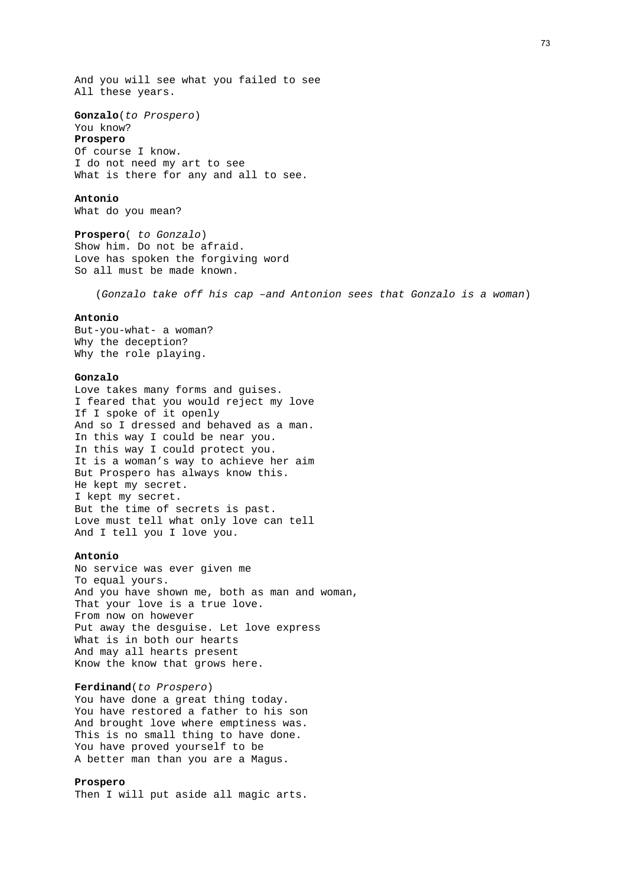And you will see what you failed to see All these years.

**Gonzalo**(*to Prospero*)

# You know?

**Prospero**  Of course I know. I do not need my art to see What is there for any and all to see.

#### **Antonio**

What do you mean?

**Prospero**( *to Gonzalo*) Show him. Do not be afraid. Love has spoken the forgiving word So all must be made known.

(*Gonzalo take off his cap –and Antonion sees that Gonzalo is a woman*)

## **Antonio**

But-you-what- a woman? Why the deception? Why the role playing.

#### **Gonzalo**

Love takes many forms and guises. I feared that you would reject my love If I spoke of it openly And so I dressed and behaved as a man. In this way I could be near you. In this way I could protect you. It is a woman's way to achieve her aim But Prospero has always know this. He kept my secret. I kept my secret. But the time of secrets is past. Love must tell what only love can tell And I tell you I love you.

## **Antonio**

No service was ever given me To equal yours. And you have shown me, both as man and woman, That your love is a true love. From now on however Put away the desguise. Let love express What is in both our hearts And may all hearts present Know the know that grows here.

## **Ferdinand**(*to Prospero*)

You have done a great thing today. You have restored a father to his son And brought love where emptiness was. This is no small thing to have done. You have proved yourself to be A better man than you are a Magus.

## **Prospero**

Then I will put aside all magic arts.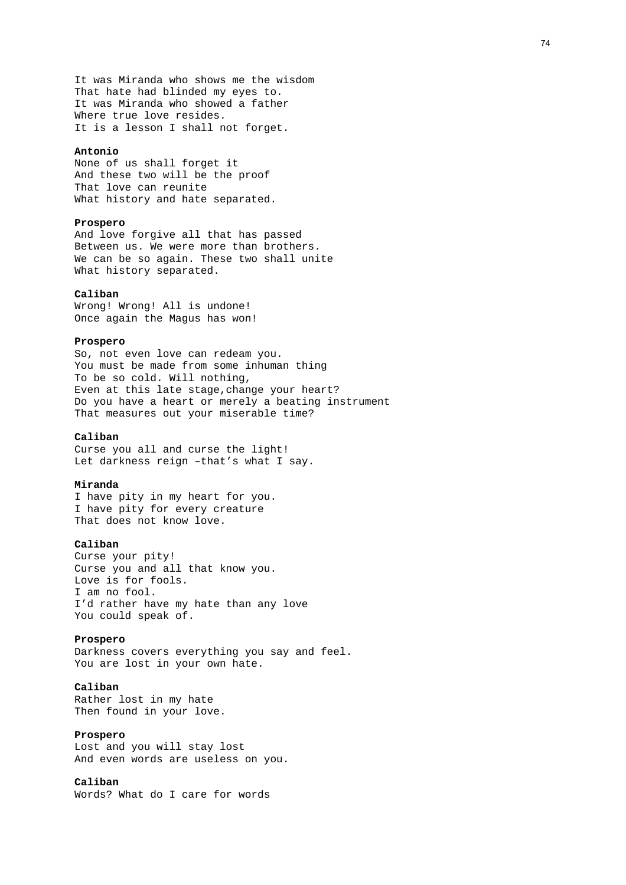It was Miranda who shows me the wisdom That hate had blinded my eyes to. It was Miranda who showed a father Where true love resides. It is a lesson I shall not forget.

#### **Antonio**

None of us shall forget it And these two will be the proof That love can reunite What history and hate separated.

## **Prospero**

And love forgive all that has passed Between us. We were more than brothers. We can be so again. These two shall unite What history separated.

#### **Caliban**

Wrong! Wrong! All is undone! Once again the Magus has won!

## **Prospero**

So, not even love can redeam you. You must be made from some inhuman thing To be so cold. Will nothing, Even at this late stage,change your heart? Do you have a heart or merely a beating instrument That measures out your miserable time?

## **Caliban**

Curse you all and curse the light! Let darkness reign –that's what I say.

#### **Miranda**

I have pity in my heart for you. I have pity for every creature That does not know love.

## **Caliban**

Curse your pity! Curse you and all that know you. Love is for fools. I am no fool. I'd rather have my hate than any love You could speak of.

#### **Prospero**

Darkness covers everything you say and feel. You are lost in your own hate.

## **Caliban**

Rather lost in my hate Then found in your love.

## **Prospero**

Lost and you will stay lost And even words are useless on you.

# **Caliban**

Words? What do I care for words